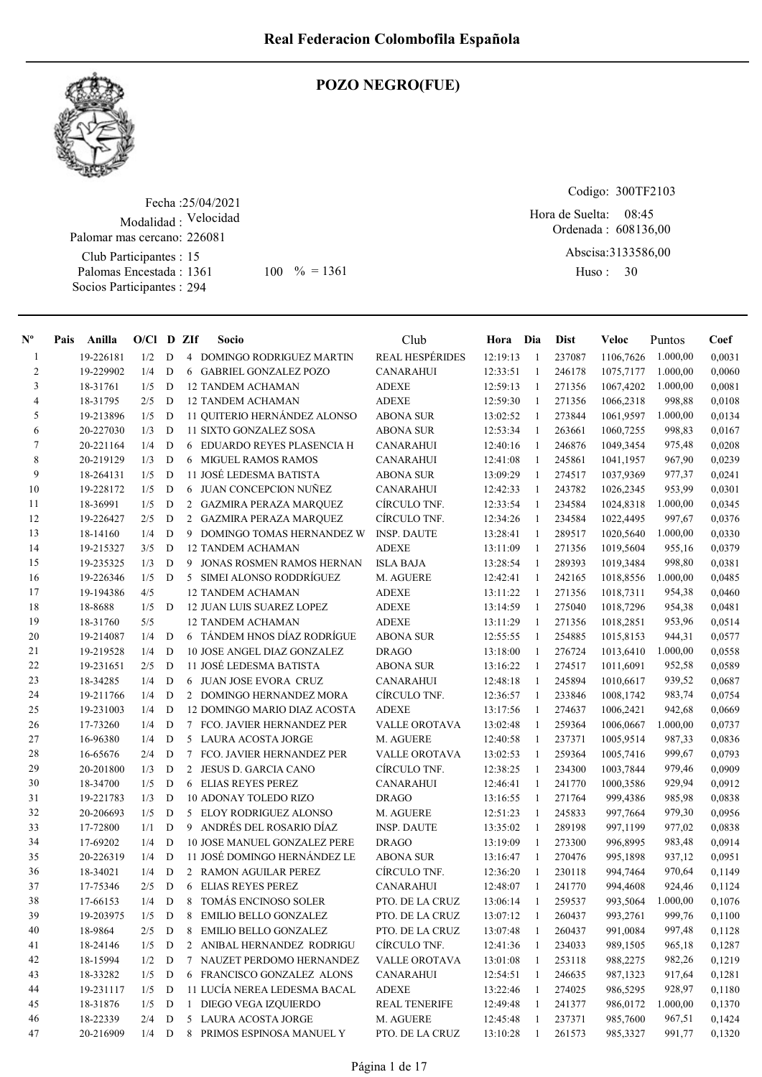

### POZO NEGRO(FUE)

Fecha : 25/04/2021 Modalidad : Velocidad Club Participantes : 15 Palomas Encestada : Socios Participantes : 294 Palomar mas cercano: 226081

1361 100 % = 1361 Huso: 30

Codigo: 300TF2103

Ordenada : 608136,00 Hora de Suelta: 08:45

Abscisa: 3133586,00

Huso: 30

| $\mathbf{N}^{\mathbf{o}}$ | Pais | Anilla    | $O/C1$ D ZIf |             |                | Socio                               | Club                   | Hora Dia |                | <b>Dist</b> | Veloc     | Puntos   | Coef   |
|---------------------------|------|-----------|--------------|-------------|----------------|-------------------------------------|------------------------|----------|----------------|-------------|-----------|----------|--------|
| $\mathbf{1}$              |      | 19-226181 | 1/2          | D           |                | 4 DOMINGO RODRIGUEZ MARTIN          | <b>REAL HESPÉRIDES</b> | 12:19:13 | -1             | 237087      | 1106,7626 | 1.000,00 | 0,0031 |
| 2                         |      | 19-229902 | 1/4          | D           |                | 6 GABRIEL GONZALEZ POZO             | <b>CANARAHUI</b>       | 12:33:51 | $\mathbf{1}$   | 246178      | 1075,7177 | 1.000,00 | 0,0060 |
| 3                         |      | 18-31761  | 1/5          | D           |                | <b>12 TANDEM ACHAMAN</b>            | <b>ADEXE</b>           | 12:59:13 | 1              | 271356      | 1067,4202 | 1.000,00 | 0,0081 |
| $\overline{4}$            |      | 18-31795  | 2/5          | D           |                | <b>12 TANDEM ACHAMAN</b>            | <b>ADEXE</b>           | 12:59:30 | 1              | 271356      | 1066,2318 | 998,88   | 0,0108 |
| 5                         |      | 19-213896 | 1/5          | D           |                | 11 QUITERIO HERNÁNDEZ ALONSO        | <b>ABONA SUR</b>       | 13:02:52 | $\overline{1}$ | 273844      | 1061,9597 | 1.000,00 | 0,0134 |
| 6                         |      | 20-227030 | 1/3          | D           |                | 11 SIXTO GONZALEZ SOSA              | <b>ABONA SUR</b>       | 12:53:34 | $\overline{1}$ | 263661      | 1060,7255 | 998,83   | 0,0167 |
| 7                         |      | 20-221164 | 1/4          | D           | 6              | EDUARDO REYES PLASENCIA H           | <b>CANARAHUI</b>       | 12:40:16 | -1             | 246876      | 1049,3454 | 975,48   | 0,0208 |
| 8                         |      | 20-219129 | 1/3          | D           | 6              | <b>MIGUEL RAMOS RAMOS</b>           | <b>CANARAHUI</b>       | 12:41:08 | $\mathbf{1}$   | 245861      | 1041,1957 | 967,90   | 0,0239 |
| 9                         |      | 18-264131 | 1/5          | D           |                | 11 JOSÉ LEDESMA BATISTA             | <b>ABONA SUR</b>       | 13:09:29 | -1             | 274517      | 1037,9369 | 977,37   | 0,0241 |
| 10                        |      | 19-228172 | 1/5          | D           | 6              | JUAN CONCEPCION NUÑEZ               | <b>CANARAHUI</b>       | 12:42:33 | 1              | 243782      | 1026,2345 | 953,99   | 0,0301 |
| 11                        |      | 18-36991  | 1/5          | D           |                | 2 GAZMIRA PERAZA MARQUEZ            | CÍRCULO TNF.           | 12:33:54 | 1              | 234584      | 1024,8318 | 1.000,00 | 0,0345 |
| 12                        |      | 19-226427 | 2/5          | D           |                | 2 GAZMIRA PERAZA MARQUEZ            | CÍRCULO TNF.           | 12:34:26 | 1              | 234584      | 1022,4495 | 997,67   | 0,0376 |
| 13                        |      | 18-14160  | 1/4          | D           |                | 9 DOMINGO TOMAS HERNANDEZ W         | <b>INSP. DAUTE</b>     | 13:28:41 | -1             | 289517      | 1020,5640 | 1.000,00 | 0,0330 |
| 14                        |      | 19-215327 | 3/5          | D           |                | <b>12 TANDEM ACHAMAN</b>            | <b>ADEXE</b>           | 13:11:09 | -1             | 271356      | 1019,5604 | 955,16   | 0,0379 |
| 15                        |      | 19-235325 | 1/3          | D           | 9              | <b>JONAS ROSMEN RAMOS HERNAN</b>    | <b>ISLA BAJA</b>       | 13:28:54 | -1             | 289393      | 1019,3484 | 998,80   | 0,0381 |
| 16                        |      | 19-226346 | 1/5          | D           |                | 5 SIMEI ALONSO RODDRÍGUEZ           | M. AGUERE              | 12:42:41 | -1             | 242165      | 1018,8556 | 1.000,00 | 0,0485 |
| 17                        |      | 19-194386 | 4/5          |             |                | <b>12 TANDEM ACHAMAN</b>            | <b>ADEXE</b>           | 13:11:22 | $\overline{1}$ | 271356      | 1018,7311 | 954,38   | 0,0460 |
| 18                        |      | 18-8688   | 1/5          | D           |                | <b>12 JUAN LUIS SUAREZ LOPEZ</b>    | <b>ADEXE</b>           | 13:14:59 | $\overline{1}$ | 275040      | 1018,7296 | 954,38   | 0,0481 |
| 19                        |      | 18-31760  | 5/5          |             |                | <b>12 TANDEM ACHAMAN</b>            | <b>ADEXE</b>           | 13:11:29 | -1             | 271356      | 1018,2851 | 953,96   | 0,0514 |
| 20                        |      | 19-214087 | 1/4          | D           | 6              | TÁNDEM HNOS DÍAZ RODRÍGUE           | <b>ABONA SUR</b>       | 12:55:55 | -1             | 254885      | 1015,8153 | 944,31   | 0,0577 |
| 21                        |      | 19-219528 | 1/4          | D           |                | <b>10 JOSE ANGEL DIAZ GONZALEZ</b>  | <b>DRAGO</b>           | 13:18:00 | -1             | 276724      | 1013,6410 | 1.000,00 | 0,0558 |
| 22                        |      | 19-231651 | 2/5          | D           |                | 11 JOSÉ LEDESMA BATISTA             | <b>ABONA SUR</b>       | 13:16:22 | -1             | 274517      | 1011,6091 | 952,58   | 0,0589 |
| 23                        |      | 18-34285  | 1/4          | D           | 6              | JUAN JOSE EVORA CRUZ                | <b>CANARAHUI</b>       | 12:48:18 | -1             | 245894      | 1010,6617 | 939,52   | 0,0687 |
| 24                        |      | 19-211766 | 1/4          | D           |                | 2 DOMINGO HERNANDEZ MORA            | CÍRCULO TNF.           | 12:36:57 | 1              | 233846      | 1008,1742 | 983,74   | 0,0754 |
| 25                        |      | 19-231003 | 1/4          | D           |                | 12 DOMINGO MARIO DIAZ ACOSTA        | <b>ADEXE</b>           | 13:17:56 | 1              | 274637      | 1006,2421 | 942,68   | 0,0669 |
| 26                        |      | 17-73260  | 1/4          | D           |                | 7 FCO. JAVIER HERNANDEZ PER         | <b>VALLE OROTAVA</b>   | 13:02:48 | 1              | 259364      | 1006,0667 | 1.000,00 | 0,0737 |
| 27                        |      | 16-96380  | 1/4          | D           |                | 5 LAURA ACOSTA JORGE                | M. AGUERE              | 12:40:58 | 1              | 237371      | 1005,9514 | 987,33   | 0,0836 |
| 28                        |      | 16-65676  | 2/4          | D           | 7              | FCO. JAVIER HERNANDEZ PER           | VALLE OROTAVA          | 13:02:53 | 1              | 259364      | 1005,7416 | 999,67   | 0,0793 |
| 29                        |      | 20-201800 | 1/3          | D           | 2              | <b>JESUS D. GARCIA CANO</b>         | CÍRCULO TNF.           | 12:38:25 | -1             | 234300      | 1003,7844 | 979,46   | 0,0909 |
| 30                        |      | 18-34700  | 1/5          | D           | 6              | <b>ELIAS REYES PEREZ</b>            | <b>CANARAHUI</b>       | 12:46:41 | -1             | 241770      | 1000,3586 | 929,94   | 0,0912 |
| 31                        |      | 19-221783 | 1/3          | D           |                | <b>10 ADONAY TOLEDO RIZO</b>        | <b>DRAGO</b>           | 13:16:55 | -1             | 271764      | 999,4386  | 985,98   | 0,0838 |
| 32                        |      | 20-206693 | 1/5          | D           | 5              | ELOY RODRIGUEZ ALONSO               | M. AGUERE              | 12:51:23 | -1             | 245833      | 997,7664  | 979,30   | 0,0956 |
| 33                        |      | 17-72800  | 1/1          | D           |                | 9 ANDRÉS DEL ROSARIO DÍAZ           | <b>INSP. DAUTE</b>     | 13:35:02 | -1             | 289198      | 997,1199  | 977,02   | 0,0838 |
| 34                        |      | 17-69202  | 1/4          | D           |                | <b>10 JOSE MANUEL GONZALEZ PERE</b> | <b>DRAGO</b>           | 13:19:09 | $\mathbf{1}$   | 273300      | 996,8995  | 983,48   | 0,0914 |
| 35                        |      | 20-226319 | 1/4          | D           |                | 11 JOSÉ DOMINGO HERNÁNDEZ LE        | <b>ABONA SUR</b>       | 13:16:47 | $\overline{1}$ | 270476      | 995,1898  | 937,12   | 0,0951 |
| 36                        |      | 18-34021  | 1/4          | D           |                | 2 RAMON AGUILAR PEREZ               | CÍRCULO TNF.           | 12:36:20 | -1             | 230118      | 994,7464  | 970,64   | 0,1149 |
| 37                        |      | 17-75346  | 2/5          | D           | 6              | <b>ELIAS REYES PEREZ</b>            | <b>CANARAHUI</b>       | 12:48:07 | -1             | 241770      | 994,4608  | 924,46   | 0,1124 |
| 38                        |      | 17-66153  | 1/4          | $\mathbf D$ | 8              | TOMÁS ENCINOSO SOLER                | PTO. DE LA CRUZ        | 13:06:14 | -1             | 259537      | 993,5064  | 1.000,00 | 0,1076 |
| 39                        |      | 19-203975 | 1/5          | D           | 8              | <b>EMILIO BELLO GONZALEZ</b>        | PTO. DE LA CRUZ        | 13:07:12 | -1             | 260437      | 993,2761  | 999,76   | 0,1100 |
| 40                        |      | 18-9864   | 2/5          | D           | 8              | <b>EMILIO BELLO GONZALEZ</b>        | PTO. DE LA CRUZ        | 13:07:48 | $\mathbf{1}$   | 260437      | 991,0084  | 997,48   | 0,1128 |
| 41                        |      | 18-24146  | 1/5          | D           | $\overline{2}$ | ANIBAL HERNANDEZ RODRIGU            | CÍRCULO TNF.           | 12:41:36 | $\mathbf{1}$   | 234033      | 989,1505  | 965,18   | 0,1287 |
| 42                        |      | 18-15994  | 1/2          | D           | 7              | NAUZET PERDOMO HERNANDEZ            | VALLE OROTAVA          | 13:01:08 | 1              | 253118      | 988,2275  | 982,26   | 0,1219 |
| 43                        |      | 18-33282  | 1/5          | D           |                | 6 FRANCISCO GONZALEZ ALONS          | <b>CANARAHUI</b>       | 12:54:51 | -1             | 246635      | 987,1323  | 917,64   | 0,1281 |
| 44                        |      | 19-231117 | 1/5          | D           |                | 11 LUCÍA NEREA LEDESMA BACAL        | <b>ADEXE</b>           | 13:22:46 | -1             | 274025      | 986,5295  | 928,97   | 0,1180 |
| 45                        |      | 18-31876  | 1/5          | D           |                | 1 DIEGO VEGA IZQUIERDO              | <b>REAL TENERIFE</b>   | 12:49:48 | 1              | 241377      | 986,0172  | 1.000,00 | 0,1370 |
| 46                        |      | 18-22339  | 2/4          | D           | 5 <sup>5</sup> | LAURA ACOSTA JORGE                  | M. AGUERE              | 12:45:48 | $\mathbf{1}$   | 237371      | 985,7600  | 967,51   | 0,1424 |
| 47                        |      | 20-216909 | $1/4$ D      |             | 8              | PRIMOS ESPINOSA MANUEL Y            | PTO. DE LA CRUZ        | 13:10:28 | 1              | 261573      | 985,3327  | 991,77   | 0,1320 |
|                           |      |           |              |             |                |                                     |                        |          |                |             |           |          |        |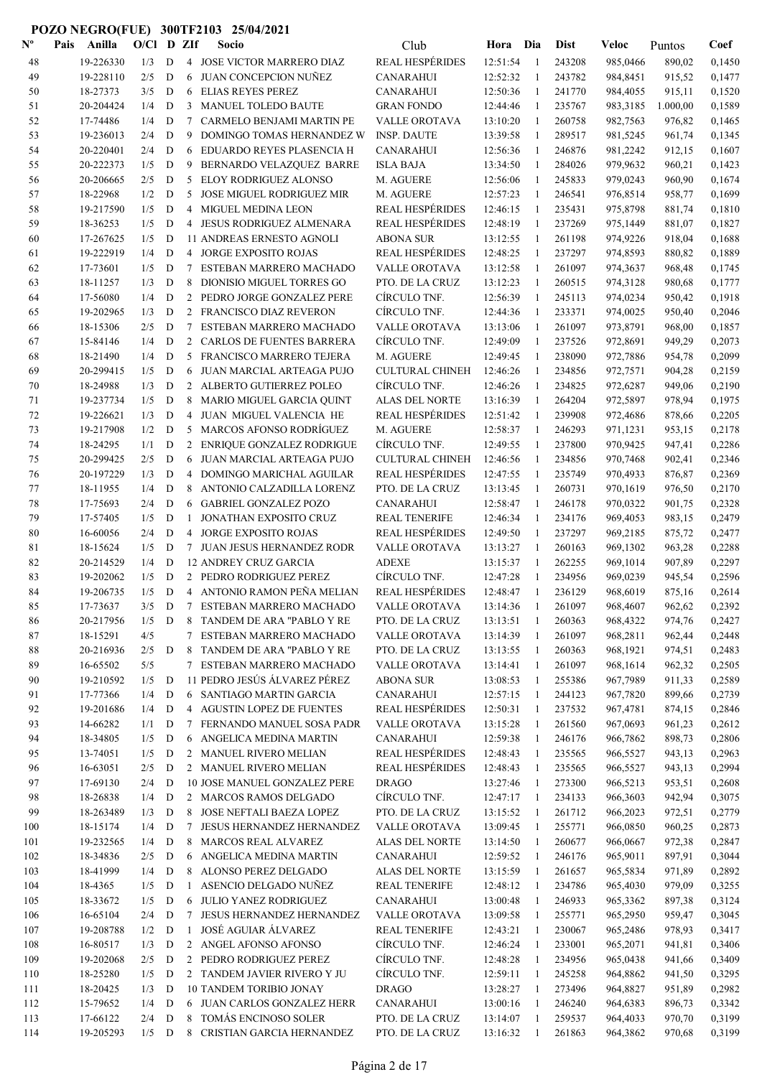| $\mathbf{N}^{\mathbf{o}}$ | Pais<br>Anilla        | O/Cl       |             | D ZIf          | Socio                                                  | Club                                            | Hora                 | Dia               | <b>Dist</b>      | Veloc                | Puntos           | Coef             |
|---------------------------|-----------------------|------------|-------------|----------------|--------------------------------------------------------|-------------------------------------------------|----------------------|-------------------|------------------|----------------------|------------------|------------------|
| 48                        | 19-226330             | 1/3        | D           |                | 4 JOSE VICTOR MARRERO DIAZ                             | <b>REAL HESPÉRIDES</b>                          | 12:51:54             | $\mathbf{1}$      | 243208           | 985,0466             | 890,02           | 0,1450           |
| 49                        | 19-228110             | 2/5        | D           | 6              | JUAN CONCEPCION NUÑEZ                                  | <b>CANARAHUI</b>                                | 12:52:32             | $\mathbf{1}$      | 243782           | 984,8451             | 915,52           | 0,1477           |
| 50                        | 18-27373              | 3/5        | D           | 6              | ELIAS REYES PEREZ                                      | CANARAHUI                                       | 12:50:36             | $\mathbf{1}$      | 241770           | 984,4055             | 915,11           | 0,1520           |
| 51                        | 20-204424             | 1/4        | D           | 3              | <b>MANUEL TOLEDO BAUTE</b>                             | <b>GRAN FONDO</b>                               | 12:44:46             | -1                | 235767           | 983,3185             | 1.000,00         | 0,1589           |
| 52                        | 17-74486              | 1/4        | D           | 7              | CARMELO BENJAMI MARTIN PE                              | VALLE OROTAVA                                   | 13:10:20             | -1                | 260758           | 982,7563             | 976,82           | 0,1465           |
| 53                        | 19-236013             | 2/4        | D           | 9              | DOMINGO TOMAS HERNANDEZ W                              | <b>INSP. DAUTE</b>                              | 13:39:58             | $\mathbf{1}$      | 289517           | 981,5245             | 961,74           | 0,1345           |
| 54                        | 20-220401             | 2/4        | D           | 6              | EDUARDO REYES PLASENCIA H                              | <b>CANARAHUI</b>                                | 12:56:36             | -1                | 246876           | 981,2242             | 912,15           | 0,1607           |
| 55                        | 20-222373             | 1/5        | D           | 9              | BERNARDO VELAZQUEZ BARRE                               | <b>ISLA BAJA</b>                                | 13:34:50             | 1                 | 284026           | 979,9632             | 960,21           | 0,1423           |
| 56                        | 20-206665             | 2/5        | ${\bf D}$   | 5              | ELOY RODRIGUEZ ALONSO                                  | M. AGUERE                                       | 12:56:06             | 1                 | 245833           | 979,0243             | 960,90           | 0,1674           |
| 57                        | 18-22968              | 1/2        | $\mathbf D$ | 5              | <b>JOSE MIGUEL RODRIGUEZ MIR</b>                       | M. AGUERE                                       | 12:57:23             | 1                 | 246541           | 976,8514             | 958,77           | 0,1699           |
| 58                        | 19-217590             | 1/5        | D           |                | 4 MIGUEL MEDINA LEON                                   | <b>REAL HESPÉRIDES</b>                          | 12:46:15             | 1                 | 235431           | 975,8798             | 881,74           | 0,1810           |
| 59                        | 18-36253              | 1/5        | D           |                | 4 JESUS RODRIGUEZ ALMENARA                             | <b>REAL HESPÉRIDES</b>                          | 12:48:19             | $\mathbf{1}$      | 237269           | 975,1449             | 881,07           | 0,1827           |
| 60                        | 17-267625             | 1/5        | D           |                | 11 ANDREAS ERNESTO AGNOLI                              | <b>ABONA SUR</b>                                | 13:12:55             | 1                 | 261198           | 974,9226             | 918,04           | 0,1688           |
| 61                        | 19-222919             | 1/4        | D           | 4              | <b>JORGE EXPOSITO ROJAS</b>                            | <b>REAL HESPÉRIDES</b>                          | 12:48:25             | $\mathbf{1}$      | 237297           | 974,8593             | 880,82           | 0,1889           |
| 62                        | 17-73601              | 1/5        | D           | 7              | ESTEBAN MARRERO MACHADO                                | VALLE OROTAVA                                   | 13:12:58             | $\mathbf{1}$      | 261097           | 974,3637             | 968,48           | 0,1745           |
| 63                        | 18-11257              | 1/3        | D           | 8              | DIONISIO MIGUEL TORRES GO                              | PTO. DE LA CRUZ                                 | 13:12:23             | 1                 | 260515           | 974,3128             | 980,68           | 0,1777           |
| 64                        | 17-56080              | 1/4        | D           | $\overline{2}$ | PEDRO JORGE GONZALEZ PERE                              | CÍRCULO TNF.                                    | 12:56:39             | -1                | 245113           | 974,0234             | 950,42           | 0,1918           |
| 65                        | 19-202965             | 1/3        | D           | $\overline{2}$ | FRANCISCO DIAZ REVERON                                 | CÍRCULO TNF.                                    | 12:44:36             | $\mathbf{1}$      | 233371           | 974,0025             | 950,40           | 0,2046           |
| 66                        | 18-15306              | 2/5        | D           | 7              | ESTEBAN MARRERO MACHADO                                | <b>VALLE OROTAVA</b>                            | 13:13:06             | -1                | 261097           | 973,8791             | 968,00           | 0,1857           |
| 67                        | 15-84146              | 1/4        | D           | $\overline{2}$ | <b>CARLOS DE FUENTES BARRERA</b>                       | CIRCULO TNF.                                    | 12:49:09             | 1                 | 237526           | 972,8691             | 949,29           | 0,2073           |
| 68                        | 18-21490              | 1/4        | $\mathbf D$ | 5              | FRANCISCO MARRERO TEJERA                               | M. AGUERE                                       | 12:49:45             | 1                 | 238090           | 972,7886             | 954,78           | 0,2099           |
| 69                        | 20-299415             | 1/5        | $\mathbf D$ | 6              | JUAN MARCIAL ARTEAGA PUJO                              | <b>CULTURAL CHINEH</b><br>CÍRCULO TNF.          | 12:46:26             | 1                 | 234856           | 972,7571             | 904,28           | 0,2159           |
| 70                        | 18-24988<br>19-237734 | 1/3        | $\mathbf D$ |                | 2 ALBERTO GUTIERREZ POLEO<br>MARIO MIGUEL GARCIA QUINT |                                                 | 12:46:26             | 1                 | 234825           | 972,6287             | 949,06           | 0,2190           |
| 71<br>72                  | 19-226621             | 1/5<br>1/3 | D<br>D      | 8<br>4         | JUAN MIGUEL VALENCIA HE                                | <b>ALAS DEL NORTE</b><br><b>REAL HESPÉRIDES</b> | 13:16:39<br>12:51:42 | 1<br>-1           | 264204<br>239908 | 972,5897             | 978,94           | 0,1975<br>0,2205 |
| 73                        | 19-217908             | 1/2        | D           | 5              | MARCOS AFONSO RODRÍGUEZ                                | M. AGUERE                                       | 12:58:37             | 1                 | 246293           | 972,4686<br>971,1231 | 878,66<br>953,15 | 0,2178           |
| 74                        | 18-24295              | 1/1        | D           | $\overline{2}$ | <b>ENRIQUE GONZALEZ RODRIGUE</b>                       | CÍRCULO TNF.                                    | 12:49:55             | $\mathbf{1}$      | 237800           | 970,9425             | 947,41           | 0,2286           |
| 75                        | 20-299425             | 2/5        | D           | 6              | JUAN MARCIAL ARTEAGA PUJO                              | <b>CULTURAL CHINEH</b>                          | 12:46:56             | 1                 | 234856           | 970,7468             | 902,41           | 0,2346           |
| 76                        | 20-197229             | 1/3        | D           | $\overline{4}$ | DOMINGO MARICHAL AGUILAR                               | <b>REAL HESPÉRIDES</b>                          | 12:47:55             | -1                | 235749           | 970,4933             | 876,87           | 0,2369           |
| 77                        | 18-11955              | 1/4        | D           | 8              | ANTONIO CALZADILLA LORENZ                              | PTO. DE LA CRUZ                                 | 13:13:45             | $\mathbf{1}$      | 260731           | 970,1619             | 976,50           | 0,2170           |
| 78                        | 17-75693              | 2/4        | D           | 6              | <b>GABRIEL GONZALEZ POZO</b>                           | <b>CANARAHUI</b>                                | 12:58:47             | $\mathbf{1}$      | 246178           | 970,0322             | 901,75           | 0,2328           |
| 79                        | 17-57405              | 1/5        | D           | $\mathbf{1}$   | JONATHAN EXPOSITO CRUZ                                 | REAL TENERIFE                                   | 12:46:34             | 1                 | 234176           | 969,4053             | 983,15           | 0,2479           |
| 80                        | 16-60056              | 2/4        | D           | 4              | <b>JORGE EXPOSITO ROJAS</b>                            | <b>REAL HESPÉRIDES</b>                          | 12:49:50             | 1                 | 237297           | 969,2185             | 875,72           | 0,2477           |
| 81                        | 18-15624              | 1/5        | D           | $\tau$         | <b>JUAN JESUS HERNANDEZ RODR</b>                       | VALLE OROTAVA                                   | 13:13:27             | 1                 | 260163           | 969,1302             | 963,28           | 0,2288           |
| 82                        | 20-214529             | 1/4        | D           |                | <b>12 ANDREY CRUZ GARCIA</b>                           | <b>ADEXE</b>                                    | 13:15:37             | 1                 | 262255           | 969,1014             | 907,89           | 0,2297           |
| 83                        | 19-202062             | 1/5        | D           |                | 2 PEDRO RODRIGUEZ PEREZ                                | CÍRCULO TNF.                                    | 12:47:28             | 1                 | 234956           | 969,0239             | 945,54           | 0,2596           |
| 84                        | 19-206735             | 1/5        | D           |                | 4 ANTONIO RAMON PEÑA MELIAN                            | <b>REAL HESPÉRIDES</b>                          | 12:48:47             | -1                | 236129           | 968,6019             | 875,16           | 0,2614           |
| 85                        | 17-73637              | 3/5        | D           | $\tau$         | ESTEBAN MARRERO MACHADO                                | VALLE OROTAVA                                   | 13:14:36             |                   | 261097           | 968,4607             | 962,62           | 0,2392           |
| 86                        | 20-217956             | 1/5        | D           |                | 8 TANDEM DE ARA "PABLO Y RE                            | PTO. DE LA CRUZ                                 | 13:13:51             | 1                 | 260363           | 968,4322             | 974,76           | 0,2427           |
| 87                        | 18-15291              | 4/5        |             | 7              | ESTEBAN MARRERO MACHADO                                | <b>VALLE OROTAVA</b>                            | 13:14:39             | 1                 | 261097           | 968,2811             | 962,44           | 0,2448           |
| 88                        | 20-216936             | 2/5        | D           | 8              | TANDEM DE ARA "PABLO Y RE                              | PTO. DE LA CRUZ                                 | 13:13:55             | 1                 | 260363           | 968,1921             | 974,51           | 0,2483           |
| 89                        | 16-65502              | 5/5        |             | $\tau$         | ESTEBAN MARRERO MACHADO                                | VALLE OROTAVA                                   | 13:14:41             | -1                | 261097           | 968,1614             | 962,32           | 0,2505           |
| 90                        | 19-210592             | 1/5        | D           |                | 11 PEDRO JESÚS ÁLVAREZ PÉREZ                           | <b>ABONA SUR</b>                                | 13:08:53             | $\mathbf{1}$      | 255386           | 967,7989             | 911,33           | 0,2589           |
| 91                        | 17-77366              | 1/4        | D           |                | 6 SANTIAGO MARTIN GARCIA                               | <b>CANARAHUI</b>                                | 12:57:15             | 1                 | 244123           | 967,7820             | 899,66           | 0,2739           |
| 92                        | 19-201686             | 1/4        | $\mathbf D$ |                | 4 AGUSTIN LOPEZ DE FUENTES                             | <b>REAL HESPÉRIDES</b>                          | 12:50:31             | 1                 | 237532           | 967,4781             | 874,15           | 0,2846           |
| 93                        | 14-66282              | 1/1        | D           | 7              | FERNANDO MANUEL SOSA PADR                              | VALLE OROTAVA                                   | 13:15:28             | $\mathbf{1}$      | 261560           | 967,0693             | 961,23           | 0,2612           |
| 94                        | 18-34805              | 1/5        | $\mathbf D$ | 6              | ANGELICA MEDINA MARTIN                                 | <b>CANARAHUI</b>                                | 12:59:38             | 1                 | 246176           | 966,7862             | 898,73           | 0,2806           |
| 95                        | 13-74051              | 1/5        | D           |                | 2 MANUEL RIVERO MELIAN                                 | <b>REAL HESPÉRIDES</b>                          | 12:48:43             | 1                 | 235565           | 966,5527             | 943,13           | 0,2963           |
| 96                        | 16-63051              | 2/5        | D           |                | 2 MANUEL RIVERO MELIAN                                 | <b>REAL HESPÉRIDES</b>                          | 12:48:43             | 1                 | 235565           | 966,5527             | 943,13           | 0,2994           |
| 97                        | 17-69130              | 2/4        | D           |                | 10 JOSE MANUEL GONZALEZ PERE                           | <b>DRAGO</b>                                    | 13:27:46             | 1                 | 273300           | 966,5213             | 953,51           | 0,2608           |
| 98                        | 18-26838              | 1/4        | D           |                | 2 MARCOS RAMOS DELGADO                                 | CÍRCULO TNF.                                    | 12:47:17             | 1                 | 234133           | 966,3603             | 942,94           | 0,3075           |
| 99                        | 18-263489             | 1/3        | D           | 8              | JOSE NEFTALI BAEZA LOPEZ                               | PTO. DE LA CRUZ                                 | 13:15:52             | 1                 | 261712           | 966,2023             | 972,51           | 0,2779           |
| 100                       | 18-15174              | 1/4        | D           | 7              | JESUS HERNANDEZ HERNANDEZ                              | <b>VALLE OROTAVA</b>                            | 13:09:45             | 1                 | 255771           | 966,0850             | 960,25           | 0,2873           |
| 101                       | 19-232565             | 1/4        | D           | 8              | <b>MARCOS REAL ALVAREZ</b>                             | ALAS DEL NORTE                                  | 13:14:50             | -1                | 260677           | 966,0667             | 972,38           | 0,2847           |
| 102                       | 18-34836<br>18-41999  | 2/5<br>1/4 | D<br>D      | 6<br>8         | ANGELICA MEDINA MARTIN                                 | <b>CANARAHUI</b>                                | 12:59:52             | $\mathbf{1}$<br>1 | 246176           | 965,9011             | 897,91           | 0,3044           |
| 103<br>104                | 18-4365               | 1/5        | D           | $\mathbf{1}$   | ALONSO PEREZ DELGADO<br>ASENCIO DELGADO NUÑEZ          | ALAS DEL NORTE<br><b>REAL TENERIFE</b>          | 13:15:59<br>12:48:12 | 1                 | 261657<br>234786 | 965,5834<br>965,4030 | 971,89<br>979,09 | 0,2892<br>0,3255 |
| 105                       | 18-33672              | 1/5        | ${\bf D}$   | 6              | JULIO YANEZ RODRIGUEZ                                  | <b>CANARAHUI</b>                                | 13:00:48             | 1                 | 246933           | 965,3362             | 897,38           | 0,3124           |
| 106                       | 16-65104              | 2/4        | D           | 7              | JESUS HERNANDEZ HERNANDEZ                              | VALLE OROTAVA                                   | 13:09:58             | $\mathbf{1}$      | 255771           | 965,2950             | 959,47           | 0,3045           |
| 107                       | 19-208788             | 1/2        | D           | $\mathbf{1}$   | JOSÉ AGUIAR ÁLVAREZ                                    | <b>REAL TENERIFE</b>                            | 12:43:21             | 1                 | 230067           | 965,2486             | 978,93           | 0,3417           |
| 108                       | 16-80517              | 1/3        | D           |                | 2 ANGEL AFONSO AFONSO                                  | CÍRCULO TNF.                                    | 12:46:24             | 1                 | 233001           | 965,2071             | 941,81           | 0,3406           |
| 109                       | 19-202068             | 2/5        | D           | $\overline{2}$ | PEDRO RODRIGUEZ PEREZ                                  | CÍRCULO TNF.                                    | 12:48:28             | 1                 | 234956           | 965,0438             | 941,66           | 0,3409           |
| 110                       | 18-25280              | 1/5        | D           |                | 2 TANDEM JAVIER RIVERO Y JU                            | CÍRCULO TNF.                                    | 12:59:11             | 1                 | 245258           | 964,8862             | 941,50           | 0,3295           |
| 111                       | 18-20425              | 1/3        | $\mathbf D$ |                | 10 TANDEM TORIBIO JONAY                                | <b>DRAGO</b>                                    | 13:28:27             | $\mathbf{1}$      | 273496           | 964,8827             | 951,89           | 0,2982           |
| 112                       | 15-79652              | 1/4        | D           |                | 6 JUAN CARLOS GONZALEZ HERR                            | <b>CANARAHUI</b>                                | 13:00:16             | 1                 | 246240           | 964,6383             | 896,73           | 0,3342           |
| 113                       | 17-66122              | 2/4        | D           | 8              | TOMÁS ENCINOSO SOLER                                   | PTO. DE LA CRUZ                                 | 13:14:07             | 1                 | 259537           | 964,4033             | 970,70           | 0,3199           |
| 114                       | 19-205293             |            | $1/5$ D     | 8              | CRISTIAN GARCIA HERNANDEZ                              | PTO. DE LA CRUZ                                 | 13:16:32             | $\mathbf{1}$      | 261863           | 964,3862             | 970,68           | 0,3199           |
|                           |                       |            |             |                |                                                        |                                                 |                      |                   |                  |                      |                  |                  |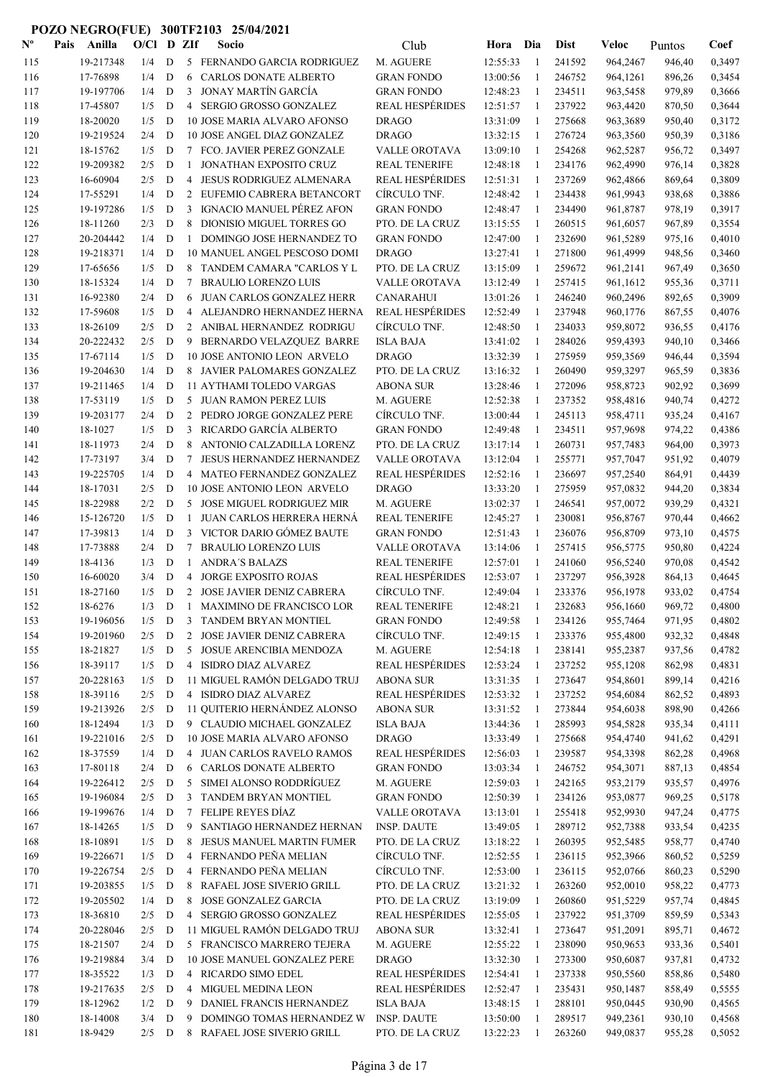| $\mathbf{N}^{\mathbf{o}}$ | Pais | Anilla                 | $O/C1$ D ZIf |                  |                                  | Socio                                                  | Club                            | Hora Dia             |                    | <b>Dist</b>      | Veloc                | Puntos           | Coef             |
|---------------------------|------|------------------------|--------------|------------------|----------------------------------|--------------------------------------------------------|---------------------------------|----------------------|--------------------|------------------|----------------------|------------------|------------------|
| 115                       |      | 19-217348              | 1/4          | D                |                                  | 5 FERNANDO GARCIA RODRIGUEZ                            | M. AGUERE                       | 12:55:33             | -1                 | 241592           | 964,2467             | 946,40           | 0,3497           |
| 116                       |      | 17-76898               | 1/4          | D                | 6                                | CARLOS DONATE ALBERTO                                  | <b>GRAN FONDO</b>               | 13:00:56             | 1                  | 246752           | 964,1261             | 896,26           | 0,3454           |
| 117                       |      | 19-197706              | 1/4          | D                | 3                                | JONAY MARTÍN GARCÍA                                    | <b>GRAN FONDO</b>               | 12:48:23             | 1                  | 234511           | 963,5458             | 979,89           | 0,3666           |
| 118                       |      | 17-45807               | 1/5          | D                |                                  | 4 SERGIO GROSSO GONZALEZ                               | <b>REAL HESPÉRIDES</b>          | 12:51:57             | 1                  | 237922           | 963,4420             | 870,50           | 0,3644           |
| 119                       |      | 18-20020               | 1/5          | D                |                                  | 10 JOSE MARIA ALVARO AFONSO                            | <b>DRAGO</b>                    | 13:31:09             | -1                 | 275668           | 963,3689             | 950,40           | 0,3172           |
| 120                       |      | 19-219524              | 2/4          | D                |                                  | 10 JOSE ANGEL DIAZ GONZALEZ                            | <b>DRAGO</b>                    | 13:32:15             | -1                 | 276724           | 963,3560             | 950,39           | 0,3186           |
| 121                       |      | 18-15762               | 1/5          | D                |                                  | 7 FCO. JAVIER PEREZ GONZALE                            | VALLE OROTAVA                   | 13:09:10             | -1                 | 254268           | 962,5287             | 956,72           | 0,3497           |
| 122                       |      | 19-209382              | 2/5          | D                | $\mathbf{1}$                     | JONATHAN EXPOSITO CRUZ                                 | <b>REAL TENERIFE</b>            | 12:48:18             | -1                 | 234176           | 962,4990             | 976,14           | 0,3828           |
| 123                       |      | 16-60904               | 2/5          | D                | 4                                | <b>JESUS RODRIGUEZ ALMENARA</b>                        | <b>REAL HESPÉRIDES</b>          | 12:51:31             | -1                 | 237269           | 962,4866             | 869,64           | 0,3809           |
| 124                       |      | 17-55291               | 1/4          | D                | 2                                | EUFEMIO CABRERA BETANCORT                              | CÍRCULO TNF.                    | 12:48:42             | 1                  | 234438           | 961,9943             | 938,68           | 0,3886           |
| 125                       |      | 19-197286              | 1/5          | ${\bf D}$        | 3                                | IGNACIO MANUEL PÉREZ AFON                              | <b>GRAN FONDO</b>               | 12:48:47             | 1                  | 234490           | 961,8787             | 978,19           | 0,3917           |
| 126                       |      | 18-11260               | 2/3          | D                | 8                                | DIONISIO MIGUEL TORRES GO                              | PTO. DE LA CRUZ                 | 13:15:55             | 1                  | 260515           | 961,6057             | 967,89           | 0,3554           |
| 127                       |      | 20-204442              | 1/4          | D                | 1                                | DOMINGO JOSE HERNANDEZ TO                              | <b>GRAN FONDO</b>               | 12:47:00             | 1                  | 232690           | 961,5289             | 975,16           | 0,4010           |
| 128                       |      | 19-218371              | 1/4          | D                |                                  | 10 MANUEL ANGEL PESCOSO DOMI                           | <b>DRAGO</b>                    | 13:27:41             | 1                  | 271800           | 961,4999             | 948,56           | 0,3460           |
| 129                       |      | 17-65656               | 1/5          | D                |                                  | 8 TANDEM CAMARA "CARLOS Y L                            | PTO. DE LA CRUZ                 | 13:15:09             | 1                  | 259672           | 961,2141             | 967,49           | 0,3650           |
| 130                       |      | 18-15324               | 1/4          | D                | 7                                | <b>BRAULIO LORENZO LUIS</b>                            | VALLE OROTAVA                   | 13:12:49             | $\mathbf{1}$       | 257415           | 961,1612             | 955,36           | 0,3711           |
| 131                       |      | 16-92380               | 2/4          | D                | 6                                | <b>JUAN CARLOS GONZALEZ HERR</b>                       | <b>CANARAHUI</b>                | 13:01:26             | -1                 | 246240           | 960,2496             | 892,65           | 0,3909           |
| 132                       |      | 17-59608               | 1/5          | D                | 4                                | ALEJANDRO HERNANDEZ HERNA                              | <b>REAL HESPÉRIDES</b>          | 12:52:49             | -1                 | 237948           | 960,1776             | 867,55           | 0,4076           |
| 133                       |      | 18-26109               | 2/5          | D                |                                  | 2 ANIBAL HERNANDEZ RODRIGU                             | CÍRCULO TNF.                    | 12:48:50             | -1                 | 234033           | 959,8072             | 936,55           | 0,4176           |
| 134                       |      | 20-222432              | 2/5          | D                | 9                                | BERNARDO VELAZQUEZ BARRE                               | <b>ISLA BAJA</b>                | 13:41:02             | $\mathbf{1}$       | 284026           | 959,4393             | 940,10           | 0,3466           |
| 135                       |      | 17-67114               | 1/5          | D                |                                  | 10 JOSE ANTONIO LEON ARVELO                            | <b>DRAGO</b>                    | 13:32:39             | 1                  | 275959           | 959,3569             | 946,44           | 0,3594           |
| 136                       |      | 19-204630              | 1/4          | D                |                                  | 8 JAVIER PALOMARES GONZALEZ                            | PTO. DE LA CRUZ                 | 13:16:32             | 1                  | 260490           | 959,3297             | 965,59           | 0,3836           |
| 137                       |      | 19-211465              | 1/4          | D                |                                  | 11 AYTHAMI TOLEDO VARGAS                               | <b>ABONA SUR</b>                | 13:28:46             | 1                  | 272096           | 958,8723             | 902,92           | 0,3699           |
| 138                       |      | 17-53119<br>19-203177  | 1/5          | $\mathbf D$<br>D |                                  | 5 JUAN RAMON PEREZ LUIS<br>2 PEDRO JORGE GONZALEZ PERE | M. AGUERE<br>CÍRCULO TNF.       | 12:52:38<br>13:00:44 | 1                  | 237352<br>245113 | 958,4816<br>958,4711 | 940,74<br>935,24 | 0,4272<br>0,4167 |
| 139                       |      | 18-1027                | 2/4<br>1/5   | D                | 3                                | RICARDO GARCÍA ALBERTO                                 | <b>GRAN FONDO</b>               | 12:49:48             | 1<br>1             | 234511           | 957,9698             |                  | 0,4386           |
| 140<br>141                |      | 18-11973               | 2/4          | D                | 8                                | ANTONIO CALZADILLA LORENZ                              | PTO. DE LA CRUZ                 | 13:17:14             | 1                  | 260731           | 957,7483             | 974,22<br>964,00 | 0,3973           |
| 142                       |      | 17-73197               | 3/4          | D                | 7                                | <b>JESUS HERNANDEZ HERNANDEZ</b>                       | VALLE OROTAVA                   | 13:12:04             | -1                 | 255771           | 957,7047             | 951,92           | 0,4079           |
| 143                       |      | 19-225705              | 1/4          | D                | 4                                | MATEO FERNANDEZ GONZALEZ                               | <b>REAL HESPÉRIDES</b>          | 12:52:16             | -1                 | 236697           | 957,2540             | 864,91           | 0,4439           |
| 144                       |      | 18-17031               | 2/5          | D                |                                  | 10 JOSE ANTONIO LEON ARVELO                            | <b>DRAGO</b>                    | 13:33:20             | 1                  | 275959           | 957,0832             | 944,20           | 0,3834           |
| 145                       |      | 18-22988               | 2/2          | D                | 5                                | JOSE MIGUEL RODRIGUEZ MIR                              | M. AGUERE                       | 13:02:37             | -1                 | 246541           | 957,0072             | 939,29           | 0,4321           |
| 146                       |      | 15-126720              | 1/5          | D                | $\mathbf{1}$                     | JUAN CARLOS HERRERA HERNÁ                              | <b>REAL TENERIFE</b>            | 12:45:27             | -1                 | 230081           | 956,8767             | 970,44           | 0,4662           |
| 147                       |      | 17-39813               | 1/4          | D                |                                  | 3 VICTOR DARIO GÓMEZ BAUTE                             | <b>GRAN FONDO</b>               | 12:51:43             | 1                  | 236076           | 956,8709             | 973,10           | 0,4575           |
| 148                       |      | 17-73888               | 2/4          | D                | 7                                | <b>BRAULIO LORENZO LUIS</b>                            | VALLE OROTAVA                   | 13:14:06             | -1                 | 257415           | 956,5775             | 950,80           | 0,4224           |
| 149                       |      | 18-4136                | 1/3          | $\mathbf D$      | 1                                | <b>ANDRA'S BALAZS</b>                                  | <b>REAL TENERIFE</b>            | 12:57:01             | 1                  | 241060           | 956,5240             | 970,08           | 0,4542           |
| 150                       |      | 16-60020               | 3/4          | $\mathbf D$      | 4                                | <b>JORGE EXPOSITO ROJAS</b>                            | <b>REAL HESPÉRIDES</b>          | 12:53:07             | 1                  | 237297           | 956,3928             | 864,13           | 0,4645           |
| 151                       |      | 18-27160               | 1/5          | D                |                                  | 2 JOSE JAVIER DENIZ CABRERA                            | CÍRCULO TNF.                    | 12:49:04             | $\mathbf{1}$       | 233376           | 956,1978             | 933,02           | 0,4754           |
| 152                       |      | 18-6276                | 1/3          | D                | $\mathbf{1}$                     | MAXIMINO DE FRANCISCO LOR                              | <b>REAL TENERIFE</b>            | 12:48:21             |                    | 232683           | 956,1660             | 969,72           | 0,4800           |
| 153                       |      | 19-196056              | 1/5          | D                |                                  | 3 TANDEM BRYAN MONTIEL                                 | <b>GRAN FONDO</b>               | 12:49:58             | 1                  | 234126           | 955,7464             | 971,95           | 0,4802           |
| 154                       |      | 19-201960              | 2/5          | D                | 2                                | JOSE JAVIER DENIZ CABRERA                              | CÍRCULO TNF.                    | 12:49:15             | 1                  | 233376           | 955,4800             | 932,32           | 0,4848           |
| 155                       |      | 18-21827               | 1/5          | D                | 5                                | JOSUE ARENCIBIA MENDOZA                                | M. AGUERE                       | 12:54:18             | 1                  | 238141           | 955,2387             | 937,56           | 0,4782           |
| 156                       |      | 18-39117               | 1/5          | D                |                                  | 4 ISIDRO DIAZ ALVAREZ                                  | <b>REAL HESPÉRIDES</b>          | 12:53:24             | -1                 | 237252           | 955,1208             | 862,98           | 0,4831           |
| 157                       |      | 20-228163              | 1/5          | D                |                                  | 11 MIGUEL RAMÓN DELGADO TRUJ                           | <b>ABONA SUR</b>                | 13:31:35             | -1                 | 273647           | 954,8601             | 899,14           | 0,4216           |
| 158                       |      | 18-39116               | 2/5          | D                |                                  | 4 ISIDRO DIAZ ALVAREZ                                  | <b>REAL HESPÉRIDES</b>          | 12:53:32             | $\mathbf{1}$       | 237252           | 954,6084             | 862,52           | 0,4893           |
| 159                       |      | 19-213926              | 2/5          | D                |                                  | 11 QUITERIO HERNÁNDEZ ALONSO                           | <b>ABONA SUR</b>                | 13:31:52             | -1                 | 273844           | 954,6038             | 898,90           | 0,4266           |
| 160                       |      | 18-12494               | 1/3          | $\mathbf D$      |                                  | 9 CLAUDIO MICHAEL GONZALEZ                             | <b>ISLA BAJA</b>                | 13:44:36             | 1                  | 285993           | 954,5828             | 935,34           | 0,4111           |
| 161                       |      | 19-221016              | 2/5          | $\mathbf D$      |                                  | 10 JOSE MARIA ALVARO AFONSO                            | <b>DRAGO</b>                    | 13:33:49             | 1                  | 275668           | 954,4740             | 941,62           | 0,4291           |
| 162                       |      | 18-37559               | 1/4          | D                |                                  | 4 JUAN CARLOS RAVELO RAMOS                             | <b>REAL HESPÉRIDES</b>          | 12:56:03             | 1                  | 239587           | 954,3398             | 862,28           | 0,4968           |
| 163                       |      | 17-80118               | 2/4          | D                |                                  | 6 CARLOS DONATE ALBERTO                                | <b>GRAN FONDO</b>               | 13:03:34             | 1                  | 246752           | 954,3071             | 887,13           | 0,4854           |
| 164                       |      | 19-226412              | 2/5          | D                |                                  | 5 SIMEI ALONSO RODDRÍGUEZ                              | M. AGUERE                       | 12:59:03             | 1                  | 242165           | 953,2179             | 935,57           | 0,4976           |
| 165                       |      | 19-196084              | 2/5          | D                | 3                                | TANDEM BRYAN MONTIEL                                   | <b>GRAN FONDO</b>               | 12:50:39             | 1                  | 234126           | 953,0877             | 969,25           | 0,5178           |
| 166                       |      | 19-199676              | 1/4          | D                | $\tau$                           | FELIPE REYES DÍAZ                                      | VALLE OROTAVA                   | 13:13:01             | 1                  | 255418           | 952,9930             | 947,24           | 0,4775           |
| 167                       |      | 18-14265               | 1/5          | D                | 9                                | SANTIAGO HERNANDEZ HERNAN                              | <b>INSP. DAUTE</b>              | 13:49:05             | 1                  | 289712           | 952,7388             | 933,54           | 0,4235           |
| 168                       |      | 18-10891               | 1/5          | D                | 8                                | JESUS MANUEL MARTIN FUMER                              | PTO. DE LA CRUZ<br>CÍRCULO TNF. | 13:18:22             | -1                 | 260395           | 952,5485             | 958,77           | 0,4740           |
| 169<br>170                |      | 19-226671<br>19-226754 | 1/5<br>2/5   | D<br>D           | $\overline{4}$<br>$\overline{4}$ | FERNANDO PEÑA MELIAN<br>FERNANDO PEÑA MELIAN           | CÍRCULO TNF.                    | 12:52:55<br>12:53:00 | -1<br>$\mathbf{1}$ | 236115<br>236115 | 952,3966<br>952,0766 | 860,52<br>860,23 | 0,5259<br>0,5290 |
| 171                       |      | 19-203855              | 1/5          | D                | 8                                | RAFAEL JOSE SIVERIO GRILL                              | PTO. DE LA CRUZ                 | 13:21:32             | -1                 | 263260           | 952,0010             | 958,22           | 0,4773           |
| 172                       |      | 19-205502              | 1/4          | D                | 8                                | JOSE GONZALEZ GARCIA                                   | PTO. DE LA CRUZ                 | 13:19:09             | 1                  | 260860           | 951,5229             | 957,74           | 0,4845           |
| 173                       |      | 18-36810               | 2/5          | D                |                                  | 4 SERGIO GROSSO GONZALEZ                               | <b>REAL HESPÉRIDES</b>          | 12:55:05             | 1                  | 237922           | 951,3709             | 859,59           | 0,5343           |
| 174                       |      | 20-228046              | 2/5          | D                |                                  | 11 MIGUEL RAMÓN DELGADO TRUJ                           | <b>ABONA SUR</b>                | 13:32:41             | 1                  | 273647           | 951,2091             | 895,71           | 0,4672           |
| 175                       |      | 18-21507               | 2/4          | D                |                                  | 5 FRANCISCO MARRERO TEJERA                             | M. AGUERE                       | 12:55:22             | 1                  | 238090           | 950,9653             | 933,36           | 0,5401           |
| 176                       |      | 19-219884              | 3/4          | D                |                                  | 10 JOSE MANUEL GONZALEZ PERE                           | <b>DRAGO</b>                    | 13:32:30             | 1                  | 273300           | 950,6087             | 937,81           | 0,4732           |
| 177                       |      | 18-35522               | 1/3          | D                |                                  | 4 RICARDO SIMO EDEL                                    | <b>REAL HESPÉRIDES</b>          | 12:54:41             | 1                  | 237338           | 950,5560             | 858,86           | 0,5480           |
| 178                       |      | 19-217635              | 2/5          | D                | $\overline{4}$                   | MIGUEL MEDINA LEON                                     | <b>REAL HESPÉRIDES</b>          | 12:52:47             | 1                  | 235431           | 950,1487             | 858,49           | 0,5555           |
| 179                       |      | 18-12962               | 1/2          | D                | 9                                | DANIEL FRANCIS HERNANDEZ                               | <b>ISLA BAJA</b>                | 13:48:15             | 1                  | 288101           | 950,0445             | 930,90           | 0,4565           |
| 180                       |      | 18-14008               | 3/4          | D                | 9                                | DOMINGO TOMAS HERNANDEZ W                              | <b>INSP. DAUTE</b>              | 13:50:00             | 1                  | 289517           | 949,2361             | 930,10           | 0,4568           |
| 181                       |      | 18-9429                | $2/5$ D      |                  |                                  | 8 RAFAEL JOSE SIVERIO GRILL                            | PTO. DE LA CRUZ                 | 13:22:23             | -1                 | 263260           | 949,0837             | 955,28           | 0,5052           |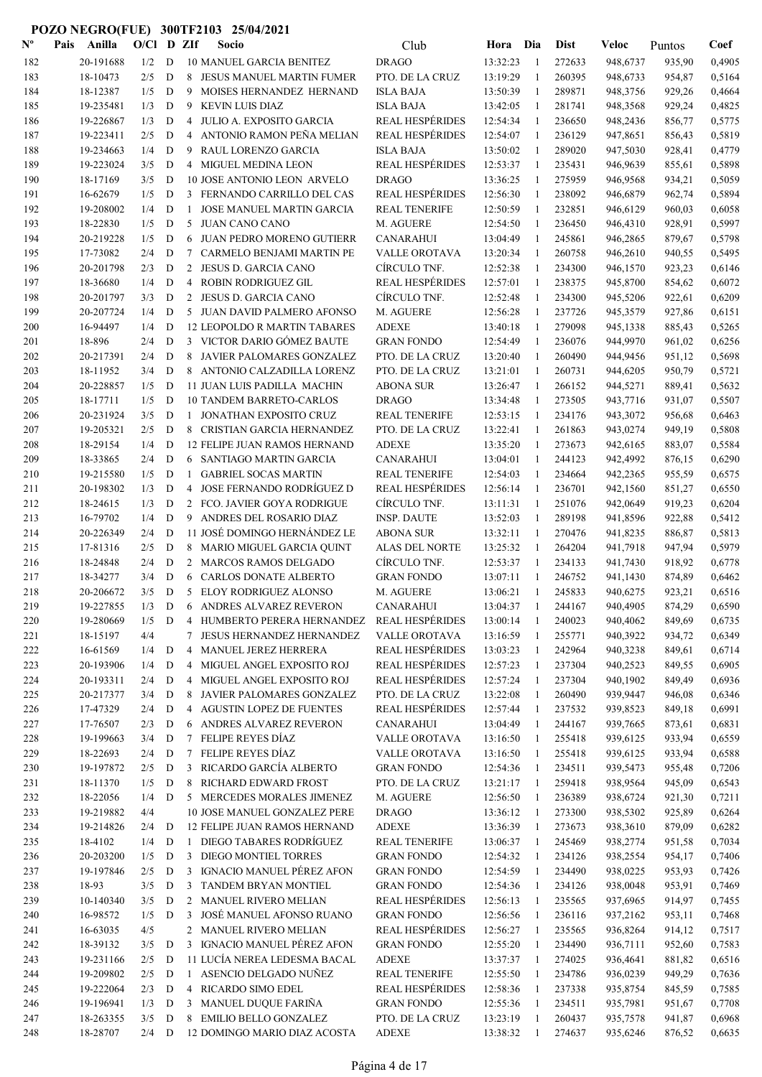| $\mathbf{N}^{\mathbf{o}}$ | Pais | Anilla    | O/Cl    |             | D ZIf          | Socio                               | Club                   | Hora     | Dia          | <b>Dist</b> | Veloc    | Puntos | Coef   |
|---------------------------|------|-----------|---------|-------------|----------------|-------------------------------------|------------------------|----------|--------------|-------------|----------|--------|--------|
| 182                       |      | 20-191688 | 1/2     | D           |                | <b>10 MANUEL GARCIA BENITEZ</b>     | <b>DRAGO</b>           | 13:32:23 | -1           | 272633      | 948,6737 | 935,90 | 0,4905 |
| 183                       |      | 18-10473  | 2/5     | D           | 8              | JESUS MANUEL MARTIN FUMER           | PTO. DE LA CRUZ        | 13:19:29 | $\mathbf{1}$ | 260395      | 948,6733 | 954,87 | 0,5164 |
| 184                       |      | 18-12387  | 1/5     | D           | 9              | MOISES HERNANDEZ HERNAND            | <b>ISLA BAJA</b>       | 13:50:39 | 1            | 289871      | 948,3756 | 929,26 | 0,4664 |
| 185                       |      | 19-235481 | 1/3     | D           | 9              | <b>KEVIN LUIS DIAZ</b>              | <b>ISLA BAJA</b>       | 13:42:05 | -1           | 281741      | 948,3568 | 929,24 | 0,4825 |
| 186                       |      | 19-226867 | 1/3     | D           | 4              | JULIO A. EXPOSITO GARCIA            | <b>REAL HESPÉRIDES</b> | 12:54:34 | $\mathbf{1}$ | 236650      | 948,2436 | 856,77 | 0,5775 |
| 187                       |      | 19-223411 | 2/5     | D           | 4              | ANTONIO RAMON PEÑA MELIAN           | <b>REAL HESPÉRIDES</b> | 12:54:07 | $\mathbf{1}$ | 236129      | 947,8651 | 856,43 | 0,5819 |
| 188                       |      | 19-234663 | 1/4     | D           | 9              | RAUL LORENZO GARCIA                 | <b>ISLA BAJA</b>       | 13:50:02 | -1           | 289020      | 947,5030 | 928,41 | 0,4779 |
| 189                       |      | 19-223024 | 3/5     | D           | 4              | <b>MIGUEL MEDINA LEON</b>           | <b>REAL HESPÉRIDES</b> | 12:53:37 | 1            | 235431      | 946,9639 | 855,61 | 0,5898 |
| 190                       |      | 18-17169  | 3/5     | D           |                | 10 JOSE ANTONIO LEON ARVELO         | <b>DRAGO</b>           | 13:36:25 | 1            | 275959      | 946,9568 | 934,21 | 0,5059 |
| 191                       |      | 16-62679  | 1/5     | D           |                | 3 FERNANDO CARRILLO DEL CAS         | <b>REAL HESPÉRIDES</b> | 12:56:30 | 1            | 238092      | 946,6879 | 962,74 | 0,5894 |
| 192                       |      | 19-208002 | 1/4     | D           | -1             | <b>JOSE MANUEL MARTIN GARCIA</b>    | <b>REAL TENERIFE</b>   | 12:50:59 | 1            | 232851      | 946,6129 | 960,03 | 0,6058 |
| 193                       |      | 18-22830  | 1/5     | D           | 5              | <b>JUAN CANO CANO</b>               | M. AGUERE              | 12:54:50 | 1            | 236450      | 946,4310 | 928,91 | 0,5997 |
| 194                       |      | 20-219228 | 1/5     | D           | 6              | JUAN PEDRO MORENO GUTIERR           | CANARAHUI              | 13:04:49 | 1            | 245861      | 946,2865 | 879,67 | 0,5798 |
| 195                       |      | 17-73082  | 2/4     | D           | 7              | CARMELO BENJAMI MARTIN PE           | VALLE OROTAVA          | 13:20:34 | $\mathbf{1}$ | 260758      | 946,2610 | 940,55 | 0,5495 |
| 196                       |      | 20-201798 | 2/3     | D           | 2              | JESUS D. GARCIA CANO                | CÍRCULO TNF.           | 12:52:38 | 1            | 234300      | 946,1570 | 923,23 | 0,6146 |
| 197                       |      | 18-36680  | 1/4     | D           | 4              | <b>ROBIN RODRIGUEZ GIL</b>          | <b>REAL HESPÉRIDES</b> | 12:57:01 | 1            | 238375      | 945,8700 | 854,62 | 0,6072 |
| 198                       |      | 20-201797 | 3/3     | D           | 2              | JESUS D. GARCIA CANO                | CÍRCULO TNF.           | 12:52:48 | -1           | 234300      | 945,5206 | 922,61 | 0,6209 |
| 199                       |      | 20-207724 | 1/4     | D           |                | 5 JUAN DAVID PALMERO AFONSO         | M. AGUERE              | 12:56:28 | $\mathbf{1}$ | 237726      | 945,3579 | 927,86 | 0,6151 |
| 200                       |      | 16-94497  | 1/4     | D           |                | <b>12 LEOPOLDO R MARTIN TABARES</b> | <b>ADEXE</b>           | 13:40:18 | -1           | 279098      | 945,1338 | 885,43 | 0,5265 |
| 201                       |      | 18-896    | 2/4     | D           |                | 3 VICTOR DARIO GÓMEZ BAUTE          | <b>GRAN FONDO</b>      | 12:54:49 | 1            | 236076      | 944,9970 | 961,02 | 0,6256 |
| 202                       |      | 20-217391 | 2/4     | $\mathbf D$ |                | 8 JAVIER PALOMARES GONZALEZ         | PTO. DE LA CRUZ        | 13:20:40 | 1            | 260490      | 944,9456 | 951,12 | 0,5698 |
| 203                       |      | 18-11952  | 3/4     | D           |                | 8 ANTONIO CALZADILLA LORENZ         | PTO. DE LA CRUZ        | 13:21:01 | 1            | 260731      | 944,6205 | 950,79 | 0,5721 |
| 204                       |      | 20-228857 | 1/5     | D           |                | 11 JUAN LUIS PADILLA MACHIN         | <b>ABONA SUR</b>       | 13:26:47 | 1            | 266152      | 944,5271 | 889,41 | 0,5632 |
| 205                       |      | 18-17711  | 1/5     | D           |                | <b>10 TANDEM BARRETO-CARLOS</b>     | <b>DRAGO</b>           | 13:34:48 | 1            | 273505      | 943,7716 | 931,07 | 0,5507 |
| 206                       |      | 20-231924 | 3/5     | D           | $\mathbf{1}$   | JONATHAN EXPOSITO CRUZ              | <b>REAL TENERIFE</b>   | 12:53:15 | 1            | 234176      | 943,3072 | 956,68 | 0,6463 |
| 207                       |      | 19-205321 | 2/5     | D           |                | 8 CRISTIAN GARCIA HERNANDEZ         | PTO. DE LA CRUZ        | 13:22:41 | -1           | 261863      | 943,0274 | 949,19 | 0,5808 |
| 208                       |      | 18-29154  | 1/4     | D           |                | <b>12 FELIPE JUAN RAMOS HERNAND</b> | <b>ADEXE</b>           | 13:35:20 | 1            | 273673      | 942,6165 | 883,07 | 0,5584 |
| 209                       |      | 18-33865  | 2/4     | D           | 6              | SANTIAGO MARTIN GARCIA              | <b>CANARAHUI</b>       | 13:04:01 | -1           | 244123      | 942,4992 | 876,15 | 0,6290 |
| 210                       |      | 19-215580 | 1/5     | D           | -1             | <b>GABRIEL SOCAS MARTIN</b>         | <b>REAL TENERIFE</b>   | 12:54:03 | -1           | 234664      | 942,2365 | 955,59 | 0,6575 |
| 211                       |      | 20-198302 | 1/3     | D           | $\overline{4}$ | <b>JOSE FERNANDO RODRÍGUEZ D</b>    | <b>REAL HESPÉRIDES</b> | 12:56:14 | $\mathbf{1}$ | 236701      | 942,1560 | 851,27 | 0,6550 |
| 212                       |      | 18-24615  | 1/3     | D           |                | 2 FCO. JAVIER GOYA RODRIGUE         | CÍRCULO TNF.           | 13:11:31 | -1           | 251076      | 942,0649 | 919,23 | 0,6204 |
| 213                       |      | 16-79702  | 1/4     | D           | 9              | ANDRES DEL ROSARIO DIAZ             | <b>INSP. DAUTE</b>     | 13:52:03 | 1            | 289198      | 941,8596 | 922,88 | 0,5412 |
| 214                       |      | 20-226349 | 2/4     | D           |                | 11 JOSÉ DOMINGO HERNÁNDEZ LE        | <b>ABONA SUR</b>       | 13:32:11 | 1            | 270476      | 941,8235 | 886,87 | 0,5813 |
| 215                       |      | 17-81316  | 2/5     | $\mathbf D$ |                | 8 MARIO MIGUEL GARCIA QUINT         | ALAS DEL NORTE         | 13:25:32 | 1            | 264204      | 941,7918 | 947,94 | 0,5979 |
| 216                       |      | 18-24848  | 2/4     | D           |                | 2 MARCOS RAMOS DELGADO              | CÍRCULO TNF.           | 12:53:37 | 1            | 234133      | 941,7430 | 918,92 | 0,6778 |
| 217                       |      | 18-34277  | 3/4     | D           | 6              | <b>CARLOS DONATE ALBERTO</b>        | <b>GRAN FONDO</b>      | 13:07:11 | 1            | 246752      | 941,1430 | 874,89 | 0,6462 |
| 218                       |      | 20-206672 | 3/5     | D           | 5              | ELOY RODRIGUEZ ALONSO               | M. AGUERE              | 13:06:21 | 1            | 245833      | 940,6275 | 923,21 | 0,6516 |
| 219                       |      | 19-227855 | 1/3     | D           | 6              | ANDRES ALVAREZ REVERON              | <b>CANARAHUI</b>       | 13:04:37 | -1           | 244167      | 940,4905 | 874,29 | 0,6590 |
| 220                       |      | 19-280669 | 1/5     | D           |                | 4 HUMBERTO PERERA HERNANDEZ         | <b>REAL HESPÉRIDES</b> | 13:00:14 | 1            | 240023      | 940,4062 | 849,69 | 0,6735 |
| 221                       |      | 18-15197  | 4/4     |             | 7              | JESUS HERNANDEZ HERNANDEZ           | <b>VALLE OROTAVA</b>   | 13:16:59 | -1           | 255771      | 940,3922 | 934,72 | 0,6349 |
| 222                       |      | 16-61569  | 1/4     | $\mathbf D$ | 4              | MANUEL JEREZ HERRERA                | <b>REAL HESPÉRIDES</b> | 13:03:23 | -1           | 242964      | 940,3238 | 849,61 | 0,6714 |
| 223                       |      | 20-193906 | 1/4     | D           | $\overline{4}$ | MIGUEL ANGEL EXPOSITO ROJ           | <b>REAL HESPÉRIDES</b> | 12:57:23 | $\mathbf{1}$ | 237304      | 940,2523 | 849,55 | 0,6905 |
| 224                       |      | 20-193311 | 2/4     | D           | 4              | MIGUEL ANGEL EXPOSITO ROJ           | <b>REAL HESPÉRIDES</b> | 12:57:24 | $\mathbf{1}$ | 237304      | 940,1902 | 849,49 | 0,6936 |
| 225                       |      | 20-217377 | 3/4     | $\mathbf D$ | 8              | JAVIER PALOMARES GONZALEZ           | PTO. DE LA CRUZ        | 13:22:08 | 1            | 260490      | 939,9447 | 946,08 | 0,6346 |
| 226                       |      | 17-47329  | 2/4     | D           |                | 4 AGUSTIN LOPEZ DE FUENTES          | <b>REAL HESPÉRIDES</b> | 12:57:44 | 1            | 237532      | 939,8523 | 849,18 | 0,6991 |
| 227                       |      | 17-76507  | 2/3     | D           |                | 6 ANDRES ALVAREZ REVERON            | <b>CANARAHUI</b>       | 13:04:49 | 1            | 244167      | 939,7665 | 873,61 | 0,6831 |
| 228                       |      | 19-199663 | 3/4     | D           |                | 7 FELIPE REYES DÍAZ                 | VALLE OROTAVA          | 13:16:50 | 1            | 255418      | 939,6125 | 933,94 | 0,6559 |
| 229                       |      | 18-22693  | 2/4     | D           |                | 7 FELIPE REYES DÍAZ                 | <b>VALLE OROTAVA</b>   | 13:16:50 | 1            | 255418      | 939,6125 | 933,94 | 0,6588 |
| 230                       |      | 19-197872 | 2/5     | D           | 3              | RICARDO GARCÍA ALBERTO              | <b>GRAN FONDO</b>      | 12:54:36 | 1            | 234511      | 939,5473 | 955,48 | 0,7206 |
| 231                       |      | 18-11370  | 1/5     | D           | 8              | RICHARD EDWARD FROST                | PTO. DE LA CRUZ        | 13:21:17 | 1            | 259418      | 938,9564 | 945,09 | 0,6543 |
| 232                       |      | 18-22056  | 1/4     | D           |                | 5 MERCEDES MORALES JIMENEZ          | M. AGUERE              | 12:56:50 | $\mathbf{1}$ | 236389      | 938,6724 | 921,30 | 0,7211 |
| 233                       |      | 19-219882 | 4/4     |             |                | 10 JOSE MANUEL GONZALEZ PERE        | <b>DRAGO</b>           | 13:36:12 | -1           | 273300      | 938,5302 | 925,89 | 0,6264 |
| 234                       |      | 19-214826 | 2/4     | D           |                | 12 FELIPE JUAN RAMOS HERNAND        | <b>ADEXE</b>           | 13:36:39 | -1           | 273673      | 938,3610 | 879,09 | 0,6282 |
| 235                       |      | 18-4102   | 1/4     | D           |                | 1 DIEGO TABARES RODRÍGUEZ           | <b>REAL TENERIFE</b>   | 13:06:37 | -1           | 245469      | 938,2774 | 951,58 | 0,7034 |
| 236                       |      | 20-203200 | 1/5     | D           |                | 3 DIEGO MONTIEL TORRES              | <b>GRAN FONDO</b>      | 12:54:32 | -1           | 234126      | 938,2554 | 954,17 | 0,7406 |
| 237                       |      | 19-197846 | 2/5     | D           | 3              | IGNACIO MANUEL PÉREZ AFON           | <b>GRAN FONDO</b>      | 12:54:59 | 1            | 234490      | 938,0225 | 953,93 | 0,7426 |
| 238                       |      | 18-93     | 3/5     | ${\bf D}$   | 3              | TANDEM BRYAN MONTIEL                | <b>GRAN FONDO</b>      | 12:54:36 | 1            | 234126      | 938,0048 | 953,91 | 0,7469 |
| 239                       |      | 10-140340 | 3/5     | D           |                | 2 MANUEL RIVERO MELIAN              | <b>REAL HESPÉRIDES</b> | 12:56:13 | 1            | 235565      | 937,6965 | 914,97 | 0,7455 |
| 240                       |      | 16-98572  | 1/5     | D           | 3              | JOSÉ MANUEL AFONSO RUANO            | <b>GRAN FONDO</b>      | 12:56:56 | 1            | 236116      | 937,2162 | 953,11 | 0,7468 |
| 241                       |      | 16-63035  | 4/5     |             |                | 2 MANUEL RIVERO MELIAN              | <b>REAL HESPÉRIDES</b> | 12:56:27 | -1           | 235565      | 936,8264 | 914,12 | 0,7517 |
| 242                       |      | 18-39132  | 3/5     | D           |                | 3 IGNACIO MANUEL PÉREZ AFON         | <b>GRAN FONDO</b>      | 12:55:20 | 1            | 234490      | 936,7111 | 952,60 | 0,7583 |
| 243                       |      | 19-231166 | 2/5     | D           |                | 11 LUCÍA NEREA LEDESMA BACAL        | <b>ADEXE</b>           | 13:37:37 | 1            | 274025      | 936,4641 | 881,82 | 0,6516 |
| 244                       |      | 19-209802 | 2/5     | D           | $\mathbf{1}$   | ASENCIO DELGADO NUÑEZ               | <b>REAL TENERIFE</b>   | 12:55:50 | $\mathbf{1}$ | 234786      | 936,0239 | 949,29 | 0,7636 |
| 245                       |      | 19-222064 | 2/3     | D           | $\overline{4}$ | RICARDO SIMO EDEL                   | <b>REAL HESPÉRIDES</b> | 12:58:36 | 1            | 237338      | 935,8754 | 845,59 | 0,7585 |
| 246                       |      | 19-196941 | 1/3     | D           |                | 3 MANUEL DUQUE FARIÑA               | <b>GRAN FONDO</b>      | 12:55:36 | -1           | 234511      | 935,7981 | 951,67 | 0,7708 |
| 247                       |      | 18-263355 | 3/5     | D           | 8              | <b>EMILIO BELLO GONZALEZ</b>        | PTO. DE LA CRUZ        | 13:23:19 | -1           | 260437      | 935,7578 | 941,87 | 0,6968 |
| 248                       |      | 18-28707  | $2/4$ D |             |                | 12 DOMINGO MARIO DIAZ ACOSTA        | <b>ADEXE</b>           | 13:38:32 | -1           | 274637      | 935,6246 | 876,52 | 0,6635 |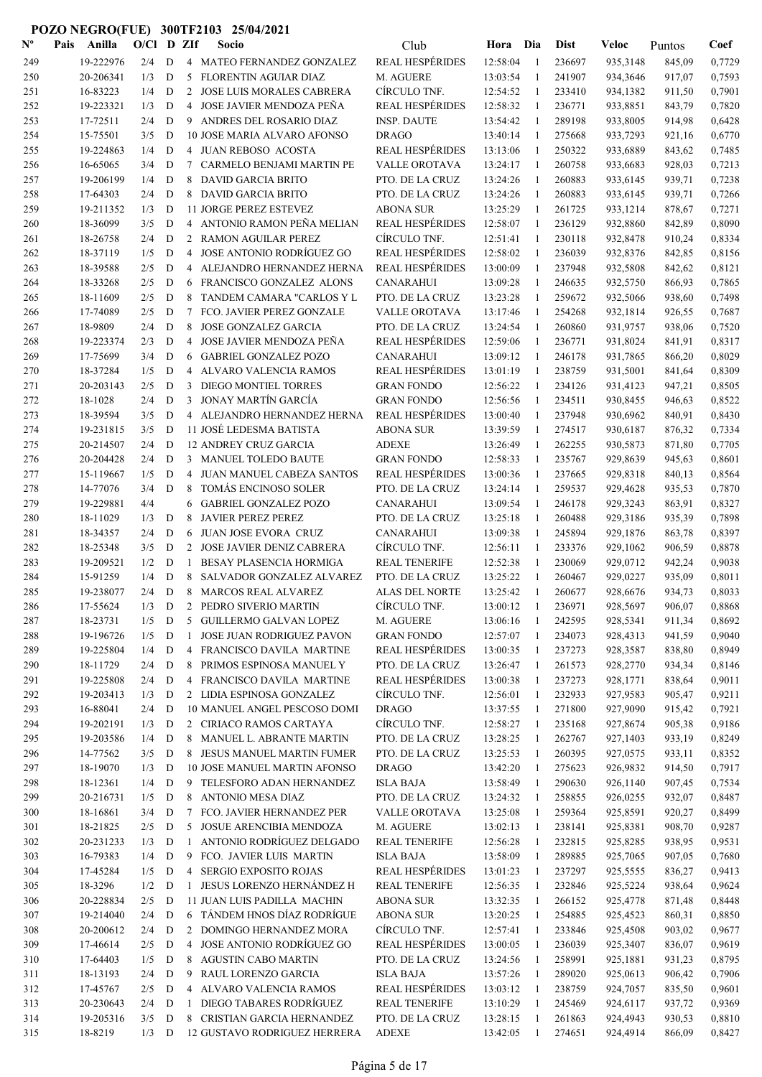| $\mathbf{N}^{\mathbf{o}}$ | Pais | Anilla               | $O/C1$ D ZIf |              |                | Socio                                                       | Club                                | Hora Dia             |              | <b>Dist</b>      | Veloc                | Puntos           | Coef             |
|---------------------------|------|----------------------|--------------|--------------|----------------|-------------------------------------------------------------|-------------------------------------|----------------------|--------------|------------------|----------------------|------------------|------------------|
| 249                       |      | 19-222976            | 2/4          | D            |                | 4 MATEO FERNANDEZ GONZALEZ                                  | <b>REAL HESPÉRIDES</b>              | 12:58:04             | -1           | 236697           | 935,3148             | 845,09           | 0,7729           |
| 250                       |      | 20-206341            | 1/3          | D            | 5              | FLORENTIN AGUIAR DIAZ                                       | M. AGUERE                           | 13:03:54             | 1            | 241907           | 934,3646             | 917,07           | 0,7593           |
| 251                       |      | 16-83223             | 1/4          | D            | 2              | JOSE LUIS MORALES CABRERA                                   | CÍRCULO TNF.                        | 12:54:52             | -1           | 233410           | 934,1382             | 911,50           | 0,7901           |
| 252                       |      | 19-223321            | 1/3          | D            | 4              | JOSE JAVIER MENDOZA PEÑA                                    | <b>REAL HESPÉRIDES</b>              | 12:58:32             | 1            | 236771           | 933,8851             | 843,79           | 0,7820           |
| 253                       |      | 17-72511             | 2/4          | D            |                | 9 ANDRES DEL ROSARIO DIAZ                                   | <b>INSP. DAUTE</b>                  | 13:54:42             | -1           | 289198           | 933,8005             | 914,98           | 0,6428           |
| 254                       |      | 15-75501             | 3/5          | D            |                | 10 JOSE MARIA ALVARO AFONSO                                 | <b>DRAGO</b>                        | 13:40:14             | 1            | 275668           | 933,7293             | 921,16           | 0,6770           |
| 255                       |      | 19-224863            | 1/4          | D            | 4              | JUAN REBOSO ACOSTA                                          | <b>REAL HESPÉRIDES</b>              | 13:13:06             | 1            | 250322           | 933,6889             | 843,62           | 0,7485           |
| 256                       |      | 16-65065             | 3/4          | D            | 7              | CARMELO BENJAMI MARTIN PE                                   | VALLE OROTAVA                       | 13:24:17             | -1           | 260758           | 933,6683             | 928,03           | 0,7213           |
| 257                       |      | 19-206199            | 1/4          | D            | 8              | <b>DAVID GARCIA BRITO</b>                                   | PTO. DE LA CRUZ                     | 13:24:26             | $\mathbf{1}$ | 260883           | 933,6145             | 939,71           | 0,7238           |
| 258                       |      | 17-64303             | 2/4          | D            | 8              | <b>DAVID GARCIA BRITO</b>                                   | PTO. DE LA CRUZ                     | 13:24:26             | -1           | 260883           | 933,6145             | 939,71           | 0,7266           |
| 259                       |      | 19-211352            | 1/3          | D            |                | 11 JORGE PEREZ ESTEVEZ                                      | <b>ABONA SUR</b>                    | 13:25:29             | -1           | 261725           | 933,1214             | 878,67           | 0,7271           |
| 260                       |      | 18-36099             | 3/5          | ${\bf D}$    |                | 4 ANTONIO RAMON PEÑA MELIAN                                 | <b>REAL HESPÉRIDES</b>              | 12:58:07             | 1            | 236129           | 932,8860             | 842,89           | 0,8090           |
| 261                       |      | 18-26758             | 2/4          | $\mathbf D$  |                | 2 RAMON AGUILAR PEREZ                                       | CÍRCULO TNF.                        | 12:51:41             | 1            | 230118           | 932,8478             | 910,24           | 0,8334           |
| 262                       |      | 18-37119             | 1/5          | $\mathbf D$  | 4              | JOSE ANTONIO RODRÍGUEZ GO                                   | <b>REAL HESPÉRIDES</b>              | 12:58:02             | 1            | 236039           | 932,8376             | 842,85           | 0,8156           |
| 263                       |      | 18-39588             | 2/5          | $\mathbf D$  | 4              | ALEJANDRO HERNANDEZ HERNA                                   | <b>REAL HESPÉRIDES</b>              | 13:00:09             | 1            | 237948           | 932,5808             | 842,62           | 0,8121           |
| 264                       |      | 18-33268             | 2/5          | D            | 6              | FRANCISCO GONZALEZ ALONS                                    | <b>CANARAHUI</b>                    | 13:09:28             | 1            | 246635           | 932,5750             | 866,93           | 0,7865           |
| 265                       |      | 18-11609             | 2/5          | D            | 8              | TANDEM CAMARA "CARLOS Y L                                   | PTO. DE LA CRUZ                     | 13:23:28             | -1           | 259672           | 932,5066             | 938,60           | 0,7498           |
| 266                       |      | 17-74089             | 2/5          | D            | 7              | FCO. JAVIER PEREZ GONZALE                                   | VALLE OROTAVA                       | 13:17:46             | $\mathbf{1}$ | 254268           | 932,1814             | 926,55           | 0,7687           |
| 267                       |      | 18-9809              | 2/4          | D            | 8              | <b>JOSE GONZALEZ GARCIA</b>                                 | PTO. DE LA CRUZ                     | 13:24:54             | 1            | 260860           | 931,9757             | 938,06           | 0,7520           |
| 268                       |      | 19-223374            | 2/3          | D            | 4              | JOSE JAVIER MENDOZA PEÑA                                    | <b>REAL HESPÉRIDES</b>              | 12:59:06             | 1            | 236771           | 931,8024             | 841,91           | 0,8317           |
| 269                       |      | 17-75699             | 3/4          | D            | 6              | <b>GABRIEL GONZALEZ POZO</b>                                | CANARAHUI                           | 13:09:12             | -1           | 246178           | 931,7865             | 866,20           | 0,8029           |
| 270                       |      | 18-37284             | 1/5          | D            | 4              | ALVARO VALENCIA RAMOS                                       | <b>REAL HESPÉRIDES</b>              | 13:01:19             | -1           | 238759           | 931,5001             | 841,64           | 0,8309           |
| 271                       |      | 20-203143            | 2/5          | D            | 3              | DIEGO MONTIEL TORRES                                        | <b>GRAN FONDO</b>                   | 12:56:22             | 1            | 234126           | 931,4123             | 947,21           | 0,8505           |
| 272                       |      | 18-1028              | 2/4          | D            | 3              | JONAY MARTÍN GARCÍA                                         | <b>GRAN FONDO</b>                   | 12:56:56             | 1            | 234511           | 930,8455             | 946,63           | 0,8522           |
| 273                       |      | 18-39594             | 3/5          | D            |                | 4 ALEJANDRO HERNANDEZ HERNA                                 | <b>REAL HESPÉRIDES</b>              | 13:00:40             | 1            | 237948           | 930,6962             | 840,91           | 0,8430           |
| 274                       |      | 19-231815            | 3/5          | D            |                | 11 JOSÉ LEDESMA BATISTA                                     | <b>ABONA SUR</b>                    | 13:39:59             | 1            | 274517           | 930,6187             | 876,32           | 0,7334           |
| 275                       |      | 20-214507            | 2/4          | D            |                | <b>12 ANDREY CRUZ GARCIA</b>                                | <b>ADEXE</b>                        | 13:26:49             | 1            | 262255           | 930,5873             | 871,80           | 0,7705           |
| 276                       |      | 20-204428            | 2/4          | D            |                | 3 MANUEL TOLEDO BAUTE                                       | <b>GRAN FONDO</b>                   | 12:58:33             | 1            | 235767           | 929,8639             | 945,63           | 0,8601           |
| 277                       |      | 15-119667            | 1/5          | D            | 4              | JUAN MANUEL CABEZA SANTOS                                   | <b>REAL HESPÉRIDES</b>              | 13:00:36             | 1            | 237665           | 929,8318             | 840,13           | 0,8564           |
| 278                       |      | 14-77076             | 3/4          | D            | 8              | TOMÁS ENCINOSO SOLER                                        | PTO. DE LA CRUZ                     | 13:24:14             | -1           | 259537           | 929,4628             | 935,53           | 0,7870           |
| 279                       |      | 19-229881            | 4/4          |              | 6              | <b>GABRIEL GONZALEZ POZO</b>                                | <b>CANARAHUI</b>                    | 13:09:54             | 1            | 246178           | 929,3243             | 863,91           | 0,8327           |
| 280                       |      | 18-11029             | 1/3          | D            | 8              | <b>JAVIER PEREZ PEREZ</b>                                   | PTO. DE LA CRUZ                     | 13:25:18             | -1           | 260488           | 929,3186             | 935,39           | 0,7898           |
| 281                       |      | 18-34357             | 2/4          | D            | 6              | JUAN JOSE EVORA CRUZ                                        | <b>CANARAHUI</b>                    | 13:09:38             | -1           | 245894           | 929,1876             | 863,78           | 0,8397           |
| 282                       |      | 18-25348             | 3/5          | D            | 2              | JOSE JAVIER DENIZ CABRERA                                   | CÍRCULO TNF.                        | 12:56:11             | 1            | 233376           | 929,1062             | 906,59           | 0,8878           |
| 283                       |      | 19-209521            | 1/2          | D            | 1              | <b>BESAY PLASENCIA HORMIGA</b>                              | <b>REAL TENERIFE</b>                | 12:52:38             | -1           | 230069           | 929,0712             | 942,24           | 0,9038           |
| 284                       |      | 15-91259             | 1/4          | D            | 8              | SALVADOR GONZALEZ ALVAREZ                                   | PTO. DE LA CRUZ                     | 13:25:22             | 1            | 260467           | 929,0227             | 935,09           | 0,8011           |
| 285                       |      | 19-238077            | 2/4          | D            | 8              | <b>MARCOS REAL ALVAREZ</b>                                  | ALAS DEL NORTE                      | 13:25:42             | 1            | 260677           | 928,6676             | 934,73           | 0,8033           |
| 286                       |      | 17-55624             | $1/3$ D      |              | 2              | PEDRO SIVERIO MARTIN                                        | CÍRCULO TNF.                        | 13:00:12             | -1           | 236971           | 928,5697             | 906,07           | 0,8868           |
| 287                       |      | 18-23731             | $1/5$ D      |              |                | 5 GUILLERMO GALVAN LOPEZ                                    | M. AGUERE                           | 13:06:16             | -1           | 242595           | 928,5341             | 911,34           | 0,8692           |
| $288\,$                   |      | 19-196726            | 1/5          | D            | 1              | <b>JOSE JUAN RODRIGUEZ PAVON</b>                            | <b>GRAN FONDO</b>                   | 12:57:07             | -1           | 234073           | 928,4313             | 941,59           | 0,9040           |
| 289                       |      | 19-225804            | 1/4          | D            |                | 4 FRANCISCO DAVILA MARTINE                                  | <b>REAL HESPÉRIDES</b>              | 13:00:35             | 1            | 237273           | 928,3587             | 838,80           | 0,8949           |
| 290                       |      | 18-11729             | 2/4          | D            | 8              | PRIMOS ESPINOSA MANUEL Y                                    | PTO. DE LA CRUZ                     | 13:26:47             | -1           | 261573           | 928,2770             | 934,34           | 0,8146           |
| 291                       |      | 19-225808            | 2/4          | D            |                | 4 FRANCISCO DAVILA MARTINE                                  | <b>REAL HESPÉRIDES</b>              | 13:00:38             | 1            | 237273           | 928,1771             | 838,64           | 0,9011           |
| 292                       |      | 19-203413            | 1/3          | D            |                | 2 LIDIA ESPINOSA GONZALEZ                                   | CÍRCULO TNF.                        | 12:56:01             | -1           | 232933           | 927,9583             | 905,47           | 0,9211           |
| 293                       |      | 16-88041             | 2/4          | D            |                | 10 MANUEL ANGEL PESCOSO DOMI                                | <b>DRAGO</b>                        | 13:37:55             | -1           | 271800           | 927,9090             | 915,42           | 0,7921           |
| 294                       |      | 19-202191            | 1/3          | D            |                | 2 CIRIACO RAMOS CARTAYA                                     | CÍRCULO TNF.                        | 12:58:27             | $\mathbf{1}$ | 235168           | 927,8674             | 905,38           | 0,9186           |
| 295                       |      | 19-203586            | 1/4          | D            |                | 8 MANUEL L. ABRANTE MARTIN                                  | PTO. DE LA CRUZ                     | 13:28:25             | $\mathbf{1}$ | 262767           | 927,1403             | 933,19           | 0,8249           |
| 296<br>297                |      | 14-77562<br>18-19070 | 3/5<br>1/3   | D<br>D       |                | 8 JESUS MANUEL MARTIN FUMER<br>10 JOSE MANUEL MARTIN AFONSO | PTO. DE LA CRUZ<br><b>DRAGO</b>     | 13:25:53             | 1            | 260395<br>275623 | 927,0575<br>926,9832 | 933,11           | 0,8352<br>0,7917 |
|                           |      | 18-12361             | 1/4          | D            |                | 9 TELESFORO ADAN HERNANDEZ                                  |                                     | 13:42:20             | 1            | 290630           |                      | 914,50           | 0,7534           |
| 298                       |      | 20-216731            | 1/5          | $\mathbf D$  |                | 8 ANTONIO MESA DIAZ                                         | <b>ISLA BAJA</b><br>PTO. DE LA CRUZ | 13:58:49             | $\mathbf{1}$ | 258855           | 926,1140             | 907,45<br>932,07 | 0,8487           |
| 299<br>300                |      | 18-16861             | 3/4          | D            |                | 7 FCO. JAVIER HERNANDEZ PER                                 | VALLE OROTAVA                       | 13:24:32<br>13:25:08 | 1<br>1       | 259364           | 926,0255<br>925,8591 | 920,27           | 0,8499           |
| 301                       |      | 18-21825             | 2/5          | D            | 5              | JOSUE ARENCIBIA MENDOZA                                     | M. AGUERE                           | 13:02:13             | 1            | 238141           | 925,8381             | 908,70           | 0,9287           |
| 302                       |      | 20-231233            | 1/3          | D            | 1              | ANTONIO RODRÍGUEZ DELGADO                                   | <b>REAL TENERIFE</b>                | 12:56:28             | -1           | 232815           | 925,8285             | 938,95           | 0,9531           |
| 303                       |      | 16-79383             | 1/4          | D            | 9              | FCO. JAVIER LUIS MARTIN                                     | <b>ISLA BAJA</b>                    | 13:58:09             | 1            | 289885           | 925,7065             | 907,05           | 0,7680           |
| 304                       |      | 17-45284             | 1/5          | D            | $\overline{4}$ | SERGIO EXPOSITO ROJAS                                       | <b>REAL HESPÉRIDES</b>              | 13:01:23             | -1           | 237297           | 925,5555             | 836,27           | 0,9413           |
| 305                       |      | 18-3296              | 1/2          | D            | 1              | JESUS LORENZO HERNÁNDEZ H                                   | <b>REAL TENERIFE</b>                | 12:56:35             | -1           | 232846           | 925,5224             | 938,64           | 0,9624           |
| 306                       |      | 20-228834            | 2/5          | D            |                | 11 JUAN LUIS PADILLA MACHIN                                 | <b>ABONA SUR</b>                    | 13:32:35             | -1           | 266152           | 925,4778             | 871,48           | 0,8448           |
| 307                       |      | 19-214040            | 2/4          | D            |                | 6 TÁNDEM HNOS DÍAZ RODRÍGUE                                 | <b>ABONA SUR</b>                    | 13:20:25             | $\mathbf{1}$ | 254885           | 925,4523             | 860,31           | 0,8850           |
| 308                       |      | 20-200612            | 2/4          | D            |                | 2 DOMINGO HERNANDEZ MORA                                    | CÍRCULO TNF.                        | 12:57:41             | 1            | 233846           | 925,4508             | 903,02           | 0,9677           |
| 309                       |      | 17-46614             | 2/5          | D            |                | 4 JOSE ANTONIO RODRÍGUEZ GO                                 | <b>REAL HESPÉRIDES</b>              | 13:00:05             | 1            | 236039           | 925,3407             | 836,07           | 0,9619           |
| 310                       |      | 17-64403             | 1/5          | $\mathbf{D}$ |                | 8 AGUSTIN CABO MARTIN                                       | PTO. DE LA CRUZ                     | 13:24:56             | -1           | 258991           | 925,1881             | 931,23           | 0,8795           |
| 311                       |      | 18-13193             | 2/4          | $\mathbf D$  |                | 9 RAUL LORENZO GARCIA                                       | <b>ISLA BAJA</b>                    | 13:57:26             | -1           | 289020           | 925,0613             | 906,42           | 0,7906           |
| 312                       |      | 17-45767             | 2/5          | $\mathbf{D}$ |                | 4 ALVARO VALENCIA RAMOS                                     | <b>REAL HESPÉRIDES</b>              | 13:03:12             | -1           | 238759           | 924,7057             | 835,50           | 0,9601           |
| 313                       |      | 20-230643            | 2/4          | D            | 1              | DIEGO TABARES RODRÍGUEZ                                     | <b>REAL TENERIFE</b>                | 13:10:29             | 1            | 245469           | 924,6117             | 937,72           | 0,9369           |
| 314                       |      | 19-205316            | 3/5          | D            |                | 8 CRISTIAN GARCIA HERNANDEZ                                 | PTO. DE LA CRUZ                     | 13:28:15             | 1            | 261863           | 924,4943             | 930,53           | 0,8810           |
| 315                       |      | 18-8219              | $1/3$ D      |              |                | 12 GUSTAVO RODRIGUEZ HERRERA                                | <b>ADEXE</b>                        | 13:42:05             | 1            | 274651           | 924,4914             | 866,09           | 0,8427           |
|                           |      |                      |              |              |                |                                                             |                                     |                      |              |                  |                      |                  |                  |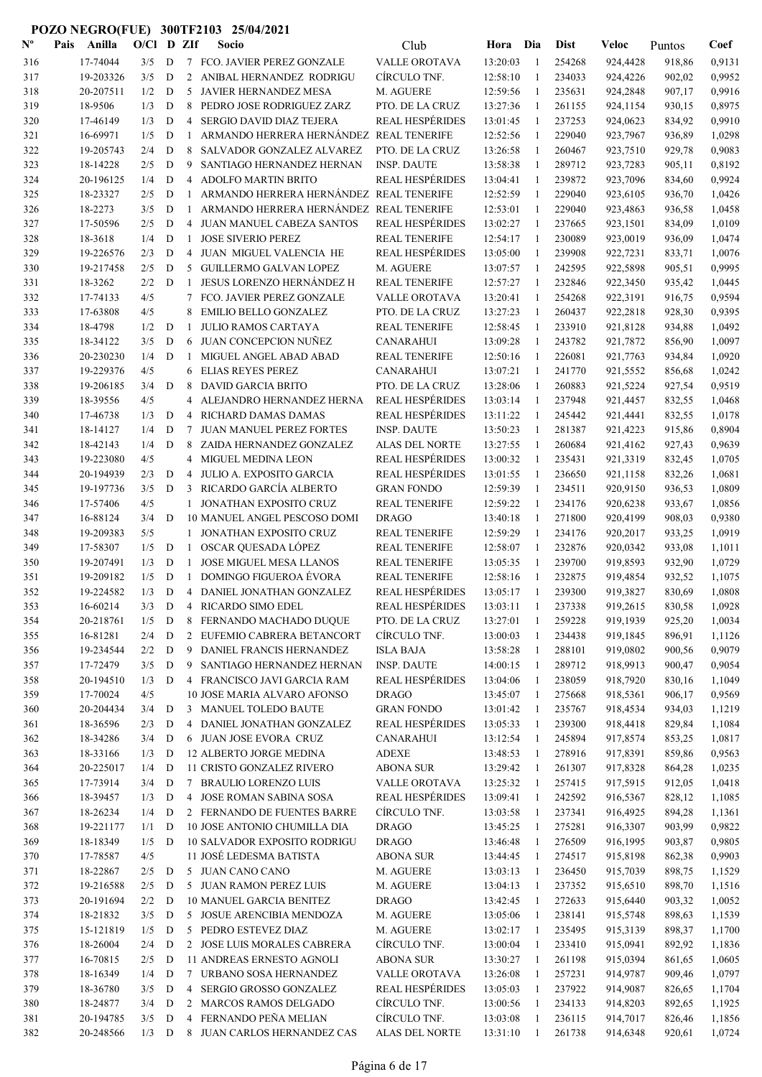| $N^{\text{o}}$ | Pais | Anilla    | O/Cl    |             | D ZIf          | Socio                                   | Club                   | Hora     | Dia          | <b>Dist</b> | Veloc    | Puntos | Coef   |
|----------------|------|-----------|---------|-------------|----------------|-----------------------------------------|------------------------|----------|--------------|-------------|----------|--------|--------|
| 316            |      | 17-74044  | 3/5     | D           |                | 7 FCO. JAVIER PEREZ GONZALE             | VALLE OROTAVA          | 13:20:03 | -1           | 254268      | 924.4428 | 918,86 | 0,9131 |
| 317            |      | 19-203326 | 3/5     | D           | 2              | ANIBAL HERNANDEZ RODRIGU                | CÍRCULO TNF.           | 12:58:10 | $\mathbf{1}$ | 234033      | 924,4226 | 902,02 | 0,9952 |
| 318            |      | 20-207511 | 1/2     | D           | 5              | JAVIER HERNANDEZ MESA                   | M. AGUERE              | 12:59:56 | 1            | 235631      | 924,2848 | 907,17 | 0,9916 |
| 319            |      | 18-9506   | 1/3     | D           | 8              | PEDRO JOSE RODRIGUEZ ZARZ               | PTO. DE LA CRUZ        | 13:27:36 | -1           | 261155      | 924,1154 | 930,15 | 0,8975 |
| 320            |      | 17-46149  | 1/3     | D           | $\overline{4}$ | <b>SERGIO DAVID DIAZ TEJERA</b>         | <b>REAL HESPÉRIDES</b> | 13:01:45 | -1           | 237253      | 924,0623 | 834,92 | 0,9910 |
| 321            |      | 16-69971  | 1/5     | D           | 1              | ARMANDO HERRERA HERNÁNDEZ REAL TENERIFE |                        | 12:52:56 | $\mathbf{1}$ | 229040      | 923,7967 | 936,89 | 1,0298 |
| 322            |      | 19-205743 | 2/4     | D           | 8              | SALVADOR GONZALEZ ALVAREZ               | PTO. DE LA CRUZ        | 13:26:58 | -1           | 260467      | 923,7510 | 929,78 | 0,9083 |
| 323            |      | 18-14228  | 2/5     | D           | 9              | SANTIAGO HERNANDEZ HERNAN               | <b>INSP. DAUTE</b>     | 13:58:38 | 1            | 289712      | 923,7283 | 905,11 | 0,8192 |
| 324            |      | 20-196125 | 1/4     | ${\bf D}$   | 4              | <b>ADOLFO MARTIN BRITO</b>              | <b>REAL HESPÉRIDES</b> | 13:04:41 | 1            | 239872      | 923,7096 | 834,60 | 0,9924 |
| 325            |      | 18-23327  | 2/5     | D           | 1              | ARMANDO HERRERA HERNÁNDEZ REAL TENERIFE |                        | 12:52:59 | 1            | 229040      | 923,6105 | 936,70 | 1,0426 |
| 326            |      | 18-2273   | 3/5     | D           | -1             | ARMANDO HERRERA HERNÁNDEZ REAL TENERIFE |                        | 12:53:01 | 1            | 229040      | 923,4863 | 936,58 | 1,0458 |
| 327            |      | 17-50596  | 2/5     | D           | 4              | JUAN MANUEL CABEZA SANTOS               | <b>REAL HESPÉRIDES</b> | 13:02:27 | 1            | 237665      | 923,1501 | 834,09 | 1,0109 |
| 328            |      | 18-3618   | 1/4     | D           | -1             | <b>JOSE SIVERIO PEREZ</b>               | <b>REAL TENERIFE</b>   | 12:54:17 | 1            | 230089      | 923,0019 | 936,09 | 1,0474 |
| 329            |      | 19-226576 | 2/3     | D           | 4              | JUAN MIGUEL VALENCIA HE                 | <b>REAL HESPÉRIDES</b> | 13:05:00 | $\mathbf{1}$ | 239908      | 922,7231 | 833,71 | 1,0076 |
| 330            |      | 19-217458 | 2/5     | D           | 5              | <b>GUILLERMO GALVAN LOPEZ</b>           | M. AGUERE              | 13:07:57 | 1            | 242595      | 922,5898 | 905,51 | 0,9995 |
| 331            |      | 18-3262   | 2/2     | D           | 1              | JESUS LORENZO HERNÁNDEZ H               | <b>REAL TENERIFE</b>   | 12:57:27 | 1            | 232846      | 922,3450 | 935,42 | 1,0445 |
| 332            |      | 17-74133  | 4/5     |             | 7              | FCO. JAVIER PEREZ GONZALE               | <b>VALLE OROTAVA</b>   | 13:20:41 | 1            | 254268      | 922,3191 | 916,75 | 0,9594 |
| 333            |      | 17-63808  | 4/5     |             | 8              | <b>EMILIO BELLO GONZALEZ</b>            | PTO. DE LA CRUZ        | 13:27:23 | $\mathbf{1}$ | 260437      | 922,2818 | 928,30 | 0,9395 |
| 334            |      | 18-4798   | 1/2     | D           | -1             | <b>JULIO RAMOS CARTAYA</b>              | <b>REAL TENERIFE</b>   | 12:58:45 | -1           | 233910      | 921,8128 | 934,88 | 1,0492 |
| 335            |      | 18-34122  | 3/5     | D           | 6              | JUAN CONCEPCION NUÑEZ                   | <b>CANARAHUI</b>       | 13:09:28 | 1            | 243782      | 921,7872 | 856,90 | 1,0097 |
| 336            |      | 20-230230 | 1/4     | D           | -1             | MIGUEL ANGEL ABAD ABAD                  | <b>REAL TENERIFE</b>   | 12:50:16 | 1            | 226081      | 921,7763 | 934,84 | 1,0920 |
| 337            |      | 19-229376 | 4/5     |             | 6              | <b>ELIAS REYES PEREZ</b>                | <b>CANARAHUI</b>       | 13:07:21 | 1            | 241770      | 921,5552 | 856,68 | 1,0242 |
| 338            |      | 19-206185 | 3/4     | D           | 8              | <b>DAVID GARCIA BRITO</b>               | PTO. DE LA CRUZ        | 13:28:06 | 1            | 260883      | 921,5224 | 927,54 | 0,9519 |
| 339            |      | 18-39556  | 4/5     |             | 4              | ALEJANDRO HERNANDEZ HERNA               | <b>REAL HESPÉRIDES</b> | 13:03:14 | 1            | 237948      | 921,4457 | 832,55 | 1,0468 |
| 340            |      | 17-46738  | 1/3     | D           | 4              | RICHARD DAMAS DAMAS                     | <b>REAL HESPÉRIDES</b> | 13:11:22 | -1           | 245442      | 921,4441 | 832,55 | 1,0178 |
| 341            |      | 18-14127  | 1/4     | D           | 7              | JUAN MANUEL PEREZ FORTES                | <b>INSP. DAUTE</b>     | 13:50:23 | -1           | 281387      | 921,4223 | 915,86 | 0,8904 |
| 342            |      | 18-42143  | 1/4     | D           | 8              | ZAIDA HERNANDEZ GONZALEZ                | ALAS DEL NORTE         | 13:27:55 | -1           | 260684      | 921,4162 | 927,43 | 0,9639 |
| 343            |      | 19-223080 | 4/5     |             | 4              | <b>MIGUEL MEDINA LEON</b>               | <b>REAL HESPÉRIDES</b> | 13:00:32 | -1           | 235431      | 921,3319 | 832,45 | 1,0705 |
| 344            |      | 20-194939 | 2/3     | D           | $\overline{4}$ | JULIO A. EXPOSITO GARCIA                | <b>REAL HESPÉRIDES</b> | 13:01:55 | -1           | 236650      | 921,1158 | 832,26 | 1,0681 |
| 345            |      | 19-197736 | 3/5     | D           | 3              | RICARDO GARCÍA ALBERTO                  | <b>GRAN FONDO</b>      | 12:59:39 | $\mathbf{1}$ | 234511      | 920,9150 | 936,53 | 1,0809 |
| 346            |      | 17-57406  | 4/5     |             | 1              | JONATHAN EXPOSITO CRUZ                  | REAL TENERIFE          | 12:59:22 | -1           | 234176      | 920,6238 | 933,67 | 1,0856 |
| 347            |      | 16-88124  | 3/4     | D           |                | 10 MANUEL ANGEL PESCOSO DOMI            | <b>DRAGO</b>           | 13:40:18 | 1            | 271800      | 920,4199 | 908,03 | 0,9380 |
| 348            |      | 19-209383 | 5/5     |             | 1              | JONATHAN EXPOSITO CRUZ                  | REAL TENERIFE          | 12:59:29 | $\mathbf{1}$ | 234176      | 920,2017 | 933,25 | 1,0919 |
| 349            |      | 17-58307  | 1/5     | D           | 1              | OSCAR QUESADA LÓPEZ                     | <b>REAL TENERIFE</b>   | 12:58:07 | 1            | 232876      | 920,0342 | 933,08 | 1,1011 |
| 350            |      | 19-207491 | 1/3     | D           | -1             | <b>JOSE MIGUEL MESA LLANOS</b>          | <b>REAL TENERIFE</b>   | 13:05:35 | 1            | 239700      | 919,8593 | 932,90 | 1,0729 |
| 351            |      | 19-209182 | 1/5     | D           | $\mathbf{1}$   | <b>DOMINGO FIGUEROA ÉVORA</b>           | <b>REAL TENERIFE</b>   | 12:58:16 | 1            | 232875      | 919,4854 | 932,52 | 1,1075 |
| 352            |      | 19-224582 | 1/3     | D           | 4              | DANIEL JONATHAN GONZALEZ                | <b>REAL HESPÉRIDES</b> | 13:05:17 | 1            | 239300      | 919,3827 | 830,69 | 1,0808 |
| 353            |      | 16-60214  | 3/3     | D           | 4              | <b>RICARDO SIMO EDEL</b>                | <b>REAL HESPÉRIDES</b> | 13:03:11 | $\mathbf{1}$ | 237338      | 919,2615 | 830,58 | 1,0928 |
| 354            |      | 20-218761 | 1/5     | D           |                | 8 FERNANDO MACHADO DUQUE                | PTO. DE LA CRUZ        | 13:27:01 | 1            | 259228      | 919,1939 | 925,20 | 1,0034 |
| 355            |      | 16-81281  | 2/4     | D           | 2              | EUFEMIO CABRERA BETANCORT               | CÍRCULO TNF.           | 13:00:03 | 1            | 234438      | 919,1845 | 896,91 | 1,1126 |
| 356            |      | 19-234544 | $2/2$ D |             | 9              | DANIEL FRANCIS HERNANDEZ                | <b>ISLA BAJA</b>       | 13:58:28 | -1           | 288101      | 919,0802 | 900,56 | 0,9079 |
| 357            |      | 17-72479  | 3/5     | D           | 9              | SANTIAGO HERNANDEZ HERNAN               | <b>INSP. DAUTE</b>     | 14:00:15 | -1           | 289712      | 918,9913 | 900,47 | 0,9054 |
| 358            |      | 20-194510 | 1/3     | D           |                | 4 FRANCISCO JAVI GARCIA RAM             | <b>REAL HESPÉRIDES</b> | 13:04:06 | -1           | 238059      | 918,7920 | 830,16 | 1,1049 |
| 359            |      | 17-70024  | 4/5     |             |                | 10 JOSE MARIA ALVARO AFONSO             | <b>DRAGO</b>           | 13:45:07 | 1            | 275668      | 918,5361 | 906,17 | 0,9569 |
| 360            |      | 20-204434 | 3/4     | $\mathbf D$ |                | 3 MANUEL TOLEDO BAUTE                   | <b>GRAN FONDO</b>      | 13:01:42 | 1            | 235767      | 918,4534 | 934,03 | 1,1219 |
| 361            |      | 18-36596  | 2/3     | $\mathbf D$ |                | 4 DANIEL JONATHAN GONZALEZ              | <b>REAL HESPÉRIDES</b> | 13:05:33 | 1            | 239300      | 918,4418 | 829,84 | 1,1084 |
| 362            |      | 18-34286  | 3/4     | D           |                | 6 JUAN JOSE EVORA CRUZ                  | <b>CANARAHUI</b>       | 13:12:54 | 1            | 245894      | 917,8574 | 853,25 | 1,0817 |
| 363            |      | 18-33166  | 1/3     | D           |                | 12 ALBERTO JORGE MEDINA                 | ADEXE                  | 13:48:53 | 1            | 278916      | 917,8391 | 859,86 | 0,9563 |
| 364            |      | 20-225017 | 1/4     | D           |                | 11 CRISTO GONZALEZ RIVERO               | <b>ABONA SUR</b>       | 13:29:42 | 1            | 261307      | 917,8328 | 864,28 | 1,0235 |
| 365            |      | 17-73914  | 3/4     | D           |                | 7 BRAULIO LORENZO LUIS                  | VALLE OROTAVA          | 13:25:32 | 1            | 257415      | 917,5915 | 912,05 | 1,0418 |
| 366            |      | 18-39457  | 1/3     | D           |                | 4 JOSE ROMAN SABINA SOSA                | <b>REAL HESPÉRIDES</b> | 13:09:41 | -1           | 242592      | 916,5367 | 828,12 | 1,1085 |
| 367            |      | 18-26234  | 1/4     | D           |                | 2 FERNANDO DE FUENTES BARRE             | CÍRCULO TNF.           | 13:03:58 | -1           | 237341      | 916,4925 | 894,28 | 1,1361 |
| 368            |      | 19-221177 | 1/1     | D           |                | 10 JOSE ANTONIO CHUMILLA DIA            | <b>DRAGO</b>           | 13:45:25 | -1           | 275281      | 916,3307 | 903,99 | 0,9822 |
| 369            |      | 18-18349  | 1/5     | D           |                | <b>10 SALVADOR EXPOSITO RODRIGU</b>     | <b>DRAGO</b>           | 13:46:48 | $\mathbf{1}$ | 276509      | 916,1995 | 903,87 | 0,9805 |
| 370            |      | 17-78587  | 4/5     |             |                | 11 JOSÉ LEDESMA BATISTA                 | ABONA SUR              | 13:44:45 | $\mathbf{1}$ | 274517      | 915,8198 | 862,38 | 0,9903 |
| 371            |      | 18-22867  | 2/5     | D           |                | 5 JUAN CANO CANO                        | M. AGUERE              | 13:03:13 | -1           | 236450      | 915,7039 | 898,75 | 1,1529 |
| 372            |      | 19-216588 | 2/5     | D           |                | 5 JUAN RAMON PEREZ LUIS                 | M. AGUERE              | 13:04:13 | 1            | 237352      | 915,6510 | 898,70 | 1,1516 |
| 373            |      | 20-191694 | 2/2     | D           |                | <b>10 MANUEL GARCIA BENITEZ</b>         | <b>DRAGO</b>           | 13:42:45 | 1            | 272633      | 915,6440 | 903,32 | 1,0052 |
| 374            |      | 18-21832  | $3/5$ D |             |                | 5 JOSUE ARENCIBIA MENDOZA               | M. AGUERE              | 13:05:06 | -1           | 238141      | 915,5748 | 898,63 | 1,1539 |
| 375            |      | 15-121819 | 1/5     | D           |                | 5 PEDRO ESTEVEZ DIAZ                    | M. AGUERE              | 13:02:17 | -1           | 235495      | 915,3139 | 898,37 | 1,1700 |
| 376            |      | 18-26004  | 2/4     | D           |                | 2 JOSE LUIS MORALES CABRERA             | CÍRCULO TNF.           | 13:00:04 | 1            | 233410      | 915,0941 | 892,92 | 1,1836 |
| 377            |      | 16-70815  | 2/5     | D           |                | 11 ANDREAS ERNESTO AGNOLI               | ABONA SUR              | 13:30:27 | -1           | 261198      | 915,0394 | 861,65 | 1,0605 |
| 378            |      | 18-16349  | 1/4     | D           |                | 7 URBANO SOSA HERNANDEZ                 | VALLE OROTAVA          | 13:26:08 | 1            | 257231      | 914,9787 | 909,46 | 1,0797 |
| 379            |      | 18-36780  | 3/5     | D           | $\overline{4}$ | SERGIO GROSSO GONZALEZ                  | <b>REAL HESPÉRIDES</b> | 13:05:03 | -1           | 237922      | 914,9087 | 826,65 | 1,1704 |
| 380            |      | 18-24877  | 3/4     | D           |                | 2 MARCOS RAMOS DELGADO                  | CÍRCULO TNF.           | 13:00:56 | -1           | 234133      | 914,8203 | 892,65 | 1,1925 |
| 381            |      | 20-194785 | 3/5     | D           | $\overline{4}$ | FERNANDO PEÑA MELIAN                    | CÍRCULO TNF.           | 13:03:08 | -1           | 236115      | 914,7017 | 826,46 | 1,1856 |
| 382            |      | 20-248566 | $1/3$ D |             |                | 8 JUAN CARLOS HERNANDEZ CAS             | <b>ALAS DEL NORTE</b>  | 13:31:10 | -1           | 261738      | 914,6348 | 920,61 | 1,0724 |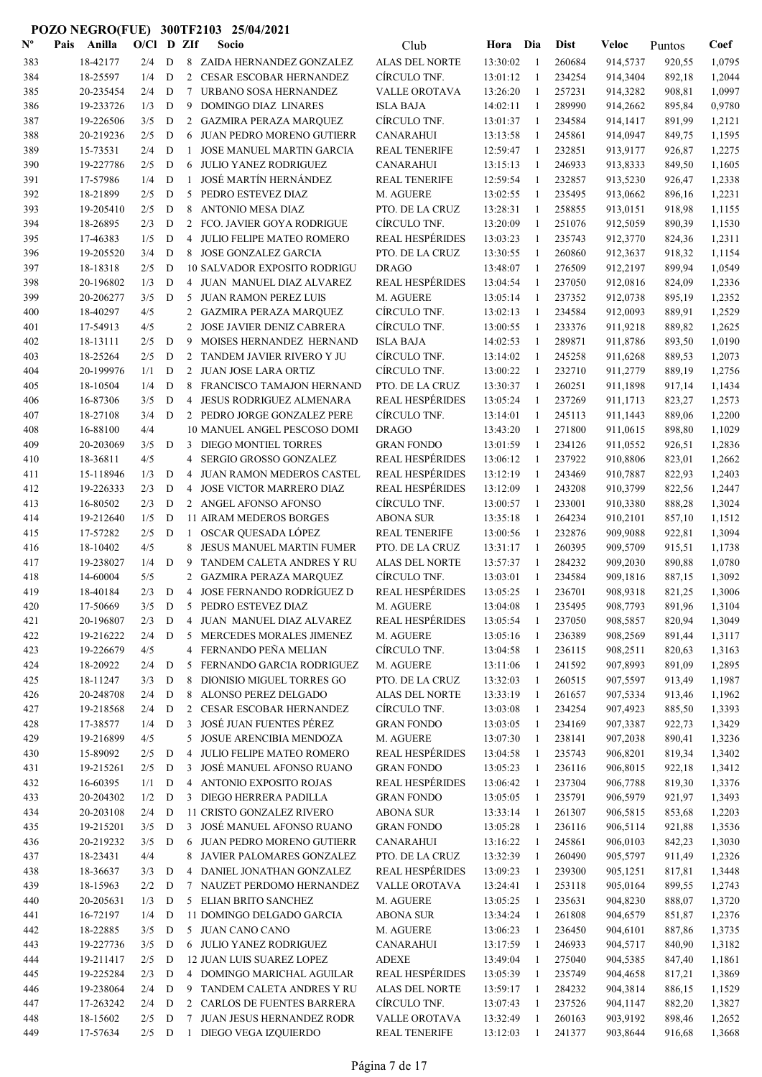| $\mathbf{N}^{\mathbf{o}}$ | Pais | Anilla                | $O/CI$ D ZIf |                  |                | Socio                                                      | Club                              | Hora Dia             |                   | <b>Dist</b>      | Veloc                | Puntos           | Coef             |
|---------------------------|------|-----------------------|--------------|------------------|----------------|------------------------------------------------------------|-----------------------------------|----------------------|-------------------|------------------|----------------------|------------------|------------------|
| 383                       |      | 18-42177              | 2/4          | D                |                | 8 ZAIDA HERNANDEZ GONZALEZ                                 | <b>ALAS DEL NORTE</b>             | 13:30:02             | -1                | 260684           | 914,5737             | 920,55           | 1,0795           |
| 384                       |      | 18-25597              | 1/4          | D                |                | 2 CESAR ESCOBAR HERNANDEZ                                  | CÍRCULO TNF.                      | 13:01:12             | -1                | 234254           | 914,3404             | 892,18           | 1,2044           |
| 385                       |      | 20-235454             | 2/4          | D                | 7              | URBANO SOSA HERNANDEZ                                      | <b>VALLE OROTAVA</b>              | 13:26:20             | 1                 | 257231           | 914,3282             | 908,81           | 1,0997           |
| 386                       |      | 19-233726             | 1/3          | D                | 9              | DOMINGO DIAZ LINARES                                       | <b>ISLA BAJA</b>                  | 14:02:11             | 1                 | 289990           | 914,2662             | 895,84           | 0,9780           |
| 387                       |      | 19-226506             | 3/5          | D                | 2              | <b>GAZMIRA PERAZA MARQUEZ</b>                              | CÍRCULO TNF.                      | 13:01:37             | -1                | 234584           | 914,1417             | 891,99           | 1,2121           |
| 388                       |      | 20-219236             | 2/5          | D                | 6              | <b>JUAN PEDRO MORENO GUTIERR</b>                           | <b>CANARAHUI</b>                  | 13:13:58             | -1                | 245861           | 914,0947             | 849,75           | 1,1595           |
| 389                       |      | 15-73531              | 2/4          | D                | $\mathbf{1}$   | <b>JOSE MANUEL MARTIN GARCIA</b>                           | <b>REAL TENERIFE</b>              | 12:59:47             | -1                | 232851           | 913,9177             | 926,87           | 1,2275           |
| 390                       |      | 19-227786             | 2/5          | D                | 6              | <b>JULIO YANEZ RODRIGUEZ</b>                               | <b>CANARAHUI</b>                  | 13:15:13             | -1                | 246933           | 913,8333             | 849,50           | 1,1605           |
| 391                       |      | 17-57986              | 1/4          | D                | $\mathbf{1}$   | JOSÉ MARTÍN HERNÁNDEZ                                      | <b>REAL TENERIFE</b>              | 12:59:54             | $\mathbf{1}$      | 232857           | 913,5230             | 926,47           | 1,2338           |
| 392                       |      | 18-21899              | 2/5          | D                | 5              | PEDRO ESTEVEZ DIAZ                                         | M. AGUERE                         | 13:02:55             | 1                 | 235495           | 913,0662             | 896,16           | 1,2231           |
| 393                       |      | 19-205410             | 2/5          | $\mathbf D$      | 8              | <b>ANTONIO MESA DIAZ</b>                                   | PTO. DE LA CRUZ                   | 13:28:31             | 1                 | 258855           | 913,0151             | 918,98           | 1,1155           |
| 394                       |      | 18-26895              | 2/3          | ${\bf D}$        | 2              | FCO. JAVIER GOYA RODRIGUE                                  | CÍRCULO TNF.                      | 13:20:09             | 1                 | 251076           | 912,5059             | 890,39           | 1,1530           |
| 395                       |      | 17-46383              | 1/5          | $\mathbf D$      | $\overline{4}$ | JULIO FELIPE MATEO ROMERO                                  | <b>REAL HESPÉRIDES</b>            | 13:03:23             | 1                 | 235743           | 912,3770             | 824,36           | 1,2311           |
| 396                       |      | 19-205520             | 3/4          | $\mathbf D$      | 8              | JOSE GONZALEZ GARCIA                                       | PTO. DE LA CRUZ                   | 13:30:55             | 1                 | 260860           | 912,3637             | 918,32           | 1,1154           |
| 397                       |      | 18-18318              | 2/5          | D                |                | <b>10 SALVADOR EXPOSITO RODRIGU</b>                        | <b>DRAGO</b>                      | 13:48:07             | 1                 | 276509           | 912,2197             | 899,94           | 1,0549           |
| 398                       |      | 20-196802             | 1/3          | D<br>D           |                | 4 JUAN MANUEL DIAZ ALVAREZ<br><b>JUAN RAMON PEREZ LUIS</b> | <b>REAL HESPÉRIDES</b>            | 13:04:54             | 1<br>$\mathbf{1}$ | 237050           | 912,0816             | 824,09           | 1,2336           |
| 399<br>400                |      | 20-206277<br>18-40297 | 3/5<br>4/5   |                  | 5<br>2         | <b>GAZMIRA PERAZA MARQUEZ</b>                              | M. AGUERE<br>CÍRCULO TNF.         | 13:05:14<br>13:02:13 | 1                 | 237352<br>234584 | 912,0738<br>912,0093 | 895,19<br>889,91 | 1,2352<br>1,2529 |
| 401                       |      | 17-54913              | 4/5          |                  | 2              | JOSE JAVIER DENIZ CABRERA                                  | CÍRCULO TNF.                      | 13:00:55             | -1                | 233376           | 911,9218             | 889,82           | 1,2625           |
| 402                       |      | 18-13111              | 2/5          | D                | 9              | MOISES HERNANDEZ HERNAND                                   | <b>ISLA BAJA</b>                  | 14:02:53             | -1                | 289871           | 911,8786             | 893,50           | 1,0190           |
| 403                       |      | 18-25264              | 2/5          | D                | 2              | TANDEM JAVIER RIVERO Y JU                                  | CÍRCULO TNF.                      | 13:14:02             | $\mathbf{1}$      | 245258           | 911,6268             | 889,53           | 1,2073           |
| 404                       |      | 20-199976             | 1/1          | D                | 2              | JUAN JOSE LARA ORTIZ                                       | CIRCULO TNF.                      | 13:00:22             | 1                 | 232710           | 911,2779             | 889,19           | 1,2756           |
| 405                       |      | 18-10504              | 1/4          | D                | 8              | FRANCISCO TAMAJON HERNAND                                  | PTO. DE LA CRUZ                   | 13:30:37             | 1                 | 260251           | 911,1898             | 917,14           | 1,1434           |
| 406                       |      | 16-87306              | 3/5          | ${\bf D}$        | 4              | JESUS RODRIGUEZ ALMENARA                                   | <b>REAL HESPÉRIDES</b>            | 13:05:24             | 1                 | 237269           | 911,1713             | 823,27           | 1,2573           |
| 407                       |      | 18-27108              | 3/4          | ${\bf D}$        |                | 2 PEDRO JORGE GONZALEZ PERE                                | CÍRCULO TNF.                      | 13:14:01             | 1                 | 245113           | 911,1443             | 889,06           | 1,2200           |
| 408                       |      | 16-88100              | 4/4          |                  |                | 10 MANUEL ANGEL PESCOSO DOMI                               | <b>DRAGO</b>                      | 13:43:20             | -1                | 271800           | 911,0615             | 898,80           | 1,1029           |
| 409                       |      | 20-203069             | 3/5          | D                | 3              | DIEGO MONTIEL TORRES                                       | <b>GRAN FONDO</b>                 | 13:01:59             | 1                 | 234126           | 911,0552             | 926,51           | 1,2836           |
| 410                       |      | 18-36811              | 4/5          |                  | 4              | SERGIO GROSSO GONZALEZ                                     | <b>REAL HESPÉRIDES</b>            | 13:06:12             | 1                 | 237922           | 910,8806             | 823,01           | 1,2662           |
| 411                       |      | 15-118946             | 1/3          | D                | 4              | JUAN RAMON MEDEROS CASTEL                                  | REAL HESPÉRIDES                   | 13:12:19             | -1                | 243469           | 910,7887             | 822,93           | 1,2403           |
| 412                       |      | 19-226333             | 2/3          | D                | 4              | JOSE VICTOR MARRERO DIAZ                                   | <b>REAL HESPÉRIDES</b>            | 13:12:09             | -1                | 243208           | 910,3799             | 822,56           | 1,2447           |
| 413                       |      | 16-80502              | 2/3          | D                |                | 2 ANGEL AFONSO AFONSO                                      | CÍRCULO TNF.                      | 13:00:57             | -1                | 233001           | 910,3380             | 888,28           | 1,3024           |
| 414                       |      | 19-212640             | 1/5          | D                |                | 11 AIRAM MEDEROS BORGES                                    | <b>ABONA SUR</b>                  | 13:35:18             | -1                | 264234           | 910,2101             | 857,10           | 1,1512           |
| 415                       |      | 17-57282              | 2/5          | D                | $\mathbf{1}$   | OSCAR QUESADA LÓPEZ                                        | <b>REAL TENERIFE</b>              | 13:00:56             | $\mathbf{1}$      | 232876           | 909,9088             | 922,81           | 1,3094           |
| 416                       |      | 18-10402              | 4/5          |                  | 8              | <b>JESUS MANUEL MARTIN FUMER</b>                           | PTO. DE LA CRUZ                   | 13:31:17             | 1                 | 260395           | 909,5709             | 915,51           | 1,1738           |
| 417                       |      | 19-238027             | 1/4          | D                | 9              | TANDEM CALETA ANDRES Y RU                                  | <b>ALAS DEL NORTE</b>             | 13:57:37             | 1                 | 284232           | 909,2030             | 890,88           | 1,0780           |
| 418                       |      | 14-60004              | 5/5          |                  | 2              | <b>GAZMIRA PERAZA MARQUEZ</b>                              | CÍRCULO TNF.                      | 13:03:01             | 1                 | 234584           | 909,1816             | 887,15           | 1,3092           |
| 419                       |      | 18-40184              | 2/3          | D                | $\overline{4}$ | JOSE FERNANDO RODRÍGUEZ D                                  | <b>REAL HESPÉRIDES</b>            | 13:05:25             | 1                 | 236701           | 908,9318             | 821,25           | 1,3006           |
| 420                       |      | 17-50669              | 3/5          |                  |                | D 5 PEDRO ESTEVEZ DIAZ                                     | M. AGUERE                         | 13:04:08             |                   | 235495           | 908,7793             | 891,96           | 1,3104           |
| 421                       |      | 20-196807             | 2/3          | D                |                | 4 JUAN MANUEL DIAZ ALVAREZ                                 | <b>REAL HESPÉRIDES</b>            | 13:05:54             | 1                 | 237050           | 908,5857             | 820,94           | 1,3049           |
| 422                       |      | 19-216222             | 2/4          | D                | 5              | MERCEDES MORALES JIMENEZ                                   | M. AGUERE                         | 13:05:16             | 1                 | 236389           | 908,2569             | 891,44           | 1,3117           |
| 423                       |      | 19-226679             | 4/5          |                  |                | 4 FERNANDO PEÑA MELIAN                                     | CÍRCULO TNF.                      | 13:04:58             | 1                 | 236115           | 908,2511             | 820,63           | 1,3163           |
| 424                       |      | 18-20922              | 2/4          | D                | 5              | FERNANDO GARCIA RODRIGUEZ                                  | M. AGUERE                         | 13:11:06             | -1                | 241592           | 907,8993             | 891,09           | 1,2895           |
| 425                       |      | 18-11247              | 3/3          | D                | 8              | DIONISIO MIGUEL TORRES GO                                  | PTO. DE LA CRUZ                   | 13:32:03             | -1                | 260515           | 907,5597             | 913,49           | 1,1987           |
| 426                       |      | 20-248708             | 2/4          | D                | 8              | ALONSO PEREZ DELGADO                                       | ALAS DEL NORTE                    | 13:33:19             | -1                | 261657           | 907,5334             | 913,46           | 1,1962           |
| 427<br>428                |      | 19-218568<br>17-38577 | 2/4<br>1/4   | $\mathbf D$<br>D | $\mathbf{3}$   | 2 CESAR ESCOBAR HERNANDEZ<br>JOSÉ JUAN FUENTES PÉREZ       | CÍRCULO TNF.<br><b>GRAN FONDO</b> | 13:03:08<br>13:03:05 | -1                | 234254<br>234169 | 907,4923             | 885,50           | 1,3393<br>1,3429 |
| 429                       |      | 19-216899             | 4/5          |                  | 5              | JOSUE ARENCIBIA MENDOZA                                    | M. AGUERE                         | 13:07:30             | 1<br>1            | 238141           | 907,3387<br>907,2038 | 922,73<br>890,41 | 1,3236           |
| 430                       |      | 15-89092              | 2/5          | ${\bf D}$        | 4              | JULIO FELIPE MATEO ROMERO                                  | <b>REAL HESPÉRIDES</b>            | 13:04:58             | 1                 | 235743           | 906,8201             | 819,34           | 1,3402           |
| 431                       |      | 19-215261             | 2/5          | ${\bf D}$        | 3              | JOSÉ MANUEL AFONSO RUANO                                   | <b>GRAN FONDO</b>                 | 13:05:23             | 1                 | 236116           | 906,8015             | 922,18           | 1,3412           |
| 432                       |      | 16-60395              | 1/1          | ${\bf D}$        |                | 4 ANTONIO EXPOSITO ROJAS                                   | <b>REAL HESPÉRIDES</b>            | 13:06:42             | 1                 | 237304           | 906,7788             | 819,30           | 1,3376           |
| 433                       |      | 20-204302             | 1/2          | D                |                | 3 DIEGO HERRERA PADILLA                                    | <b>GRAN FONDO</b>                 | 13:05:05             | 1                 | 235791           | 906,5979             | 921,97           | 1,3493           |
| 434                       |      | 20-203108             | 2/4          | $\mathbf D$      |                | 11 CRISTO GONZALEZ RIVERO                                  | <b>ABONA SUR</b>                  | 13:33:14             | 1                 | 261307           | 906,5815             | 853,68           | 1,2203           |
| 435                       |      | 19-215201             | 3/5          | D                | 3              | JOSÉ MANUEL AFONSO RUANO                                   | <b>GRAN FONDO</b>                 | 13:05:28             | 1                 | 236116           | 906,5114             | 921,88           | 1,3536           |
| 436                       |      | 20-219232             | 3/5          | D                | 6              | JUAN PEDRO MORENO GUTIERR                                  | CANARAHUI                         | 13:16:22             | $\mathbf{1}$      | 245861           | 906,0103             | 842,23           | 1,3030           |
| 437                       |      | 18-23431              | 4/4          |                  | 8              | JAVIER PALOMARES GONZALEZ                                  | PTO. DE LA CRUZ                   | 13:32:39             | 1                 | 260490           | 905,5797             | 911,49           | 1,2326           |
| 438                       |      | 18-36637              | 3/3          | D                | 4              | DANIEL JONATHAN GONZALEZ                                   | <b>REAL HESPÉRIDES</b>            | 13:09:23             | 1                 | 239300           | 905,1251             | 817,81           | 1,3448           |
| 439                       |      | 18-15963              | 2/2          | D                | $7^{\circ}$    | NAUZET PERDOMO HERNANDEZ                                   | VALLE OROTAVA                     | 13:24:41             | 1                 | 253118           | 905,0164             | 899,55           | 1,2743           |
| 440                       |      | 20-205631             | 1/3          | D                |                | 5 ELIAN BRITO SANCHEZ                                      | M. AGUERE                         | 13:05:25             | 1                 | 235631           | 904,8230             | 888,07           | 1,3720           |
| 441                       |      | 16-72197              | 1/4          | $\mathbf D$      |                | 11 DOMINGO DELGADO GARCIA                                  | <b>ABONA SUR</b>                  | 13:34:24             | 1                 | 261808           | 904,6579             | 851,87           | 1,2376           |
| 442                       |      | 18-22885              | 3/5          | ${\bf D}$        |                | 5 JUAN CANO CANO                                           | M. AGUERE                         | 13:06:23             | 1                 | 236450           | 904,6101             | 887,86           | 1,3735           |
| 443                       |      | 19-227736             | 3/5          | ${\bf D}$        |                | 6 JULIO YANEZ RODRIGUEZ                                    | <b>CANARAHUI</b>                  | 13:17:59             | 1                 | 246933           | 904,5717             | 840,90           | 1,3182           |
| 444                       |      | 19-211417             | 2/5          | $\mathbf D$      |                | 12 JUAN LUIS SUAREZ LOPEZ                                  | <b>ADEXE</b>                      | 13:49:04             | 1                 | 275040           | 904,5385             | 847,40           | 1,1861           |
| 445                       |      | 19-225284             | 2/3          | $\mathbf D$      |                | 4 DOMINGO MARICHAL AGUILAR                                 | <b>REAL HESPÉRIDES</b>            | 13:05:39             | 1                 | 235749           | 904,4658             | 817,21           | 1,3869           |
| 446                       |      | 19-238064             | 2/4          | D                |                | 9 TANDEM CALETA ANDRES Y RU                                | ALAS DEL NORTE                    | 13:59:17             | 1                 | 284232           | 904,3814             | 886,15           | 1,1529           |
| 447                       |      | 17-263242             | 2/4          | $\mathbf D$      | 2              | CARLOS DE FUENTES BARRERA                                  | CÍRCULO TNF.                      | 13:07:43             | -1                | 237526           | 904,1147             | 882,20           | 1,3827           |
| 448                       |      | 18-15602              | 2/5          | D                | $\tau$         | JUAN JESUS HERNANDEZ RODR                                  | VALLE OROTAVA                     | 13:32:49             | 1                 | 260163           | 903,9192             | 898,46           | 1,2652           |
| 449                       |      | 17-57634              | $2/5$ D      |                  |                | 1 DIEGO VEGA IZQUIERDO                                     | <b>REAL TENERIFE</b>              | 13:12:03             | 1                 | 241377           | 903,8644             | 916,68           | 1,3668           |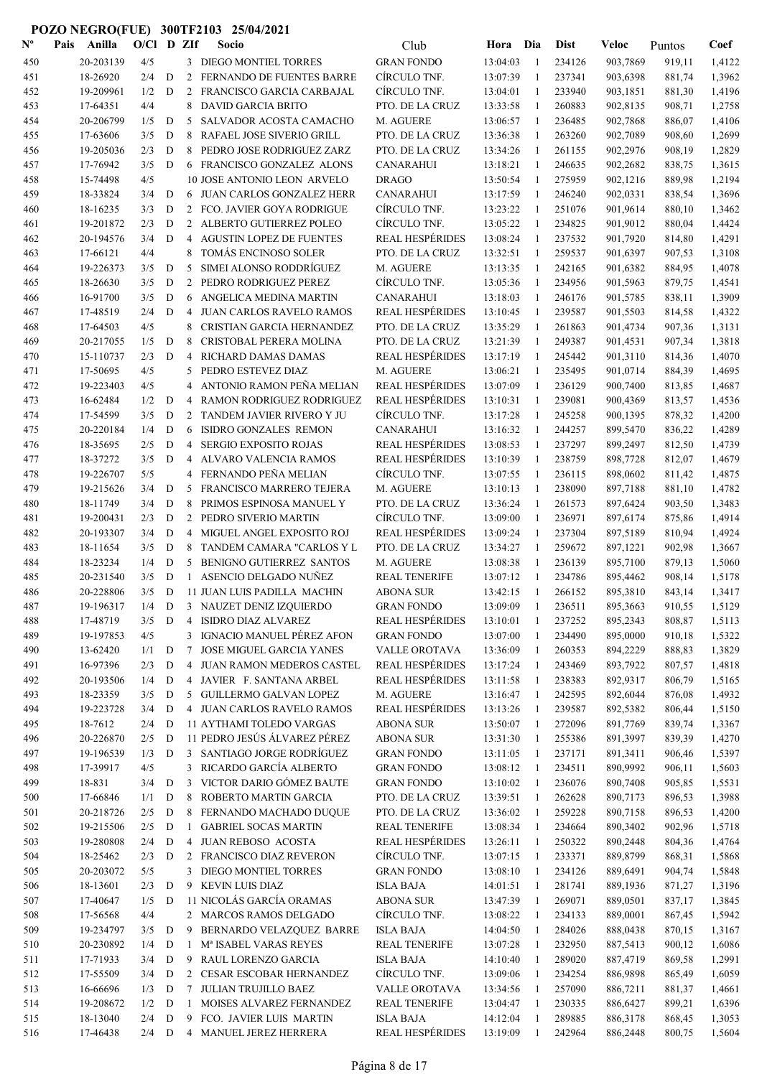| $\mathbf{N}^{\mathbf{o}}$ | Pais | Anilla                | O/Cl       |             | D ZIf          | Socio                                                          | Club                                             | Hora                 | Dia                | <b>Dist</b>      | Veloc                | Puntos           | Coef             |
|---------------------------|------|-----------------------|------------|-------------|----------------|----------------------------------------------------------------|--------------------------------------------------|----------------------|--------------------|------------------|----------------------|------------------|------------------|
| 450                       |      | 20-203139             | 4/5        |             |                | 3 DIEGO MONTIEL TORRES                                         | <b>GRAN FONDO</b>                                | 13:04:03             | $\overline{1}$     | 234126           | 903,7869             | 919,11           | 1,4122           |
| 451                       |      | 18-26920              | 2/4        | D           | 2              | FERNANDO DE FUENTES BARRE                                      | CÍRCULO TNF.                                     | 13:07:39             | -1                 | 237341           | 903,6398             | 881,74           | 1,3962           |
| 452                       |      | 19-209961             | 1/2        | D           | 2              | FRANCISCO GARCIA CARBAJAL                                      | CÍRCULO TNF.                                     | 13:04:01             | -1                 | 233940           | 903,1851             | 881,30           | 1,4196           |
| 453                       |      | 17-64351              | 4/4        |             | 8              | DAVID GARCIA BRITO                                             | PTO. DE LA CRUZ                                  | 13:33:58             | -1                 | 260883           | 902,8135             | 908,71           | 1,2758           |
| 454                       |      | 20-206799             | 1/5        | D           | 5              | SALVADOR ACOSTA CAMACHO                                        | M. AGUERE                                        | 13:06:57             | 1                  | 236485           | 902,7868             | 886,07           | 1,4106           |
| 455                       |      | 17-63606              | 3/5        | D           | 8              | RAFAEL JOSE SIVERIO GRILL                                      | PTO. DE LA CRUZ                                  | 13:36:38             | -1                 | 263260           | 902,7089             | 908,60           | 1,2699           |
| 456                       |      | 19-205036             | 2/3        | D           | 8              | PEDRO JOSE RODRIGUEZ ZARZ                                      | PTO. DE LA CRUZ                                  | 13:34:26             | $\mathbf{1}$       | 261155           | 902,2976             | 908,19           | 1,2829           |
| 457                       |      | 17-76942              | 3/5        | D           |                | 6 FRANCISCO GONZALEZ ALONS                                     | <b>CANARAHUI</b>                                 | 13:18:21             | $\mathbf{1}$       | 246635           | 902,2682             | 838,75           | 1,3615           |
| 458                       |      | 15-74498              | 4/5        |             |                | 10 JOSE ANTONIO LEON ARVELO                                    | <b>DRAGO</b>                                     | 13:50:54             | 1                  | 275959           | 902,1216             | 889,98           | 1,2194           |
| 459                       |      | 18-33824              | 3/4        | D           | 6              | JUAN CARLOS GONZALEZ HERR                                      | <b>CANARAHUI</b>                                 | 13:17:59             | 1                  | 246240           | 902,0331             | 838,54           | 1,3696           |
| 460                       |      | 18-16235              | 3/3        | $\mathbf D$ |                | 2 FCO. JAVIER GOYA RODRIGUE                                    | CÍRCULO TNF.                                     | 13:23:22             | 1                  | 251076           | 901,9614             | 880,10           | 1,3462           |
| 461                       |      | 19-201872             | 2/3        | D           |                | 2 ALBERTO GUTIERREZ POLEO                                      | CÍRCULO TNF.                                     | 13:05:22             | 1                  | 234825           | 901,9012             | 880,04           | 1,4424           |
| 462                       |      | 20-194576             | 3/4<br>4/4 | D           | 4<br>8         | <b>AGUSTIN LOPEZ DE FUENTES</b><br><b>TOMÁS ENCINOSO SOLER</b> | <b>REAL HESPÉRIDES</b>                           | 13:08:24             | 1                  | 237532           | 901,7920             | 814,80           | 1,4291           |
| 463                       |      | 17-66121<br>19-226373 | 3/5        | D           | 5              | SIMEI ALONSO RODDRÍGUEZ                                        | PTO. DE LA CRUZ<br>M. AGUERE                     | 13:32:51<br>13:13:35 | 1<br>1             | 259537<br>242165 | 901,6397<br>901,6382 | 907,53<br>884,95 | 1,3108<br>1,4078 |
| 464<br>465                |      | 18-26630              | 3/5        | D           | 2              | PEDRO RODRIGUEZ PEREZ                                          | CÍRCULO TNF.                                     | 13:05:36             | -1                 | 234956           | 901,5963             | 879,75           | 1,4541           |
| 466                       |      | 16-91700              | 3/5        | D           | 6              | ANGELICA MEDINA MARTIN                                         | <b>CANARAHUI</b>                                 | 13:18:03             | 1                  | 246176           | 901,5785             | 838,11           | 1,3909           |
| 467                       |      | 17-48519              | 2/4        | D           | 4              | <b>JUAN CARLOS RAVELO RAMOS</b>                                | <b>REAL HESPÉRIDES</b>                           | 13:10:45             | -1                 | 239587           | 901,5503             | 814,58           | 1,4322           |
| 468                       |      | 17-64503              | 4/5        |             | 8              | CRISTIAN GARCIA HERNANDEZ                                      | PTO. DE LA CRUZ                                  | 13:35:29             | $\mathbf{1}$       | 261863           | 901,4734             | 907,36           | 1,3131           |
| 469                       |      | 20-217055             | 1/5        | D           | 8              | CRISTOBAL PERERA MOLINA                                        | PTO. DE LA CRUZ                                  | 13:21:39             | $\mathbf{1}$       | 249387           | 901,4531             | 907,34           | 1,3818           |
| 470                       |      | 15-110737             | 2/3        | D           | 4              | RICHARD DAMAS DAMAS                                            | <b>REAL HESPÉRIDES</b>                           | 13:17:19             | 1                  | 245442           | 901,3110             | 814,36           | 1,4070           |
| 471                       |      | 17-50695              | 4/5        |             | 5              | PEDRO ESTEVEZ DIAZ                                             | M. AGUERE                                        | 13:06:21             | 1                  | 235495           | 901,0714             | 884,39           | 1,4695           |
| 472                       |      | 19-223403             | 4/5        |             | 4              | ANTONIO RAMON PEÑA MELIAN                                      | <b>REAL HESPÉRIDES</b>                           | 13:07:09             | 1                  | 236129           | 900,7400             | 813,85           | 1,4687           |
| 473                       |      | 16-62484              | 1/2        | $\mathbf D$ | 4              | RAMON RODRIGUEZ RODRIGUEZ                                      | <b>REAL HESPÉRIDES</b>                           | 13:10:31             | 1                  | 239081           | 900,4369             | 813,57           | 1,4536           |
| 474                       |      | 17-54599              | 3/5        | D           | 2              | TANDEM JAVIER RIVERO Y JU                                      | CÍRCULO TNF.                                     | 13:17:28             | 1                  | 245258           | 900,1395             | 878,32           | 1,4200           |
| 475                       |      | 20-220184             | 1/4        | D           | 6              | <b>ISIDRO GONZALES REMON</b>                                   | <b>CANARAHUI</b>                                 | 13:16:32             | 1                  | 244257           | 899,5470             | 836,22           | 1,4289           |
| 476                       |      | 18-35695              | 2/5        | D           | 4              | <b>SERGIO EXPOSITO ROJAS</b>                                   | <b>REAL HESPÉRIDES</b>                           | 13:08:53             | 1                  | 237297           | 899,2497             | 812,50           | 1,4739           |
| 477                       |      | 18-37272              | 3/5        | D           | 4              | ALVARO VALENCIA RAMOS                                          | <b>REAL HESPÉRIDES</b>                           | 13:10:39             | -1                 | 238759           | 898,7728             | 812,07           | 1,4679           |
| 478                       |      | 19-226707             | 5/5        |             | 4              | FERNANDO PEÑA MELIAN                                           | CÍRCULO TNF.                                     | 13:07:55             | -1                 | 236115           | 898,0602             | 811,42           | 1,4875           |
| 479                       |      | 19-215626             | 3/4        | D           | 5              | FRANCISCO MARRERO TEJERA                                       | M. AGUERE                                        | 13:10:13             | -1                 | 238090           | 897,7188             | 881,10           | 1,4782           |
| 480                       |      | 18-11749              | 3/4        | D           | 8              | PRIMOS ESPINOSA MANUEL Y                                       | PTO. DE LA CRUZ                                  | 13:36:24             | $\mathbf{1}$       | 261573           | 897,6424             | 903,50           | 1,3483           |
| 481                       |      | 19-200431             | 2/3        | D           | 2              | PEDRO SIVERIO MARTIN                                           | CÍRCULO TNF.                                     | 13:09:00             | $\mathbf{1}$       | 236971           | 897,6174             | 875,86           | 1,4914           |
| 482                       |      | 20-193307             | 3/4        | D           | 4              | MIGUEL ANGEL EXPOSITO ROJ                                      | <b>REAL HESPÉRIDES</b>                           | 13:09:24             | -1                 | 237304           | 897,5189             | 810,94           | 1,4924           |
| 483                       |      | 18-11654              | 3/5        | D           | 8              | TANDEM CAMARA "CARLOS Y L                                      | PTO. DE LA CRUZ                                  | 13:34:27             | 1                  | 259672           | 897,1221             | 902,98           | 1,3667           |
| 484                       |      | 18-23234              | 1/4        | D           | 5              | BENIGNO GUTIERREZ SANTOS                                       | M. AGUERE                                        | 13:08:38             | 1                  | 236139           | 895,7100             | 879,13           | 1,5060           |
| 485                       |      | 20-231540             | 3/5        | D           | 1              | ASENCIO DELGADO NUÑEZ                                          | <b>REAL TENERIFE</b>                             | 13:07:12             | 1                  | 234786           | 895,4462             | 908,14           | 1,5178           |
| 486                       |      | 20-228806             | 3/5        | D           |                | 11 JUAN LUIS PADILLA MACHIN                                    | <b>ABONA SUR</b>                                 | 13:42:15             | 1                  | 266152           | 895,3810             | 843,14           | 1,3417           |
| 487                       |      | 19-196317             | $1/4$      | D           |                | 3 NAUZET DENIZ IZQUIERDO                                       | <b>GRAN FONDO</b>                                | 13:09:09             |                    | 236511           | 895,3663             | 910,55           | 1,5129           |
| 488                       |      | 17-48719              | 3/5        | D           |                | 4 ISIDRO DIAZ ALVAREZ                                          | <b>REAL HESPÉRIDES</b>                           | 13:10:01             | 1                  | 237252           | 895,2343             | 808,87           | 1,5113           |
| 489                       |      | 19-197853             | 4/5        |             | 3              | IGNACIO MANUEL PÉREZ AFON                                      | <b>GRAN FONDO</b>                                | 13:07:00             | $\mathbf{1}$       | 234490           | 895,0000             | 910,18           | 1,5322           |
| 490                       |      | 13-62420              | 1/1        | $\mathbf D$ | 7              | <b>JOSE MIGUEL GARCIA YANES</b>                                | VALLE OROTAVA                                    | 13:36:09             | -1                 | 260353           | 894,2229             | 888,83           | 1,3829           |
| 491                       |      | 16-97396              | 2/3        | D           | $\overline{4}$ | <b>JUAN RAMON MEDEROS CASTEL</b>                               | <b>REAL HESPÉRIDES</b><br><b>REAL HESPÉRIDES</b> | 13:17:24             | -1                 | 243469           | 893,7922             | 807,57           | 1,4818           |
| 492<br>493                |      | 20-193506<br>18-23359 | 1/4<br>3/5 | D<br>D      |                | 4 JAVIER F. SANTANA ARBEL<br>5 GUILLERMO GALVAN LOPEZ          | M. AGUERE                                        | 13:11:58<br>13:16:47 | -1<br>$\mathbf{1}$ | 238383<br>242595 | 892,9317<br>892,6044 | 806,79           | 1,5165<br>1,4932 |
| 494                       |      | 19-223728             | 3/4        | D           |                | 4 JUAN CARLOS RAVELO RAMOS                                     | <b>REAL HESPÉRIDES</b>                           | 13:13:26             | -1                 | 239587           | 892,5382             | 876,08<br>806,44 | 1,5150           |
| 495                       |      | 18-7612               | 2/4        | D           |                | 11 AYTHAMI TOLEDO VARGAS                                       | <b>ABONA SUR</b>                                 | 13:50:07             | 1                  | 272096           | 891,7769             | 839,74           | 1,3367           |
| 496                       |      | 20-226870             | 2/5        | D           |                | 11 PEDRO JESÚS ÁLVAREZ PÉREZ                                   | <b>ABONA SUR</b>                                 | 13:31:30             | 1                  | 255386           | 891,3997             | 839,39           | 1,4270           |
| 497                       |      | 19-196539             | 1/3        | D           |                | 3 SANTIAGO JORGE RODRÍGUEZ                                     | <b>GRAN FONDO</b>                                | 13:11:05             | -1                 | 237171           | 891,3411             | 906,46           | 1,5397           |
| 498                       |      | 17-39917              | 4/5        |             | 3              | RICARDO GARCÍA ALBERTO                                         | <b>GRAN FONDO</b>                                | 13:08:12             | -1                 | 234511           | 890,9992             | 906,11           | 1,5603           |
| 499                       |      | 18-831                | 3/4        | D           | 3              | VICTOR DARIO GÓMEZ BAUTE                                       | <b>GRAN FONDO</b>                                | 13:10:02             | 1                  | 236076           | 890,7408             | 905,85           | 1,5531           |
| 500                       |      | 17-66846              | 1/1        | D           | 8              | ROBERTO MARTIN GARCIA                                          | PTO. DE LA CRUZ                                  | 13:39:51             | 1                  | 262628           | 890,7173             | 896,53           | 1,3988           |
| 501                       |      | 20-218726             | 2/5        | D           | 8              | FERNANDO MACHADO DUQUE                                         | PTO. DE LA CRUZ                                  | 13:36:02             | 1                  | 259228           | 890,7158             | 896,53           | 1,4200           |
| 502                       |      | 19-215506             | 2/5        | D           | 1              | <b>GABRIEL SOCAS MARTIN</b>                                    | <b>REAL TENERIFE</b>                             | 13:08:34             | 1                  | 234664           | 890,3402             | 902,96           | 1,5718           |
| 503                       |      | 19-280808             | 2/4        | D           |                | 4 JUAN REBOSO ACOSTA                                           | <b>REAL HESPÉRIDES</b>                           | 13:26:11             | -1                 | 250322           | 890,2448             | 804,36           | 1,4764           |
| 504                       |      | 18-25462              | 2/3        | D           |                | 2 FRANCISCO DIAZ REVERON                                       | CÍRCULO TNF.                                     | 13:07:15             | -1                 | 233371           | 889,8799             | 868,31           | 1,5868           |
| 505                       |      | 20-203072             | 5/5        |             | 3              | DIEGO MONTIEL TORRES                                           | <b>GRAN FONDO</b>                                | 13:08:10             | -1                 | 234126           | 889,6491             | 904,74           | 1,5848           |
| 506                       |      | 18-13601              | 2/3        | D           | 9              | KEVIN LUIS DIAZ                                                | <b>ISLA BAJA</b>                                 | 14:01:51             | -1                 | 281741           | 889,1936             | 871,27           | 1,3196           |
| 507                       |      | 17-40647              | 1/5        | D           |                | 11 NICOLÁS GARCÍA ORAMAS                                       | <b>ABONA SUR</b>                                 | 13:47:39             | 1                  | 269071           | 889,0501             | 837,17           | 1,3845           |
| 508                       |      | 17-56568              | 4/4        |             |                | 2 MARCOS RAMOS DELGADO                                         | CÍRCULO TNF.                                     | 13:08:22             | 1                  | 234133           | 889,0001             | 867,45           | 1,5942           |
| 509                       |      | 19-234797             | 3/5        | D           | 9              | BERNARDO VELAZQUEZ BARRE                                       | <b>ISLA BAJA</b>                                 | 14:04:50             | -1                 | 284026           | 888,0438             | 870,15           | 1,3167           |
| 510                       |      | 20-230892             | 1/4        | D           | 1              | Mª ISABEL VARAS REYES                                          | <b>REAL TENERIFE</b>                             | 13:07:28             | 1                  | 232950           | 887,5413             | 900,12           | 1,6086           |
| 511                       |      | 17-71933              | 3/4        | D           |                | 9 RAUL LORENZO GARCIA                                          | <b>ISLA BAJA</b>                                 | 14:10:40             | 1                  | 289020           | 887,4719             | 869,58           | 1,2991           |
| 512                       |      | 17-55509              | 3/4        | D           |                | 2 CESAR ESCOBAR HERNANDEZ                                      | CÍRCULO TNF.                                     | 13:09:06             | 1                  | 234254           | 886,9898             | 865,49           | 1,6059           |
| 513                       |      | 16-66696              | 1/3        | D           | $\tau$         | <b>JULIAN TRUJILLO BAEZ</b>                                    | VALLE OROTAVA                                    | 13:34:56             | 1                  | 257090           | 886,7211             | 881,37           | 1,4661           |
| 514                       |      | 19-208672             | 1/2        | D           | 1              | MOISES ALVAREZ FERNANDEZ                                       | <b>REAL TENERIFE</b>                             | 13:04:47             | 1                  | 230335           | 886,6427             | 899,21           | 1,6396           |
| 515                       |      | 18-13040              | 2/4        | D           | 9              | FCO. JAVIER LUIS MARTIN                                        | <b>ISLA BAJA</b>                                 | 14:12:04             | 1                  | 289885           | 886,3178             | 868,45           | 1,3053           |
| 516                       |      | 17-46438              | $2/4$ D    |             |                | 4 MANUEL JEREZ HERRERA                                         | <b>REAL HESPÉRIDES</b>                           | 13:19:09             | -1                 | 242964           | 886,2448             | 800,75           | 1,5604           |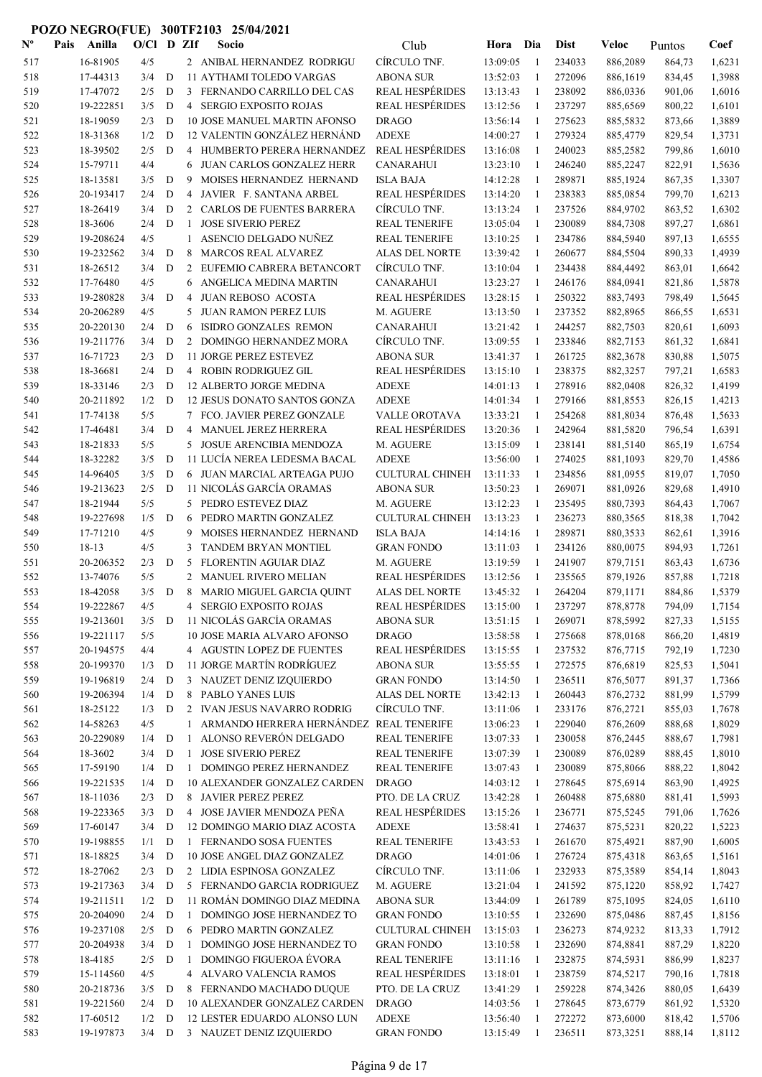| $N^{\text{o}}$ | Pais | Anilla                | O/Cl D ZIf |   |                   | Socio                                                             | Club                                       | Hora                 | Dia                          | <b>Dist</b>      | Veloc                | Puntos           | Coef             |
|----------------|------|-----------------------|------------|---|-------------------|-------------------------------------------------------------------|--------------------------------------------|----------------------|------------------------------|------------------|----------------------|------------------|------------------|
| 517            |      | 16-81905              | 4/5        |   |                   | 2 ANIBAL HERNANDEZ RODRIGU                                        | CÍRCULO TNF.                               | 13:09:05             | -1                           | 234033           | 886,2089             | 864,73           | 1,6231           |
| 518            |      | 17-44313              | 3/4        | D |                   | 11 AYTHAMI TOLEDO VARGAS                                          | <b>ABONA SUR</b>                           | 13:52:03             | -1                           | 272096           | 886,1619             | 834,45           | 1,3988           |
| 519            |      | 17-47072              | 2/5        | D |                   | 3 FERNANDO CARRILLO DEL CAS                                       | <b>REAL HESPÉRIDES</b>                     | 13:13:43             | -1                           | 238092           | 886,0336             | 901,06           | 1,6016           |
| 520            |      | 19-222851             | 3/5        | D |                   | 4 SERGIO EXPOSITO ROJAS                                           | <b>REAL HESPÉRIDES</b>                     | 13:12:56             | -1                           | 237297           | 885,6569             | 800,22           | 1,6101           |
| 521            |      | 18-19059              | 2/3        | D |                   | 10 JOSE MANUEL MARTIN AFONSO                                      | <b>DRAGO</b>                               | 13:56:14             | $\overline{1}$               | 275623           | 885,5832             | 873,66           | 1,3889           |
| 522            |      | 18-31368              | 1/2        | D |                   | 12 VALENTIN GONZÁLEZ HERNÁND                                      | <b>ADEXE</b>                               | 14:00:27             | -1                           | 279324           | 885,4779             | 829,54           | 1,3731           |
| 523            |      | 18-39502              | 2/5        | D |                   | 4 HUMBERTO PERERA HERNANDEZ                                       | <b>REAL HESPÉRIDES</b>                     | 13:16:08             | -1                           | 240023           | 885,2582             | 799,86           | 1,6010           |
| 524            |      | 15-79711              | 4/4        |   | 6                 | JUAN CARLOS GONZALEZ HERR                                         | <b>CANARAHUI</b>                           | 13:23:10             | -1                           | 246240           | 885,2247             | 822,91           | 1,5636           |
| 525            |      | 18-13581              | 3/5        | D | 9                 | MOISES HERNANDEZ HERNAND                                          | <b>ISLA BAJA</b>                           | 14:12:28             | 1                            | 289871           | 885,1924             | 867,35           | 1,3307           |
| 526            |      | 20-193417             | 2/4        | D | 4                 | JAVIER F. SANTANA ARBEL                                           | <b>REAL HESPÉRIDES</b>                     | 13:14:20             | $\mathbf{1}$                 | 238383           | 885,0854             | 799,70           | 1,6213           |
| 527            |      | 18-26419              | 3/4        | D |                   | 2 CARLOS DE FUENTES BARRERA                                       | CÍRCULO TNF.                               | 13:13:24             | -1                           | 237526           | 884,9702             | 863,52           | 1,6302           |
| 528            |      | 18-3606               | 2/4        | D | 1                 | <b>JOSE SIVERIO PEREZ</b>                                         | <b>REAL TENERIFE</b>                       | 13:05:04             | 1                            | 230089           | 884,7308             | 897,27           | 1,6861           |
| 529            |      | 19-208624             | 4/5        |   | 1                 | ASENCIO DELGADO NUÑEZ                                             | <b>REAL TENERIFE</b>                       | 13:10:25             | -1                           | 234786           | 884,5940             | 897,13           | 1,6555           |
| 530            |      | 19-232562             | 3/4        | D | 8                 | <b>MARCOS REAL ALVAREZ</b>                                        | <b>ALAS DEL NORTE</b>                      | 13:39:42             | -1                           | 260677           | 884,5504             | 890,33           | 1,4939           |
| 531            |      | 18-26512              | 3/4<br>4/5 | D |                   | 2 EUFEMIO CABRERA BETANCORT                                       | CÍRCULO TNF.                               | 13:10:04             | 1                            | 234438           | 884,4492             | 863,01           | 1,6642<br>1,5878 |
| 532<br>533     |      | 17-76480<br>19-280828 | 3/4        | D | 6<br>4            | ANGELICA MEDINA MARTIN<br>JUAN REBOSO ACOSTA                      | <b>CANARAHUI</b><br><b>REAL HESPÉRIDES</b> | 13:23:27<br>13:28:15 | -1<br>$\overline{1}$         | 246176<br>250322 | 884,0941             | 821,86           | 1,5645           |
| 534            |      | 20-206289             | 4/5        |   | 5                 | JUAN RAMON PEREZ LUIS                                             | M. AGUERE                                  | 13:13:50             | -1                           | 237352           | 883,7493<br>882,8965 | 798,49<br>866,55 | 1,6531           |
| 535            |      | 20-220130             | 2/4        | D | 6                 | ISIDRO GONZALES REMON                                             | CANARAHUI                                  | 13:21:42             | -1                           | 244257           | 882,7503             | 820,61           | 1,6093           |
| 536            |      | 19-211776             | 3/4        | D |                   | 2 DOMINGO HERNANDEZ MORA                                          | CÍRCULO TNF.                               | 13:09:55             | 1                            | 233846           | 882,7153             | 861,32           | 1,6841           |
| 537            |      | 16-71723              | 2/3        | D |                   | 11 JORGE PEREZ ESTEVEZ                                            | <b>ABONA SUR</b>                           | 13:41:37             | -1                           | 261725           | 882,3678             | 830,88           | 1,5075           |
| 538            |      | 18-36681              | 2/4        | D |                   | 4 ROBIN RODRIGUEZ GIL                                             | <b>REAL HESPÉRIDES</b>                     | 13:15:10             | -1                           | 238375           | 882,3257             | 797,21           | 1,6583           |
| 539            |      | 18-33146              | 2/3        | D |                   | 12 ALBERTO JORGE MEDINA                                           | <b>ADEXE</b>                               | 14:01:13             | -1                           | 278916           | 882,0408             | 826,32           | 1,4199           |
| 540            |      | 20-211892             | 1/2        | D |                   | 12 JESUS DONATO SANTOS GONZA                                      | <b>ADEXE</b>                               | 14:01:34             | 1                            | 279166           | 881,8553             | 826,15           | 1,4213           |
| 541            |      | 17-74138              | 5/5        |   |                   | 7 FCO. JAVIER PEREZ GONZALE                                       | VALLE OROTAVA                              | 13:33:21             | -1                           | 254268           | 881,8034             | 876,48           | 1,5633           |
| 542            |      | 17-46481              | 3/4        | D |                   | 4 MANUEL JEREZ HERRERA                                            | <b>REAL HESPÉRIDES</b>                     | 13:20:36             | -1                           | 242964           | 881,5820             | 796,54           | 1,6391           |
| 543            |      | 18-21833              | 5/5        |   |                   | 5 JOSUE ARENCIBIA MENDOZA                                         | M. AGUERE                                  | 13:15:09             | 1                            | 238141           | 881,5140             | 865,19           | 1,6754           |
| 544            |      | 18-32282              | 3/5        | D |                   | 11 LUCÍA NEREA LEDESMA BACAL                                      | <b>ADEXE</b>                               | 13:56:00             | 1                            | 274025           | 881,1093             | 829,70           | 1,4586           |
| 545            |      | 14-96405              | 3/5        | D |                   | 6 JUAN MARCIAL ARTEAGA PUJO                                       | <b>CULTURAL CHINEH</b>                     | 13:11:33             | $\overline{1}$               | 234856           | 881,0955             | 819,07           | 1,7050           |
| 546            |      | 19-213623             | 2/5        | D |                   | 11 NICOLÁS GARCÍA ORAMAS                                          | <b>ABONA SUR</b>                           | 13:50:23             | -1                           | 269071           | 881,0926             | 829,68           | 1,4910           |
| 547            |      | 18-21944              | 5/5        |   | 5                 | PEDRO ESTEVEZ DIAZ                                                | M. AGUERE                                  | 13:12:23             | -1                           | 235495           | 880,7393             | 864,43           | 1,7067           |
| 548            |      | 19-227698             | 1/5        | D | 6                 | PEDRO MARTIN GONZALEZ                                             | <b>CULTURAL CHINEH</b>                     | 13:13:23             | -1                           | 236273           | 880,3565             | 818,38           | 1,7042           |
| 549            |      | 17-71210              | 4/5        |   | 9                 | MOISES HERNANDEZ HERNAND                                          | <b>ISLA BAJA</b>                           | 14:14:16             | -1                           | 289871           | 880,3533             | 862,61           | 1,3916           |
| 550            |      | 18-13                 | 4/5        |   | 3                 | TANDEM BRYAN MONTIEL                                              | <b>GRAN FONDO</b>                          | 13:11:03             | 1                            | 234126           | 880,0075             | 894,93           | 1,7261           |
| 551            |      | 20-206352             | 2/3        | D | 5                 | FLORENTIN AGUIAR DIAZ                                             | M. AGUERE                                  | 13:19:59             | -1                           | 241907           | 879,7151             | 863,43           | 1,6736           |
| 552            |      | 13-74076              | 5/5        |   |                   | 2 MANUEL RIVERO MELIAN                                            | <b>REAL HESPÉRIDES</b>                     | 13:12:56             | -1                           | 235565           | 879,1926             | 857,88           | 1,7218           |
| 553            |      | 18-42058              | 3/5        | D | 8                 | MARIO MIGUEL GARCIA QUINT                                         | ALAS DEL NORTE                             | 13:45:32             | 1                            | 264204           | 879,1171             | 884,86           | 1,5379           |
| 554            |      | 19-222867             | 4/5        |   | 4                 | SERGIO EXPOSITO ROJAS                                             | <b>REAL HESPÉRIDES</b>                     | 13:15:00             |                              | 237297           | 878,8778             | 794,09           | 1,7154           |
| 555            |      | 19-213601             | 3/5        | D |                   | 11 NICOLÁS GARCÍA ORAMAS                                          | <b>ABONA SUR</b>                           | 13:51:15             | 1                            | 269071           | 878,5992             | 827,33           | 1,5155           |
| 556            |      | 19-221117             | 5/5        |   |                   | 10 JOSE MARIA ALVARO AFONSO                                       | <b>DRAGO</b>                               | 13:58:58             | -1                           | 275668           | 878,0168             | 866,20           | 1,4819           |
| 557            |      | 20-194575             | 4/4        |   |                   | 4 AGUSTIN LOPEZ DE FUENTES                                        | <b>REAL HESPÉRIDES</b>                     | 13:15:55             | -1                           | 237532           | 876,7715             | 792,19           | 1,7230           |
| 558            |      | 20-199370             | 1/3        | D |                   | 11 JORGE MARTÍN RODRÍGUEZ                                         | <b>ABONA SUR</b>                           | 13:55:55             | -1                           | 272575           | 876,6819             | 825,53           | 1,5041           |
| 559            |      | 19-196819             | 2/4        | D |                   | 3 NAUZET DENIZ IZQUIERDO                                          | <b>GRAN FONDO</b>                          | 13:14:50             | -1                           | 236511           | 876,5077             | 891,37           | 1,7366           |
| 560            |      | 19-206394             | 1/4        | D |                   | 8 PABLO YANES LUIS                                                | ALAS DEL NORTE                             | 13:42:13             | 1                            | 260443           | 876,2732             | 881,99           | 1,5799           |
| 561            |      | 18-25122              | 1/3        | D |                   | 2 IVAN JESUS NAVARRO RODRIG                                       | CÍRCULO TNF.                               | 13:11:06             | 1                            | 233176           | 876,2721             | 855,03           | 1,7678           |
| 562            |      | 14-58263<br>20-229089 | 4/5<br>1/4 | D | $\mathbf{1}$<br>1 | ARMANDO HERRERA HERNÁNDEZ REAL TENERIFE<br>ALONSO REVERÓN DELGADO | <b>REAL TENERIFE</b>                       | 13:06:23<br>13:07:33 | $\mathbf{1}$<br>$\mathbf{1}$ | 229040<br>230058 | 876,2609             | 888,68           | 1,8029           |
| 563<br>564     |      | 18-3602               | 3/4        | D | 1                 | JOSE SIVERIO PEREZ                                                | <b>REAL TENERIFE</b>                       | 13:07:39             | $\mathbf{1}$                 | 230089           | 876,2445<br>876,0289 | 888,67<br>888,45 | 1,7981<br>1,8010 |
| 565            |      | 17-59190              | 1/4        | D |                   | 1 DOMINGO PEREZ HERNANDEZ                                         | <b>REAL TENERIFE</b>                       | 13:07:43             | 1                            | 230089           | 875,8066             | 888,22           | 1,8042           |
| 566            |      | 19-221535             | 1/4        | D |                   | 10 ALEXANDER GONZALEZ CARDEN                                      | <b>DRAGO</b>                               | 14:03:12             | $\mathbf{1}$                 | 278645           | 875,6914             | 863,90           | 1,4925           |
| 567            |      | 18-11036              | 2/3        | D |                   | 8 JAVIER PEREZ PEREZ                                              | PTO. DE LA CRUZ                            | 13:42:28             | -1                           | 260488           | 875,6880             | 881,41           | 1,5993           |
| 568            |      | 19-223365             | 3/3        | D |                   | 4 JOSE JAVIER MENDOZA PEÑA                                        | <b>REAL HESPÉRIDES</b>                     | 13:15:26             | $\mathbf{1}$                 | 236771           | 875,5245             | 791,06           | 1,7626           |
| 569            |      | 17-60147              | 3/4        | D |                   | 12 DOMINGO MARIO DIAZ ACOSTA                                      | <b>ADEXE</b>                               | 13:58:41             | 1                            | 274637           | 875,5231             | 820,22           | 1,5223           |
| 570            |      | 19-198855             | 1/1        | D |                   | 1 FERNANDO SOSA FUENTES                                           | <b>REAL TENERIFE</b>                       | 13:43:53             | -1                           | 261670           | 875,4921             | 887,90           | 1,6005           |
| 571            |      | 18-18825              | 3/4        | D |                   | 10 JOSE ANGEL DIAZ GONZALEZ                                       | <b>DRAGO</b>                               | 14:01:06             | 1                            | 276724           | 875,4318             | 863,65           | 1,5161           |
| 572            |      | 18-27062              | 2/3        | D |                   | 2 LIDIA ESPINOSA GONZALEZ                                         | CÍRCULO TNF.                               | 13:11:06             | -1                           | 232933           | 875,3589             | 854,14           | 1,8043           |
| 573            |      | 19-217363             | 3/4        | D |                   | 5 FERNANDO GARCIA RODRIGUEZ                                       | M. AGUERE                                  | 13:21:04             | 1                            | 241592           | 875,1220             | 858,92           | 1,7427           |
| 574            |      | 19-211511             | 1/2        | D |                   | 11 ROMÁN DOMINGO DIAZ MEDINA                                      | <b>ABONA SUR</b>                           | 13:44:09             | 1                            | 261789           | 875,1095             | 824,05           | 1,6110           |
| 575            |      | 20-204090             | 2/4        | D | $\mathbf{1}$      | DOMINGO JOSE HERNANDEZ TO                                         | <b>GRAN FONDO</b>                          | 13:10:55             | $\mathbf{1}$                 | 232690           | 875,0486             | 887,45           | 1,8156           |
| 576            |      | 19-237108             | 2/5        | D |                   | 6 PEDRO MARTIN GONZALEZ                                           | <b>CULTURAL CHINEH</b>                     | 13:15:03             | -1                           | 236273           | 874,9232             | 813,33           | 1,7912           |
| 577            |      | 20-204938             | 3/4        | D | $\mathbf{1}$      | DOMINGO JOSE HERNANDEZ TO                                         | <b>GRAN FONDO</b>                          | 13:10:58             | -1                           | 232690           | 874,8841             | 887,29           | 1,8220           |
| 578            |      | 18-4185               | 2/5        | D | 1                 | DOMINGO FIGUEROA ÉVORA                                            | <b>REAL TENERIFE</b>                       | 13:11:16             | -1                           | 232875           | 874,5931             | 886,99           | 1,8237           |
| 579            |      | 15-114560             | 4/5        |   |                   | 4 ALVARO VALENCIA RAMOS                                           | <b>REAL HESPÉRIDES</b>                     | 13:18:01             | $\mathbf{1}$                 | 238759           | 874,5217             | 790,16           | 1,7818           |
| 580            |      | 20-218736             | 3/5        | D |                   | 8 FERNANDO MACHADO DUQUE                                          | PTO. DE LA CRUZ                            | 13:41:29             | 1                            | 259228           | 874,3426             | 880,05           | 1,6439           |
| 581            |      | 19-221560             | 2/4        | D |                   | 10 ALEXANDER GONZALEZ CARDEN                                      | <b>DRAGO</b>                               | 14:03:56             | 1                            | 278645           | 873,6779             | 861,92           | 1,5320           |
| 582            |      | 17-60512              | 1/2        | D |                   | 12 LESTER EDUARDO ALONSO LUN                                      | <b>ADEXE</b>                               | 13:56:40             | 1                            | 272272           | 873,6000             | 818,42           | 1,5706           |
| 583            |      | 19-197873             | $3/4$ D    |   |                   | 3 NAUZET DENIZ IZQUIERDO                                          | <b>GRAN FONDO</b>                          | 13:15:49             | -1                           | 236511           | 873,3251             | 888,14           | 1,8112           |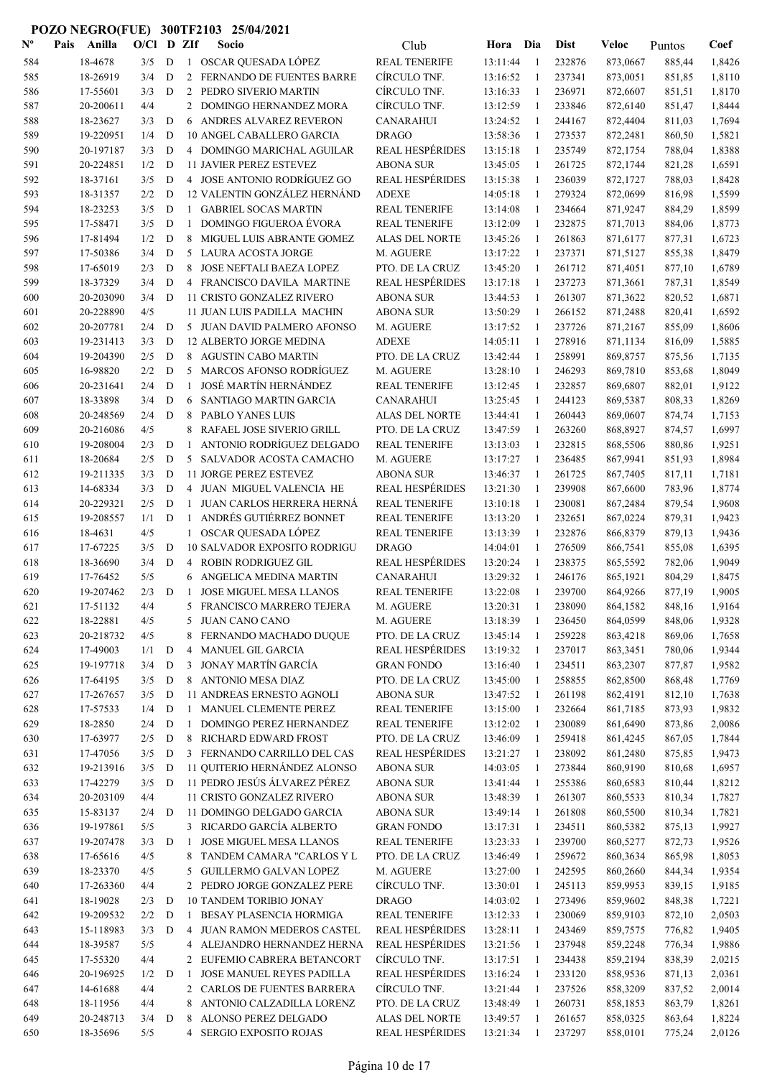| $\mathbf{N}^{\mathbf{o}}$ | Pais | Anilla    | O/Cl |             | D ZIf          | Socio                               | Club                   | Hora     | Dia            | <b>Dist</b> | Veloc    | Puntos | Coef   |
|---------------------------|------|-----------|------|-------------|----------------|-------------------------------------|------------------------|----------|----------------|-------------|----------|--------|--------|
| 584                       |      | 18-4678   | 3/5  | D           |                | 1 OSCAR QUESADA LÓPEZ               | <b>REAL TENERIFE</b>   | 13:11:44 | $\overline{1}$ | 232876      | 873,0667 | 885,44 | 1,8426 |
| 585                       |      | 18-26919  | 3/4  | D           | $\overline{2}$ | FERNANDO DE FUENTES BARRE           | CÍRCULO TNF.           | 13:16:52 | $\mathbf{1}$   | 237341      | 873,0051 | 851,85 | 1,8110 |
| 586                       |      | 17-55601  | 3/3  | D           | 2              | PEDRO SIVERIO MARTIN                | CÍRCULO TNF.           | 13:16:33 | $\mathbf{1}$   | 236971      | 872,6607 | 851,51 | 1,8170 |
| 587                       |      | 20-200611 | 4/4  |             | $\overline{2}$ | DOMINGO HERNANDEZ MORA              | CÍRCULO TNF.           | 13:12:59 | -1             | 233846      | 872,6140 | 851,47 | 1,8444 |
| 588                       |      | 18-23627  | 3/3  | D           | 6              | ANDRES ALVAREZ REVERON              | <b>CANARAHUI</b>       | 13:24:52 | -1             | 244167      | 872,4404 | 811,03 | 1,7694 |
| 589                       |      | 19-220951 | 1/4  | D           |                | 10 ANGEL CABALLERO GARCIA           | <b>DRAGO</b>           | 13:58:36 | $\mathbf{1}$   | 273537      | 872,2481 | 860,50 | 1,5821 |
| 590                       |      | 20-197187 | 3/3  | D           |                | 4 DOMINGO MARICHAL AGUILAR          | <b>REAL HESPÉRIDES</b> | 13:15:18 | -1             | 235749      | 872,1754 | 788,04 | 1,8388 |
| 591                       |      | 20-224851 | 1/2  | D           |                | <b>11 JAVIER PEREZ ESTEVEZ</b>      | <b>ABONA SUR</b>       | 13:45:05 | -1             | 261725      | 872,1744 | 821,28 | 1,6591 |
| 592                       |      | 18-37161  | 3/5  | D           |                | 4 JOSE ANTONIO RODRÍGUEZ GO         | <b>REAL HESPÉRIDES</b> | 13:15:38 | 1              | 236039      | 872,1727 | 788,03 | 1,8428 |
| 593                       |      | 18-31357  | 2/2  | D           |                | 12 VALENTIN GONZÁLEZ HERNÁND        | <b>ADEXE</b>           | 14:05:18 | 1              | 279324      | 872,0699 | 816,98 | 1,5599 |
| 594                       |      | 18-23253  | 3/5  | D           |                | 1 GABRIEL SOCAS MARTIN              | <b>REAL TENERIFE</b>   | 13:14:08 | 1              | 234664      | 871,9247 | 884,29 | 1,8599 |
| 595                       |      | 17-58471  | 3/5  | D           | $\mathbf{1}$   | <b>DOMINGO FIGUEROA ÉVORA</b>       | <b>REAL TENERIFE</b>   | 13:12:09 | $\mathbf{1}$   | 232875      | 871,7013 | 884,06 | 1,8773 |
| 596                       |      | 17-81494  | 1/2  | D           | 8              | MIGUEL LUIS ABRANTE GOMEZ           | <b>ALAS DEL NORTE</b>  | 13:45:26 | 1              | 261863      | 871,6177 | 877,31 | 1,6723 |
| 597                       |      | 17-50386  | 3/4  | D           | 5              | LAURA ACOSTA JORGE                  | M. AGUERE              | 13:17:22 | -1             | 237371      | 871,5127 | 855,38 | 1,8479 |
| 598                       |      | 17-65019  | 2/3  | D           | 8              | JOSE NEFTALI BAEZA LOPEZ            | PTO. DE LA CRUZ        | 13:45:20 | $\mathbf{1}$   | 261712      | 871,4051 | 877,10 | 1,6789 |
| 599                       |      | 18-37329  | 3/4  | D           |                | 4 FRANCISCO DAVILA MARTINE          | <b>REAL HESPÉRIDES</b> | 13:17:18 | -1             | 237273      | 871,3661 | 787,31 | 1,8549 |
| 600                       |      | 20-203090 | 3/4  | D           |                | 11 CRISTO GONZALEZ RIVERO           | <b>ABONA SUR</b>       | 13:44:53 | 1              | 261307      | 871,3622 | 820,52 | 1,6871 |
| 601                       |      | 20-228890 | 4/5  |             |                | <b>11 JUAN LUIS PADILLA MACHIN</b>  | <b>ABONA SUR</b>       | 13:50:29 | $\mathbf{1}$   | 266152      | 871,2488 | 820,41 | 1,6592 |
| 602                       |      | 20-207781 | 2/4  | D           |                | 5 JUAN DAVID PALMERO AFONSO         | M. AGUERE              | 13:17:52 | -1             | 237726      | 871,2167 | 855,09 | 1,8606 |
| 603                       |      | 19-231413 | 3/3  | D           |                | 12 ALBERTO JORGE MEDINA             | <b>ADEXE</b>           | 14:05:11 | 1              | 278916      | 871,1134 | 816,09 | 1,5885 |
| 604                       |      | 19-204390 | 2/5  | D           |                | 8 AGUSTIN CABO MARTIN               | PTO. DE LA CRUZ        | 13:42:44 | 1              | 258991      | 869,8757 | 875,56 | 1,7135 |
| 605                       |      | 16-98820  | 2/2  | $\mathbf D$ |                | 5 MARCOS AFONSO RODRÍGUEZ           | M. AGUERE              | 13:28:10 | 1              | 246293      | 869,7810 | 853,68 | 1,8049 |
| 606                       |      | 20-231641 | 2/4  | D           | $\mathbf{1}$   | <b>JOSÉ MARTÍN HERNÁNDEZ</b>        | <b>REAL TENERIFE</b>   | 13:12:45 | 1              | 232857      | 869,6807 | 882,01 | 1,9122 |
| 607                       |      | 18-33898  | 3/4  | D           | 6              | SANTIAGO MARTIN GARCIA              | <b>CANARAHUI</b>       | 13:25:45 | 1              | 244123      | 869,5387 | 808,33 | 1,8269 |
| 608                       |      | 20-248569 | 2/4  | D           | 8              | PABLO YANES LUIS                    | <b>ALAS DEL NORTE</b>  | 13:44:41 | 1              | 260443      | 869,0607 | 874,74 | 1,7153 |
| 609                       |      | 20-216086 | 4/5  |             | 8              | RAFAEL JOSE SIVERIO GRILL           | PTO. DE LA CRUZ        | 13:47:59 | -1             | 263260      | 868,8927 | 874,57 | 1,6997 |
| 610                       |      | 19-208004 | 2/3  | D           | $\mathbf{1}$   | ANTONIO RODRÍGUEZ DELGADO           | <b>REAL TENERIFE</b>   | 13:13:03 | -1             | 232815      | 868,5506 | 880,86 | 1,9251 |
| 611                       |      | 18-20684  | 2/5  | D           | 5              | SALVADOR ACOSTA CAMACHO             | M. AGUERE              | 13:17:27 | 1              | 236485      | 867,9941 | 851,93 | 1,8984 |
| 612                       |      | 19-211335 | 3/3  | D           |                | <b>11 JORGE PEREZ ESTEVEZ</b>       | <b>ABONA SUR</b>       | 13:46:37 | -1             | 261725      | 867,7405 | 817,11 | 1,7181 |
| 613                       |      | 14-68334  | 3/3  | D           | 4              | JUAN MIGUEL VALENCIA HE             | <b>REAL HESPÉRIDES</b> | 13:21:30 | $\mathbf{1}$   | 239908      | 867,6600 | 783,96 | 1,8774 |
| 614                       |      | 20-229321 | 2/5  | D           | $\mathbf{1}$   | <b>JUAN CARLOS HERRERA HERNÁ</b>    | <b>REAL TENERIFE</b>   | 13:10:18 | $\mathbf{1}$   | 230081      | 867,2484 | 879,54 | 1,9608 |
| 615                       |      | 19-208557 | 1/1  | D           | $\mathbf{1}$   | ANDRÉS GUTIÉRREZ BONNET             | <b>REAL TENERIFE</b>   | 13:13:20 | -1             | 232651      | 867,0224 | 879,31 | 1,9423 |
| 616                       |      | 18-4631   | 4/5  |             | $\mathbf{1}$   | OSCAR QUESADA LÓPEZ                 | <b>REAL TENERIFE</b>   | 13:13:39 | 1              | 232876      | 866,8379 | 879,13 | 1,9436 |
| 617                       |      | 17-67225  | 3/5  | D           |                | <b>10 SALVADOR EXPOSITO RODRIGU</b> | <b>DRAGO</b>           | 14:04:01 | 1              | 276509      | 866,7541 | 855,08 | 1,6395 |
| 618                       |      | 18-36690  | 3/4  | D           |                | 4 ROBIN RODRIGUEZ GIL               | <b>REAL HESPÉRIDES</b> | 13:20:24 | 1              | 238375      | 865,5592 | 782,06 | 1,9049 |
| 619                       |      | 17-76452  | 5/5  |             | 6              | ANGELICA MEDINA MARTIN              | <b>CANARAHUI</b>       | 13:29:32 | 1              | 246176      | 865,1921 | 804,29 | 1,8475 |
| 620                       |      | 19-207462 | 2/3  | D           | $\mathbf{1}$   | <b>JOSE MIGUEL MESA LLANOS</b>      | <b>REAL TENERIFE</b>   | 13:22:08 | -1             | 239700      | 864,9266 | 877,19 | 1,9005 |
| 621                       |      | 17-51132  | 4/4  |             | 5              | FRANCISCO MARRERO TEJERA            | M. AGUERE              | 13:20:31 | 1              | 238090      | 864,1582 | 848,16 | 1,9164 |
| 622                       |      | 18-22881  | 4/5  |             |                | 5 JUAN CANO CANO                    | M. AGUERE              | 13:18:39 | 1              | 236450      | 864,0599 | 848,06 | 1,9328 |
| 623                       |      | 20-218732 | 4/5  |             | 8              | FERNANDO MACHADO DUQUE              | PTO. DE LA CRUZ        | 13:45:14 | 1              | 259228      | 863,4218 | 869,06 | 1,7658 |
| 624                       |      | 17-49003  | 1/1  | D           | 4              | <b>MANUEL GIL GARCIA</b>            | REAL HESPÉRIDES        | 13:19:32 | 1              | 237017      | 863,3451 | 780,06 | 1,9344 |
| 625                       |      | 19-197718 | 3/4  | D           | 3              | JONAY MARTÍN GARCÍA                 | <b>GRAN FONDO</b>      | 13:16:40 | $\mathbf{1}$   | 234511      | 863,2307 | 877,87 | 1,9582 |
| 626                       |      | 17-64195  | 3/5  | D           | 8              | ANTONIO MESA DIAZ                   | PTO. DE LA CRUZ        | 13:45:00 | $\mathbf{1}$   | 258855      | 862,8500 | 868,48 | 1,7769 |
| 627                       |      | 17-267657 | 3/5  | D           |                | 11 ANDREAS ERNESTO AGNOLI           | <b>ABONA SUR</b>       | 13:47:52 | 1              | 261198      | 862,4191 | 812,10 | 1,7638 |
| 628                       |      | 17-57533  | 1/4  | $\mathbf D$ | $\mathbf{1}$   | MANUEL CLEMENTE PEREZ               | <b>REAL TENERIFE</b>   | 13:15:00 | 1              | 232664      | 861,7185 | 873,93 | 1,9832 |
| 629                       |      | 18-2850   | 2/4  | D           | $\mathbf{1}$   | DOMINGO PEREZ HERNANDEZ             | <b>REAL TENERIFE</b>   | 13:12:02 | 1              | 230089      | 861,6490 | 873,86 | 2,0086 |
| 630                       |      | 17-63977  | 2/5  | $\mathbf D$ | 8              | RICHARD EDWARD FROST                | PTO. DE LA CRUZ        | 13:46:09 | 1              | 259418      | 861,4245 | 867,05 | 1,7844 |
| 631                       |      | 17-47056  | 3/5  | D           |                | 3 FERNANDO CARRILLO DEL CAS         | <b>REAL HESPÉRIDES</b> | 13:21:27 | 1              | 238092      | 861,2480 | 875,85 | 1,9473 |
| 632                       |      | 19-213916 | 3/5  | D           |                | 11 QUITERIO HERNÁNDEZ ALONSO        | <b>ABONA SUR</b>       | 14:03:05 | 1              | 273844      | 860,9190 | 810,68 | 1,6957 |
| 633                       |      | 17-42279  | 3/5  | D           |                | 11 PEDRO JESÚS ÁLVAREZ PÉREZ        | ABONA SUR              | 13:41:44 | 1              | 255386      | 860,6583 | 810,44 | 1,8212 |
| 634                       |      | 20-203109 | 4/4  |             |                | 11 CRISTO GONZALEZ RIVERO           | <b>ABONA SUR</b>       | 13:48:39 | $\mathbf{1}$   | 261307      | 860,5533 | 810,34 | 1,7827 |
| 635                       |      | 15-83137  | 2/4  | D           |                | 11 DOMINGO DELGADO GARCIA           | <b>ABONA SUR</b>       | 13:49:14 | 1              | 261808      | 860,5500 | 810,34 | 1,7821 |
| 636                       |      | 19-197861 | 5/5  |             |                | 3 RICARDO GARCÍA ALBERTO            | <b>GRAN FONDO</b>      | 13:17:31 | -1             | 234511      | 860,5382 | 875,13 | 1,9927 |
| 637                       |      | 19-207478 | 3/3  | D           | -1             | JOSE MIGUEL MESA LLANOS             | <b>REAL TENERIFE</b>   | 13:23:33 | 1              | 239700      | 860,5277 | 872,73 | 1,9526 |
| 638                       |      | 17-65616  | 4/5  |             | 8              | TANDEM CAMARA "CARLOS Y L           | PTO. DE LA CRUZ        | 13:46:49 | $\mathbf{1}$   | 259672      | 860,3634 | 865,98 | 1,8053 |
| 639                       |      | 18-23370  | 4/5  |             | 5              | GUILLERMO GALVAN LOPEZ              | M. AGUERE              | 13:27:00 | 1              | 242595      | 860,2660 | 844,34 | 1,9354 |
| 640                       |      | 17-263360 | 4/4  |             | $\overline{2}$ | PEDRO JORGE GONZALEZ PERE           | CÍRCULO TNF.           | 13:30:01 | 1              | 245113      | 859,9953 | 839,15 | 1,9185 |
| 641                       |      | 18-19028  | 2/3  | $\mathbf D$ |                | 10 TANDEM TORIBIO JONAY             | <b>DRAGO</b>           | 14:03:02 | 1              | 273496      | 859,9602 | 848,38 | 1,7221 |
| 642                       |      | 19-209532 | 2/2  | D           | $\mathbf{1}$   | BESAY PLASENCIA HORMIGA             | <b>REAL TENERIFE</b>   | 13:12:33 | 1              | 230069      | 859,9103 | 872,10 | 2,0503 |
| 643                       |      | 15-118983 | 3/3  | D           |                | 4 JUAN RAMON MEDEROS CASTEL         | <b>REAL HESPÉRIDES</b> | 13:28:11 | 1              | 243469      | 859,7575 | 776,82 | 1,9405 |
| 644                       |      | 18-39587  | 5/5  |             |                | 4 ALEJANDRO HERNANDEZ HERNA         | <b>REAL HESPÉRIDES</b> | 13:21:56 | 1              | 237948      | 859,2248 | 776,34 | 1,9886 |
| 645                       |      | 17-55320  | 4/4  |             |                | 2 EUFEMIO CABRERA BETANCORT         | CÍRCULO TNF.           | 13:17:51 | 1              | 234438      | 859,2194 | 838,39 | 2,0215 |
| 646                       |      | 20-196925 | 1/2  | D           | -1             | JOSE MANUEL REYES PADILLA           | <b>REAL HESPÉRIDES</b> | 13:16:24 | 1              | 233120      | 858,9536 | 871,13 | 2,0361 |
| 647                       |      | 14-61688  | 4/4  |             | $\overline{2}$ | CARLOS DE FUENTES BARRERA           | CÍRCULO TNF.           | 13:21:44 | $\mathbf{1}$   | 237526      | 858,3209 | 837,52 | 2,0014 |
| 648                       |      | 18-11956  | 4/4  |             | 8              | ANTONIO CALZADILLA LORENZ           | PTO. DE LA CRUZ        | 13:48:49 | -1             | 260731      | 858,1853 | 863,79 | 1,8261 |
| 649                       |      | 20-248713 | 3/4  | D           | 8              | ALONSO PEREZ DELGADO                | ALAS DEL NORTE         | 13:49:57 | 1              | 261657      | 858,0325 | 863,64 | 1,8224 |
| 650                       |      | 18-35696  | 5/5  |             |                | 4 SERGIO EXPOSITO ROJAS             | <b>REAL HESPÉRIDES</b> | 13:21:34 | $\mathbf{1}$   | 237297      | 858,0101 | 775,24 | 2,0126 |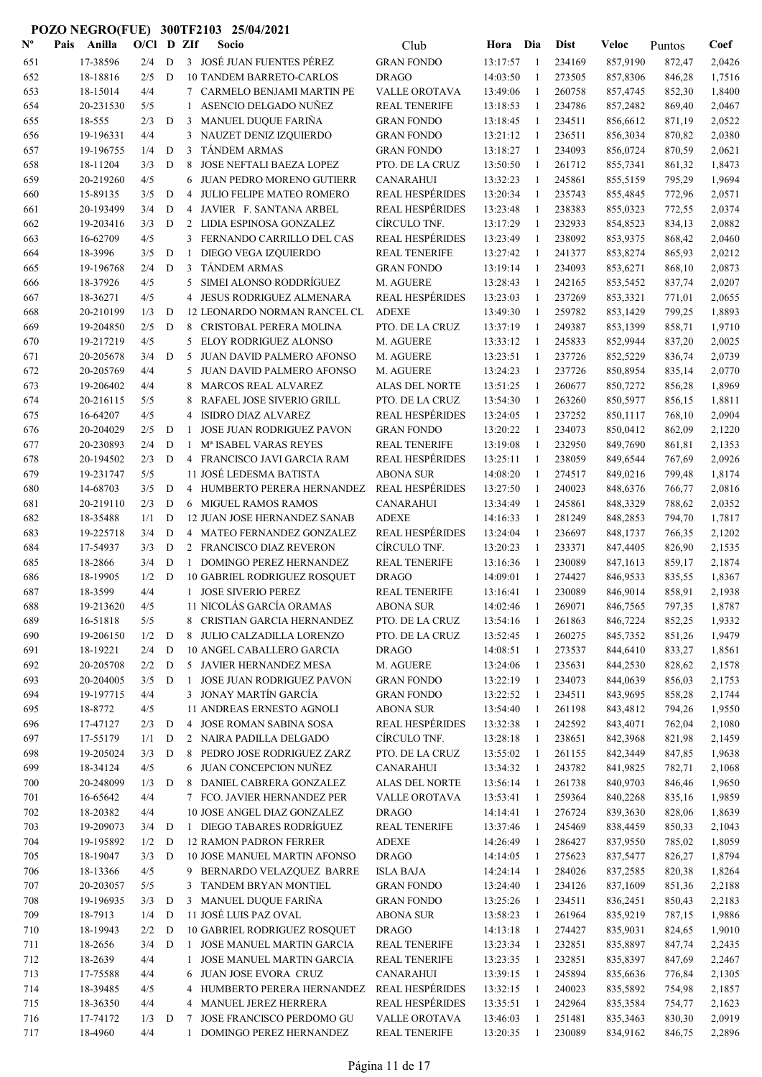| ${\bf N^o}$ | Pais | Anilla                | $O/C1$ D ZIf |             |                | Socio                                                    | Club                                   | Hora Dia             |              | <b>Dist</b>      | Veloc                | Puntos           | Coef             |
|-------------|------|-----------------------|--------------|-------------|----------------|----------------------------------------------------------|----------------------------------------|----------------------|--------------|------------------|----------------------|------------------|------------------|
| 651         |      | 17-38596              | 2/4          | D           |                | 3 JOSÉ JUAN FUENTES PÉREZ                                | <b>GRAN FONDO</b>                      | 13:17:57             | -1           | 234169           | 857,9190             | 872,47           | 2,0426           |
| 652         |      | 18-18816              | 2/5          | D           |                | <b>10 TANDEM BARRETO-CARLOS</b>                          | <b>DRAGO</b>                           | 14:03:50             | 1            | 273505           | 857,8306             | 846,28           | 1,7516           |
| 653         |      | 18-15014              | 4/4          |             |                | 7 CARMELO BENJAMI MARTIN PE                              | VALLE OROTAVA                          | 13:49:06             | 1            | 260758           | 857,4745             | 852,30           | 1,8400           |
| 654         |      | 20-231530             | 5/5          |             | 1              | ASENCIO DELGADO NUÑEZ                                    | <b>REAL TENERIFE</b>                   | 13:18:53             | 1            | 234786           | 857,2482             | 869,40           | 2,0467           |
| 655         |      | 18-555                | 2/3          | D           | 3              | MANUEL DUQUE FARIÑA                                      | <b>GRAN FONDO</b>                      | 13:18:45             | -1           | 234511           | 856,6612             | 871,19           | 2,0522           |
| 656         |      | 19-196331             | 4/4          |             | 3              | NAUZET DENIZ IZQUIERDO                                   | <b>GRAN FONDO</b>                      | 13:21:12             | -1           | 236511           | 856,3034             | 870,82           | 2,0380           |
| 657         |      | 19-196755             | 1/4          | D           | 3              | TÁNDEM ARMAS                                             | <b>GRAN FONDO</b>                      | 13:18:27             | -1           | 234093           | 856,0724             | 870,59           | 2,0621           |
| 658         |      | 18-11204              | 3/3          | D           | 8              | JOSE NEFTALI BAEZA LOPEZ                                 | PTO. DE LA CRUZ                        | 13:50:50             | -1           | 261712           | 855,7341             | 861,32           | 1,8473           |
| 659         |      | 20-219260             | 4/5          |             | 6              | <b>JUAN PEDRO MORENO GUTIERR</b>                         | <b>CANARAHUI</b>                       | 13:32:23             | 1            | 245861           | 855,5159             | 795,29           | 1,9694           |
| 660         |      | 15-89135              | 3/5          | D           | 4              | <b>JULIO FELIPE MATEO ROMERO</b>                         | <b>REAL HESPÉRIDES</b>                 | 13:20:34             | -1           | 235743           | 855,4845             | 772,96           | 2,0571           |
| 661         |      | 20-193499             | 3/4          | D           | 4              | JAVIER F. SANTANA ARBEL                                  | <b>REAL HESPÉRIDES</b>                 | 13:23:48             | -1           | 238383           | 855,0323             | 772,55           | 2,0374           |
| 662         |      | 19-203416             | 3/3          | $\mathbf D$ |                | 2 LIDIA ESPINOSA GONZALEZ                                | CÍRCULO TNF.                           | 13:17:29             | 1            | 232933           | 854,8523             | 834,13           | 2,0882           |
| 663         |      | 16-62709              | 4/5          |             | 3              | FERNANDO CARRILLO DEL CAS                                | <b>REAL HESPÉRIDES</b>                 | 13:23:49             | 1            | 238092           | 853,9375             | 868,42           | 2,0460           |
| 664         |      | 18-3996               | 3/5          | D           | -1             | DIEGO VEGA IZQUIERDO                                     | <b>REAL TENERIFE</b>                   | 13:27:42             | 1            | 241377           | 853,8274             | 865,93           | 2,0212           |
| 665         |      | 19-196768             | 2/4          | D           | 3              | <b>TANDEM ARMAS</b>                                      | <b>GRAN FONDO</b>                      | 13:19:14             | 1            | 234093           | 853,6271             | 868,10           | 2,0873           |
| 666         |      | 18-37926              | 4/5          |             | 5              | SIMEI ALONSO RODDRÍGUEZ                                  | M. AGUERE                              | 13:28:43             | 1            | 242165           | 853,5452             | 837,74           | 2,0207           |
| 667         |      | 18-36271<br>20-210199 | 4/5<br>1/3   | D           | 4              | JESUS RODRIGUEZ ALMENARA                                 | <b>REAL HESPÉRIDES</b><br><b>ADEXE</b> | 13:23:03<br>13:49:30 | -1<br>1      | 237269<br>259782 | 853,3321             | 771,01           | 2,0655<br>1,8893 |
| 668<br>669  |      | 19-204850             | 2/5          | D           | 8              | 12 LEONARDO NORMAN RANCEL CL<br>CRISTOBAL PERERA MOLINA  | PTO. DE LA CRUZ                        | 13:37:19             | -1           | 249387           | 853,1429<br>853,1399 | 799,25<br>858,71 | 1,9710           |
| 670         |      | 19-217219             | 4/5          |             | 5              | ELOY RODRIGUEZ ALONSO                                    | M. AGUERE                              | 13:33:12             | -1           | 245833           | 852,9944             | 837,20           | 2,0025           |
| 671         |      | 20-205678             | 3/4          | D           | 5              | JUAN DAVID PALMERO AFONSO                                | M. AGUERE                              | 13:23:51             | 1            | 237726           | 852,5229             | 836,74           | 2,0739           |
| 672         |      | 20-205769             | 4/4          |             | 5              | <b>JUAN DAVID PALMERO AFONSO</b>                         | M. AGUERE                              | 13:24:23             | -1           | 237726           | 850,8954             | 835,14           | 2,0770           |
| 673         |      | 19-206402             | 4/4          |             | 8              | <b>MARCOS REAL ALVAREZ</b>                               | ALAS DEL NORTE                         | 13:51:25             | -1           | 260677           | 850,7272             | 856,28           | 1,8969           |
| 674         |      | 20-216115             | 5/5          |             | 8              | RAFAEL JOSE SIVERIO GRILL                                | PTO. DE LA CRUZ                        | 13:54:30             | 1            | 263260           | 850,5977             | 856,15           | 1,8811           |
| 675         |      | 16-64207              | 4/5          |             | 4              | <b>ISIDRO DIAZ ALVAREZ</b>                               | <b>REAL HESPÉRIDES</b>                 | 13:24:05             | 1            | 237252           | 850,1117             | 768,10           | 2,0904           |
| 676         |      | 20-204029             | 2/5          | D           | -1             | <b>JOSE JUAN RODRIGUEZ PAVON</b>                         | <b>GRAN FONDO</b>                      | 13:20:22             | -1           | 234073           | 850,0412             | 862,09           | 2,1220           |
| 677         |      | 20-230893             | 2/4          | D           | $\mathbf{1}$   | Mª ISABEL VARAS REYES                                    | <b>REAL TENERIFE</b>                   | 13:19:08             | -1           | 232950           | 849,7690             | 861,81           | 2,1353           |
| 678         |      | 20-194502             | 2/3          | D           |                | 4 FRANCISCO JAVI GARCIA RAM                              | <b>REAL HESPÉRIDES</b>                 | 13:25:11             | 1            | 238059           | 849,6544             | 767,69           | 2,0926           |
| 679         |      | 19-231747             | 5/5          |             |                | 11 JOSÉ LEDESMA BATISTA                                  | <b>ABONA SUR</b>                       | 14:08:20             | -1           | 274517           | 849,0216             | 799,48           | 1,8174           |
| 680         |      | 14-68703              | 3/5          | D           |                | 4 HUMBERTO PERERA HERNANDEZ                              | <b>REAL HESPÉRIDES</b>                 | 13:27:50             | -1           | 240023           | 848,6376             | 766,77           | 2,0816           |
| 681         |      | 20-219110             | 2/3          | D           |                | 6 MIGUEL RAMOS RAMOS                                     | <b>CANARAHUI</b>                       | 13:34:49             | -1           | 245861           | 848,3329             | 788,62           | 2,0352           |
| 682         |      | 18-35488              | 1/1          | D           |                | 12 JUAN JOSE HERNANDEZ SANAB                             | <b>ADEXE</b>                           | 14:16:33             | -1           | 281249           | 848,2853             | 794,70           | 1,7817           |
| 683         |      | 19-225718             | 3/4          | D           |                | 4 MATEO FERNANDEZ GONZALEZ                               | <b>REAL HESPÉRIDES</b>                 | 13:24:04             | $\mathbf{1}$ | 236697           | 848,1737             | 766,35           | 2,1202           |
| 684         |      | 17-54937              | 3/3          | D           |                | 2 FRANCISCO DIAZ REVERON                                 | CÍRCULO TNF.                           | 13:20:23             | -1           | 233371           | 847,4405             | 826,90           | 2,1535           |
| 685         |      | 18-2866               | 3/4          | D           | 1              | DOMINGO PEREZ HERNANDEZ                                  | <b>REAL TENERIFE</b>                   | 13:16:36             | -1           | 230089           | 847,1613             | 859,17           | 2,1874           |
| 686         |      | 18-19905              | 1/2          | D           |                | <b>10 GABRIEL RODRIGUEZ ROSQUET</b>                      | <b>DRAGO</b>                           | 14:09:01             | 1            | 274427           | 846,9533             | 835,55           | 1,8367           |
| 687         |      | 18-3599               | 4/4          |             |                | 1 JOSE SIVERIO PEREZ                                     | <b>REAL TENERIFE</b>                   | 13:16:41             | 1            | 230089           | 846,9014             | 858,91           | 2,1938           |
| 688         |      | 19-213620             | 4/5          |             |                | 11 NICOLÁS GARCÍA ORAMAS                                 | <b>ABONA SUR</b>                       | 14:02:46             |              | 269071           | 846,7565             | 797,35           | 1,8787           |
| 689         |      | 16-51818              | 5/5          |             |                | 8 CRISTIAN GARCIA HERNANDEZ                              | PTO. DE LA CRUZ                        | 13:54:16             | -1           | 261863           | 846,7224             | 852,25           | 1,9332           |
| 690         |      | 19-206150             | 1/2          | D           |                | 8 JULIO CALZADILLA LORENZO                               | PTO. DE LA CRUZ                        | 13:52:45             | 1            | 260275           | 845,7352             | 851,26           | 1,9479           |
| 691         |      | 18-19221              | 2/4          | D           |                | 10 ANGEL CABALLERO GARCIA                                | <b>DRAGO</b>                           | 14:08:51             | 1            | 273537           | 844,6410             | 833,27           | 1,8561           |
| 692         |      | 20-205708             | 2/2          | D           |                | 5 JAVIER HERNANDEZ MESA                                  | M. AGUERE                              | 13:24:06             | 1            | 235631           | 844,2530             | 828,62           | 2,1578           |
| 693         |      | 20-204005             | 3/5          | D           | $\mathbf{1}$   | <b>JOSE JUAN RODRIGUEZ PAVON</b>                         | <b>GRAN FONDO</b>                      | 13:22:19             | -1           | 234073           | 844,0639             | 856,03           | 2,1753           |
| 694         |      | 19-197715             | 4/4          |             |                | 3 JONAY MARTÍN GARCÍA                                    | <b>GRAN FONDO</b>                      | 13:22:52             | -1           | 234511           | 843,9695             | 858,28           | 2,1744           |
| 695         |      | 18-8772               | 4/5          |             |                | 11 ANDREAS ERNESTO AGNOLI                                | <b>ABONA SUR</b>                       | 13:54:40             | $\mathbf{1}$ | 261198           | 843,4812             | 794,26           | 1,9550           |
| 696         |      | 17-47127              | 2/3          | $\mathbf D$ | $\overline{4}$ | JOSE ROMAN SABINA SOSA                                   | <b>REAL HESPÉRIDES</b>                 | 13:32:38             | $\mathbf{1}$ | 242592           | 843,4071             | 762,04           | 2,1080           |
| 697         |      | 17-55179              | 1/1          | D           |                | 2 NAIRA PADILLA DELGADO                                  | CÍRCULO TNF.                           | 13:28:18             | -1           | 238651           | 842,3968             | 821,98           | 2,1459           |
| 698         |      | 19-205024             | 3/3          | D           | 8              | PEDRO JOSE RODRIGUEZ ZARZ                                | PTO. DE LA CRUZ                        | 13:55:02             | 1            | 261155           | 842,3449             | 847,85           | 1,9638           |
| 699         |      | 18-34124              | 4/5          |             |                | 6 JUAN CONCEPCION NUÑEZ                                  | <b>CANARAHUI</b>                       | 13:34:32             | -1           | 243782           | 841,9825             | 782,71           | 2,1068           |
| 700         |      | 20-248099<br>16-65642 | 1/3<br>4/4   | D           |                | 8 DANIEL CABRERA GONZALEZ<br>7 FCO. JAVIER HERNANDEZ PER | ALAS DEL NORTE<br>VALLE OROTAVA        | 13:56:14<br>13:53:41 | -1           | 261738<br>259364 | 840,9703             | 846,46           | 1,9650<br>1,9859 |
| 701<br>702  |      | 18-20382              | 4/4          |             |                | 10 JOSE ANGEL DIAZ GONZALEZ                              | <b>DRAGO</b>                           | 14:14:41             | -1<br>1      | 276724           | 840,2268<br>839,3630 | 835,16<br>828,06 | 1,8639           |
| 703         |      | 19-209073             | 3/4          | D           |                | 1 DIEGO TABARES RODRÍGUEZ                                | <b>REAL TENERIFE</b>                   | 13:37:46             | 1            | 245469           | 838,4459             | 850,33           | 2,1043           |
| 704         |      | 19-195892             | 1/2          | D           |                | <b>12 RAMON PADRON FERRER</b>                            | <b>ADEXE</b>                           | 14:26:49             | 1            | 286427           | 837,9550             | 785,02           | 1,8059           |
| 705         |      | 18-19047              | 3/3          | D           |                | 10 JOSE MANUEL MARTIN AFONSO                             | <b>DRAGO</b>                           | 14:14:05             | -1           | 275623           | 837,5477             | 826,27           | 1,8794           |
| 706         |      | 18-13366              | 4/5          |             |                | 9 BERNARDO VELAZQUEZ BARRE                               | <b>ISLA BAJA</b>                       | 14:24:14             | -1           | 284026           | 837,2585             | 820,38           | 1,8264           |
| 707         |      | 20-203057             | 5/5          |             |                | 3 TANDEM BRYAN MONTIEL                                   | <b>GRAN FONDO</b>                      | 13:24:40             | -1           | 234126           | 837,1609             | 851,36           | 2,2188           |
| 708         |      | 19-196935             | 3/3          | D           |                | 3 MANUEL DUQUE FARIÑA                                    | <b>GRAN FONDO</b>                      | 13:25:26             | -1           | 234511           | 836,2451             | 850,43           | 2,2183           |
| 709         |      | 18-7913               | 1/4          | $\mathbf D$ |                | 11 JOSÉ LUIS PAZ OVAL                                    | <b>ABONA SUR</b>                       | 13:58:23             | -1           | 261964           | 835,9219             | 787,15           | 1,9886           |
| 710         |      | 18-19943              | 2/2          | $\mathbf D$ |                | 10 GABRIEL RODRIGUEZ ROSQUET                             | <b>DRAGO</b>                           | 14:13:18             | -1           | 274427           | 835,9031             | 824,65           | 1,9010           |
| 711         |      | 18-2656               | 3/4          | D           | $\mathbf{1}$   | JOSE MANUEL MARTIN GARCIA                                | <b>REAL TENERIFE</b>                   | 13:23:34             | -1           | 232851           | 835,8897             | 847,74           | 2,2435           |
| 712         |      | 18-2639               | 4/4          |             | 1              | JOSE MANUEL MARTIN GARCIA                                | <b>REAL TENERIFE</b>                   | 13:23:35             | -1           | 232851           | 835,8397             | 847,69           | 2,2467           |
| 713         |      | 17-75588              | 4/4          |             |                | 6 JUAN JOSE EVORA CRUZ                                   | <b>CANARAHUI</b>                       | 13:39:15             | -1           | 245894           | 835,6636             | 776,84           | 2,1305           |
| 714         |      | 18-39485              | 4/5          |             |                | 4 HUMBERTO PERERA HERNANDEZ                              | <b>REAL HESPÉRIDES</b>                 | 13:32:15             | -1           | 240023           | 835,5892             | 754,98           | 2,1857           |
| 715         |      | 18-36350              | 4/4          |             | 4              | MANUEL JEREZ HERRERA                                     | <b>REAL HESPÉRIDES</b>                 | 13:35:51             | 1            | 242964           | 835,3584             | 754,77           | 2,1623           |
| 716         |      | 17-74172              | 1/3          | D           | 7              | JOSE FRANCISCO PERDOMO GU                                | VALLE OROTAVA                          | 13:46:03             | 1            | 251481           | 835,3463             | 830,30           | 2,0919           |
| 717         |      | 18-4960               | 4/4          |             | $\mathbf{1}$   | DOMINGO PEREZ HERNANDEZ                                  | REAL TENERIFE                          | 13:20:35             | -1           | 230089           | 834,9162             | 846,75           | 2,2896           |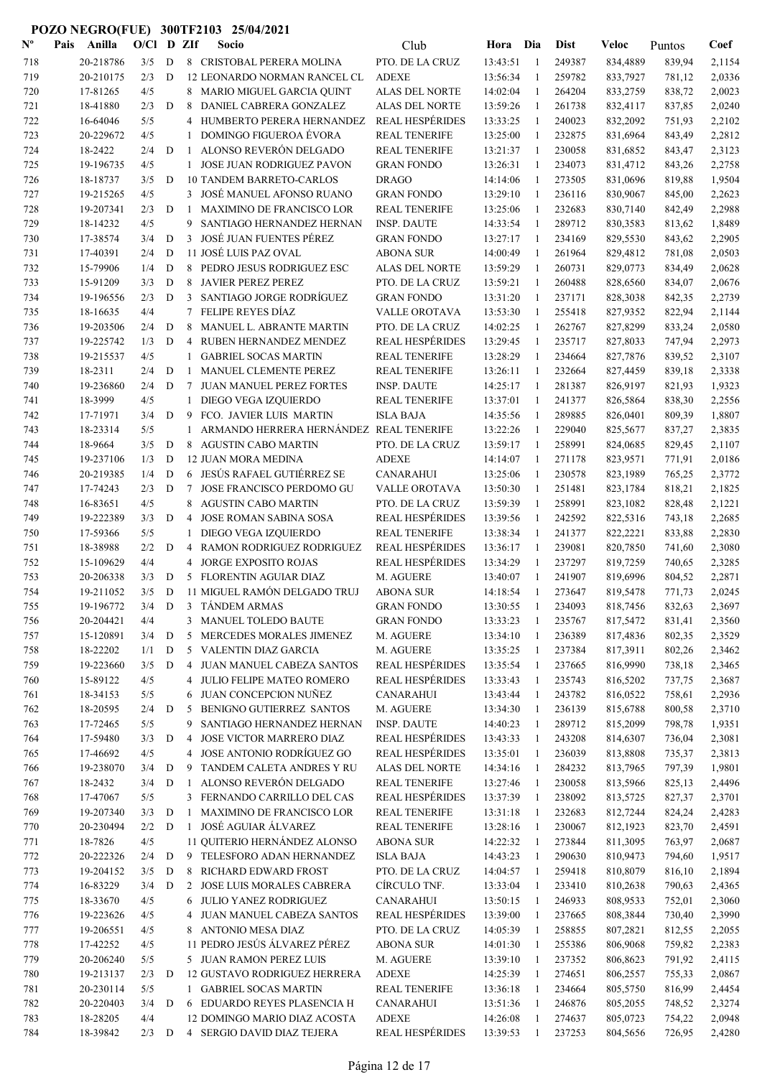| $\mathbf{N}^{\mathbf{o}}$ | Pais | Anilla    | O/Cl    |                | D ZIf          | Socio                                   | Club                   | Hora                 | Dia            | <b>Dist</b> | Veloc                | Puntos           | Coef   |
|---------------------------|------|-----------|---------|----------------|----------------|-----------------------------------------|------------------------|----------------------|----------------|-------------|----------------------|------------------|--------|
| 718                       |      | 20-218786 | 3/5     | D              |                | 8 CRISTOBAL PERERA MOLINA               | PTO. DE LA CRUZ        | 13:43:51             | $\overline{1}$ | 249387      | 834,4889             | 839,94           | 2,1154 |
| 719                       |      | 20-210175 | 2/3     | D              |                | 12 LEONARDO NORMAN RANCEL CL            | <b>ADEXE</b>           | 13:56:34             | 1              | 259782      | 833,7927             | 781,12           | 2,0336 |
| 720                       |      | 17-81265  | 4/5     |                | 8              | MARIO MIGUEL GARCIA QUINT               | ALAS DEL NORTE         | 14:02:04             | 1              | 264204      | 833,2759             | 838,72           | 2,0023 |
| 721                       |      | 18-41880  | 2/3     | D              | 8              | DANIEL CABRERA GONZALEZ                 | <b>ALAS DEL NORTE</b>  | 13:59:26             | -1             | 261738      | 832,4117             | 837,85           | 2,0240 |
| 722                       |      | 16-64046  | 5/5     |                | 4              | HUMBERTO PERERA HERNANDEZ               | <b>REAL HESPÉRIDES</b> | 13:33:25             | -1             | 240023      | 832,2092             | 751,93           | 2,2102 |
| 723                       |      | 20-229672 | 4/5     |                | $\mathbf{1}$   | <b>DOMINGO FIGUEROA ÉVORA</b>           | <b>REAL TENERIFE</b>   | 13:25:00             | -1             | 232875      | 831,6964             | 843,49           | 2,2812 |
| 724                       |      | 18-2422   | 2/4     | D              | 1              | ALONSO REVERÓN DELGADO                  | <b>REAL TENERIFE</b>   | 13:21:37             | -1             | 230058      | 831,6852             | 843,47           | 2,3123 |
| 725                       |      | 19-196735 | 4/5     |                | $\mathbf{1}$   | JOSE JUAN RODRIGUEZ PAVON               | <b>GRAN FONDO</b>      | 13:26:31             | 1              | 234073      | 831,4712             | 843,26           | 2,2758 |
| 726                       |      | 18-18737  | 3/5     | D              |                | <b>10 TANDEM BARRETO-CARLOS</b>         | <b>DRAGO</b>           | 14:14:06             | 1              | 273505      | 831,0696             | 819,88           | 1,9504 |
| 727                       |      | 19-215265 | 4/5     |                |                | 3 JOSÉ MANUEL AFONSO RUANO              | <b>GRAN FONDO</b>      | 13:29:10             | 1              | 236116      | 830,9067             | 845,00           | 2,2623 |
| 728                       |      | 19-207341 | 2/3     | D              | -1             | <b>MAXIMINO DE FRANCISCO LOR</b>        | <b>REAL TENERIFE</b>   | 13:25:06             | 1              | 232683      | 830,7140             | 842,49           | 2,2988 |
| 729                       |      | 18-14232  | 4/5     |                | 9              | SANTIAGO HERNANDEZ HERNAN               | <b>INSP. DAUTE</b>     | 14:33:54             | $\mathbf{1}$   | 289712      | 830,3583             | 813,62           | 1,8489 |
| 730                       |      | 17-38574  | 3/4     | D              | 3              | JOSÉ JUAN FUENTES PÉREZ                 | <b>GRAN FONDO</b>      | 13:27:17             | 1              | 234169      | 829,5530             | 843,62           | 2,2905 |
|                           |      | 17-40391  | 2/4     | D              |                | 11 JOSÉ LUIS PAZ OVAL                   | <b>ABONA SUR</b>       |                      | $\mathbf{1}$   | 261964      |                      |                  | 2,0503 |
| 731<br>732                |      | 15-79906  | 1/4     | D              | 8              | PEDRO JESUS RODRIGUEZ ESC               | ALAS DEL NORTE         | 14:00:49<br>13:59:29 | 1              | 260731      | 829,4812<br>829,0773 | 781,08<br>834,49 | 2,0628 |
|                           |      | 15-91209  | 3/3     | D              | 8              | <b>JAVIER PEREZ PEREZ</b>               | PTO. DE LA CRUZ        | 13:59:21             | 1              | 260488      |                      |                  | 2,0676 |
| 733                       |      |           |         |                |                | SANTIAGO JORGE RODRÍGUEZ                |                        |                      |                | 237171      | 828,6560             | 834,07           |        |
| 734                       |      | 19-196556 | 2/3     | D              | 3              | FELIPE REYES DÍAZ                       | <b>GRAN FONDO</b>      | 13:31:20             | $\mathbf{1}$   | 255418      | 828,3038             | 842,35           | 2,2739 |
| 735                       |      | 18-16635  | 4/4     |                | $\tau$         |                                         | <b>VALLE OROTAVA</b>   | 13:53:30             | -1             |             | 827,9352             | 822,94           | 2,1144 |
| 736                       |      | 19-203506 | 2/4     | D              | 8              | <b>MANUEL L. ABRANTE MARTIN</b>         | PTO. DE LA CRUZ        | 14:02:25             | -1             | 262767      | 827,8299             | 833,24           | 2,0580 |
| 737                       |      | 19-225742 | 1/3     | D              | 4              | RUBEN HERNANDEZ MENDEZ                  | <b>REAL HESPÉRIDES</b> | 13:29:45             | 1              | 235717      | 827,8033             | 747,94           | 2,2973 |
| 738                       |      | 19-215537 | 4/5     |                | 1              | <b>GABRIEL SOCAS MARTIN</b>             | <b>REAL TENERIFE</b>   | 13:28:29             | 1              | 234664      | 827,7876             | 839,52           | 2,3107 |
| 739                       |      | 18-2311   | 2/4     | D              | 1              | MANUEL CLEMENTE PEREZ                   | <b>REAL TENERIFE</b>   | 13:26:11             | 1              | 232664      | 827,4459             | 839,18           | 2,3338 |
| 740                       |      | 19-236860 | 2/4     | D              | 7              | <b>JUAN MANUEL PEREZ FORTES</b>         | <b>INSP. DAUTE</b>     | 14:25:17             | 1              | 281387      | 826,9197             | 821,93           | 1,9323 |
| 741                       |      | 18-3999   | 4/5     |                | $\mathbf{1}$   | DIEGO VEGA IZQUIERDO                    | <b>REAL TENERIFE</b>   | 13:37:01             | -1             | 241377      | 826,5864             | 838,30           | 2,2556 |
| 742                       |      | 17-71971  | 3/4     | D              | 9              | FCO. JAVIER LUIS MARTIN                 | <b>ISLA BAJA</b>       | 14:35:56             | -1             | 289885      | 826,0401             | 809,39           | 1,8807 |
| 743                       |      | 18-23314  | 5/5     |                | 1              | ARMANDO HERRERA HERNÁNDEZ REAL TENERIFE |                        | 13:22:26             | -1             | 229040      | 825,5677             | 837,27           | 2,3835 |
| 744                       |      | 18-9664   | 3/5     | D              | 8              | <b>AGUSTIN CABO MARTIN</b>              | PTO. DE LA CRUZ        | 13:59:17             | 1              | 258991      | 824,0685             | 829,45           | 2,1107 |
| 745                       |      | 19-237106 | 1/3     | D              |                | <b>12 JUAN MORA MEDINA</b>              | <b>ADEXE</b>           | 14:14:07             | -1             | 271178      | 823,9571             | 771,91           | 2,0186 |
| 746                       |      | 20-219385 | 1/4     | D              |                | 6 JESÚS RAFAEL GUTIÉRREZ SE             | <b>CANARAHUI</b>       | 13:25:06             | -1             | 230578      | 823,1989             | 765,25           | 2,3772 |
| 747                       |      | 17-74243  | 2/3     | D              | 7              | JOSE FRANCISCO PERDOMO GU               | <b>VALLE OROTAVA</b>   | 13:50:30             | -1             | 251481      | 823,1784             | 818,21           | 2,1825 |
| 748                       |      | 16-83651  | 4/5     |                | 8              | <b>AGUSTIN CABO MARTIN</b>              | PTO. DE LA CRUZ        | 13:59:39             | -1             | 258991      | 823,1082             | 828,48           | 2,1221 |
| 749                       |      | 19-222389 | 3/3     | $\mathbf D$    | 4              | JOSE ROMAN SABINA SOSA                  | <b>REAL HESPÉRIDES</b> | 13:39:56             | 1              | 242592      | 822,5316             | 743,18           | 2,2685 |
| 750                       |      | 17-59366  | 5/5     |                | 1              | DIEGO VEGA IZQUIERDO                    | <b>REAL TENERIFE</b>   | 13:38:34             | $\mathbf{1}$   | 241377      | 822,2221             | 833,88           | 2,2830 |
| 751                       |      | 18-38988  | 2/2     | D              | 4              | RAMON RODRIGUEZ RODRIGUEZ               | <b>REAL HESPÉRIDES</b> | 13:36:17             | 1              | 239081      | 820,7850             | 741,60           | 2,3080 |
| 752                       |      | 15-109629 | 4/4     |                | 4              | <b>JORGE EXPOSITO ROJAS</b>             | REAL HESPÉRIDES        | 13:34:29             | 1              | 237297      | 819,7259             | 740,65           | 2,3285 |
| 753                       |      | 20-206338 | 3/3     | D              | 5              | FLORENTIN AGUIAR DIAZ                   | M. AGUERE              | 13:40:07             | -1             | 241907      | 819,6996             | 804,52           | 2,2871 |
| 754                       |      | 19-211052 | 3/5     | D              |                | 11 MIGUEL RAMÓN DELGADO TRUJ            | <b>ABONA SUR</b>       | 14:18:54             | 1              | 273647      | 819,5478             | 771,73           | 2,0245 |
| 755                       |      | 19-196772 | 3/4     | $\overline{D}$ | $\mathcal{F}$  | TÁNDEM ARMAS                            | <b>GRAN FONDO</b>      | 13:30:55             | 1              | 234093      | 818,7456             | 832,63           | 2,3697 |
| 756                       |      | 20-204421 | 4/4     |                |                | 3 MANUEL TOLEDO BAUTE                   | <b>GRAN FONDO</b>      | 13:33:23             | 1              | 235767      | 817,5472             | 831,41           | 2,3560 |
| 757                       |      | 15-120891 | 3/4     | D              | 5              | MERCEDES MORALES JIMENEZ                | M. AGUERE              | 13:34:10             | -1             | 236389      | 817,4836             | 802,35           | 2,3529 |
| 758                       |      | 18-22202  | 1/1     | $\mathbf D$    |                | 5 VALENTIN DIAZ GARCIA                  | M. AGUERE              | 13:35:25             | -1             | 237384      | 817,3911             | 802,26           | 2,3462 |
| 759                       |      | 19-223660 | 3/5     | D              | $\overline{4}$ | JUAN MANUEL CABEZA SANTOS               | <b>REAL HESPÉRIDES</b> | 13:35:54             | $\mathbf{1}$   | 237665      | 816,9990             | 738,18           | 2,3465 |
| 760                       |      | 15-89122  | 4/5     |                |                | 4 JULIO FELIPE MATEO ROMERO             | <b>REAL HESPÉRIDES</b> | 13:33:43             | 1              | 235743      | 816,5202             | 737,75           | 2,3687 |
| 761                       |      | 18-34153  | 5/5     |                | 6              | JUAN CONCEPCION NUÑEZ                   | <b>CANARAHUI</b>       | 13:43:44             | 1              | 243782      | 816,0522             | 758,61           | 2,2936 |
| 762                       |      | 18-20595  | 2/4     | D              | 5              | BENIGNO GUTIERREZ SANTOS                | M. AGUERE              | 13:34:30             | 1              | 236139      | 815,6788             | 800,58           | 2,3710 |
| 763                       |      | 17-72465  | 5/5     |                | 9              | SANTIAGO HERNANDEZ HERNAN               | <b>INSP. DAUTE</b>     | 14:40:23             | $\mathbf{1}$   | 289712      | 815,2099             | 798,78           | 1,9351 |
| 764                       |      | 17-59480  | 3/3     | D              | 4              | JOSE VICTOR MARRERO DIAZ                | <b>REAL HESPÉRIDES</b> | 13:43:33             | 1              | 243208      | 814,6307             | 736,04           | 2,3081 |
| 765                       |      | 17-46692  | 4/5     |                | 4              | JOSE ANTONIO RODRÍGUEZ GO               | <b>REAL HESPÉRIDES</b> | 13:35:01             | 1              | 236039      | 813,8808             | 735,37           | 2,3813 |
| 766                       |      | 19-238070 | 3/4     | D              | 9              | TANDEM CALETA ANDRES Y RU               | <b>ALAS DEL NORTE</b>  | 14:34:16             | 1              | 284232      | 813,7965             | 797,39           | 1,9801 |
| 767                       |      | 18-2432   | 3/4     | D              | 1              | ALONSO REVERÓN DELGADO                  | <b>REAL TENERIFE</b>   | 13:27:46             | 1              | 230058      | 813,5966             | 825,13           | 2,4496 |
| 768                       |      | 17-47067  | 5/5     |                | 3              | FERNANDO CARRILLO DEL CAS               | <b>REAL HESPÉRIDES</b> | 13:37:39             | -1             | 238092      | 813,5725             | 827,37           | 2,3701 |
| 769                       |      | 19-207340 | 3/3     | D              | 1              | MAXIMINO DE FRANCISCO LOR               | <b>REAL TENERIFE</b>   | 13:31:18             | -1             | 232683      | 812,7244             | 824,24           | 2,4283 |
| 770                       |      | 20-230494 | 2/2     | D              | 1              | JOSÉ AGUIAR ÁLVAREZ                     | <b>REAL TENERIFE</b>   | 13:28:16             | -1             | 230067      | 812,1923             | 823,70           | 2,4591 |
| 771                       |      | 18-7826   | 4/5     |                |                | 11 QUITERIO HERNÁNDEZ ALONSO            | <b>ABONA SUR</b>       | 14:22:32             | $\mathbf{1}$   | 273844      | 811,3095             | 763,97           | 2,0687 |
| 772                       |      | 20-222326 | 2/4     | D              |                | 9 TELESFORO ADAN HERNANDEZ              | <b>ISLA BAJA</b>       | 14:43:23             | $\mathbf{1}$   | 290630      | 810,9473             | 794,60           | 1,9517 |
| 773                       |      | 19-204152 | 3/5     | $\mathbf D$    | 8              | RICHARD EDWARD FROST                    | PTO. DE LA CRUZ        | 14:04:57             | 1              | 259418      | 810,8079             | 816,10           | 2,1894 |
| 774                       |      | 16-83229  | 3/4     | D              | 2              | JOSE LUIS MORALES CABRERA               | CÍRCULO TNF.           | 13:33:04             | 1              | 233410      | 810,2638             | 790,63           | 2,4365 |
| 775                       |      | 18-33670  | 4/5     |                |                | 6 JULIO YANEZ RODRIGUEZ                 | <b>CANARAHUI</b>       | 13:50:15             | 1              | 246933      | 808,9533             | 752,01           | 2,3060 |
| 776                       |      | 19-223626 | 4/5     |                |                | 4 JUAN MANUEL CABEZA SANTOS             | <b>REAL HESPÉRIDES</b> | 13:39:00             | 1              | 237665      | 808,3844             | 730,40           | 2,3990 |
| 777                       |      | 19-206551 | 4/5     |                |                | 8 ANTONIO MESA DIAZ                     | PTO. DE LA CRUZ        | 14:05:39             | 1              | 258855      | 807,2821             | 812,55           | 2,2055 |
| 778                       |      | 17-42252  | 4/5     |                |                | 11 PEDRO JESÚS ÁLVAREZ PÉREZ            | <b>ABONA SUR</b>       | 14:01:30             | 1              | 255386      | 806,9068             | 759,82           | 2,2383 |
| 779                       |      | 20-206240 | 5/5     |                |                | 5 JUAN RAMON PEREZ LUIS                 | M. AGUERE              | 13:39:10             | 1              | 237352      | 806,8623             | 791,92           | 2,4115 |
| 780                       |      | 19-213137 | 2/3     | D              |                | 12 GUSTAVO RODRIGUEZ HERRERA            | <b>ADEXE</b>           | 14:25:39             | -1             | 274651      | 806,2557             | 755,33           | 2,0867 |
| 781                       |      | 20-230114 | 5/5     |                |                | 1 GABRIEL SOCAS MARTIN                  | <b>REAL TENERIFE</b>   | 13:36:18             | 1              | 234664      | 805,5750             | 816,99           | 2,4454 |
| 782                       |      | 20-220403 | 3/4     | D              |                | 6 EDUARDO REYES PLASENCIA H             | <b>CANARAHUI</b>       | 13:51:36             | -1             | 246876      | 805,2055             | 748,52           | 2,3274 |
| 783                       |      | 18-28205  | 4/4     |                |                | 12 DOMINGO MARIO DIAZ ACOSTA            | <b>ADEXE</b>           | 14:26:08             | -1             | 274637      | 805,0723             | 754,22           | 2,0948 |
| 784                       |      | 18-39842  | $2/3$ D |                |                | 4 SERGIO DAVID DIAZ TEJERA              | <b>REAL HESPÉRIDES</b> | 13:39:53             | $\mathbf{1}$   | 237253      | 804,5656             | 726,95           | 2,4280 |
|                           |      |           |         |                |                |                                         |                        |                      |                |             |                      |                  |        |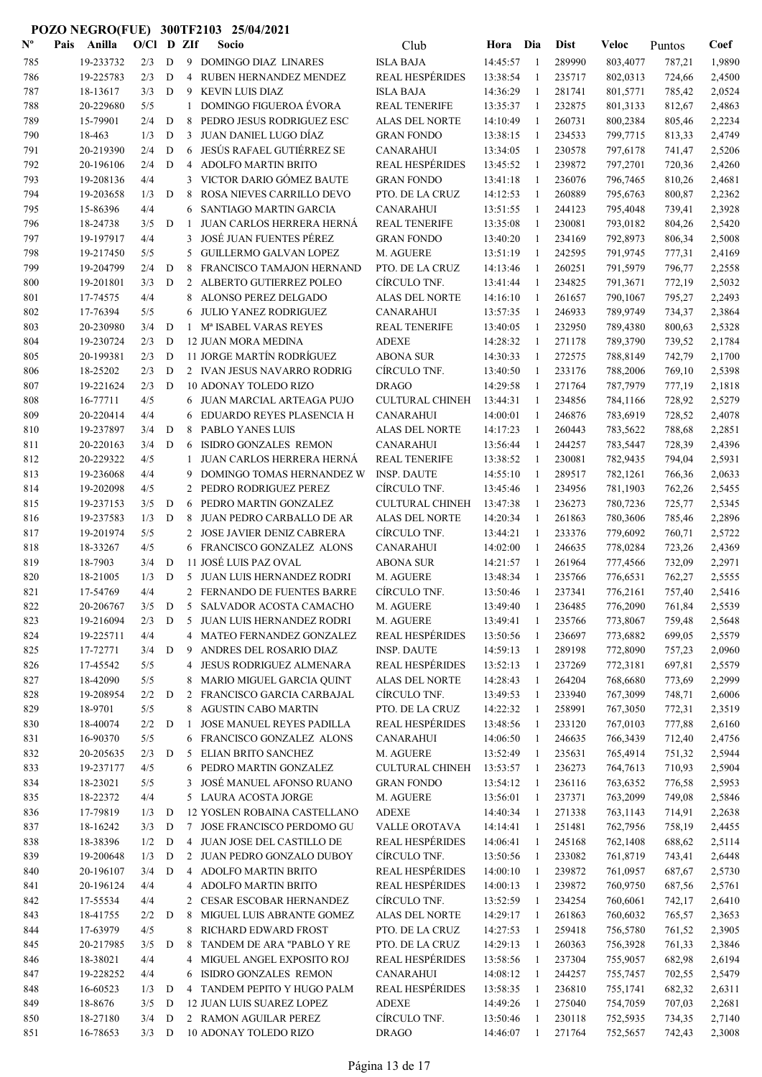| $\mathbf{N}^{\mathbf{o}}$ | Pais | Anilla                 | O/Cl       | D | ZIf            | Socio                                                  | Club                           | Hora                 | Dia            | <b>Dist</b>      | Veloc                | Puntos           | Coef             |
|---------------------------|------|------------------------|------------|---|----------------|--------------------------------------------------------|--------------------------------|----------------------|----------------|------------------|----------------------|------------------|------------------|
| 785                       |      | 19-233732              | 2/3        | D | 9              | DOMINGO DIAZ LINARES                                   | <b>ISLA BAJA</b>               | 14:45:57             | $\overline{1}$ | 289990           | 803,4077             | 787,21           | 1,9890           |
| 786                       |      | 19-225783              | 2/3        | D | 4              | RUBEN HERNANDEZ MENDEZ                                 | <b>REAL HESPÉRIDES</b>         | 13:38:54             | 1              | 235717           | 802,0313             | 724,66           | 2,4500           |
| 787                       |      | 18-13617               | 3/3        | D | 9              | <b>KEVIN LUIS DIAZ</b>                                 | <b>ISLA BAJA</b>               | 14:36:29             | -1             | 281741           | 801,5771             | 785,42           | 2,0524           |
| 788                       |      | 20-229680              | 5/5        |   | 1              | <b>DOMINGO FIGUEROA ÉVORA</b>                          | <b>REAL TENERIFE</b>           | 13:35:37             | -1             | 232875           | 801,3133             | 812,67           | 2,4863           |
| 789                       |      | 15-79901               | 2/4        | D | 8              | PEDRO JESUS RODRIGUEZ ESC                              | <b>ALAS DEL NORTE</b>          | 14:10:49             | 1              | 260731           | 800,2384             | 805,46           | 2,2234           |
| 790                       |      | 18-463                 | 1/3        | D | 3              | JUAN DANIEL LUGO DÍAZ                                  | <b>GRAN FONDO</b>              | 13:38:15             | 1              | 234533           | 799,7715             | 813,33           | 2,4749           |
| 791                       |      | 20-219390              | 2/4        | D | 6              | JESÚS RAFAEL GUTIÉRREZ SE                              | <b>CANARAHUI</b>               | 13:34:05             | -1             | 230578           | 797,6178             | 741,47           | 2,5206           |
| 792                       |      | 20-196106              | 2/4        | D | 4              | <b>ADOLFO MARTIN BRITO</b>                             | <b>REAL HESPÉRIDES</b>         | 13:45:52             | -1             | 239872           | 797,2701             | 720,36           | 2,4260           |
| 793                       |      | 19-208136              | 4/4        |   | 3              | VICTOR DARIO GÓMEZ BAUTE                               | <b>GRAN FONDO</b>              | 13:41:18             | 1              | 236076           | 796,7465             | 810,26           | 2,4681           |
| 794                       |      | 19-203658              | 1/3        | D | 8              | ROSA NIEVES CARRILLO DEVO                              | PTO. DE LA CRUZ                | 14:12:53             | -1             | 260889           | 795,6763             | 800,87           | 2,2362           |
| 795                       |      | 15-86396               | 4/4        |   | 6              | SANTIAGO MARTIN GARCIA                                 | <b>CANARAHUI</b>               | 13:51:55             | -1             | 244123           | 795,4048             | 739,41           | 2,3928           |
| 796                       |      | 18-24738               | 3/5        | D | 1              | <b>JUAN CARLOS HERRERA HERNA</b>                       | <b>REAL TENERIFE</b>           | 13:35:08             | -1             | 230081           | 793,0182             | 804,26           | 2,5420           |
| 797                       |      | 19-197917              | 4/4        |   | 3              | <b>JOSÉ JUAN FUENTES PÉREZ</b>                         | <b>GRAN FONDO</b>              | 13:40:20             | 1              | 234169           | 792,8973             | 806,34           | 2,5008           |
| 798                       |      | 19-217450              | 5/5        |   | 5              | <b>GUILLERMO GALVAN LOPEZ</b>                          | M. AGUERE                      | 13:51:19             | 1              | 242595           | 791,9745             | 777,31           | 2,4169           |
| 799                       |      | 19-204799              | 2/4        | D | 8              | FRANCISCO TAMAJON HERNAND                              | PTO. DE LA CRUZ                | 14:13:46             | -1             | 260251           | 791,5979             | 796,77           | 2,2558           |
| 800                       |      | 19-201801              | 3/3        | D | 2              | ALBERTO GUTIERREZ POLEO                                | CÍRCULO TNF.                   | 13:41:44             | -1             | 234825           | 791,3671             | 772,19           | 2,5032           |
| 801                       |      | 17-74575               | 4/4        |   | 8              | ALONSO PEREZ DELGADO                                   | <b>ALAS DEL NORTE</b>          | 14:16:10             | -1             | 261657           | 790,1067             | 795,27           | 2,2493           |
| 802                       |      | 17-76394               | 5/5        |   | 6              | <b>JULIO YANEZ RODRIGUEZ</b>                           | <b>CANARAHUI</b>               | 13:57:35             | 1              | 246933           | 789,9749             | 734,37           | 2,3864           |
| 803                       |      | 20-230980              | 3/4        | D | $\mathbf{1}$   | M <sup>a</sup> ISABEL VARAS REYES                      | <b>REAL TENERIFE</b>           | 13:40:05             | -1             | 232950           | 789,4380             | 800,63           | 2,5328           |
| 804                       |      | 19-230724              | 2/3        | D |                | 12 JUAN MORA MEDINA                                    | <b>ADEXE</b>                   | 14:28:32             | -1             | 271178           | 789,3790             | 739,52           | 2,1784           |
| 805                       |      | 20-199381              | 2/3        | D |                | 11 JORGE MARTÍN RODRÍGUEZ                              | <b>ABONA SUR</b>               | 14:30:33             | 1              | 272575           | 788,8149             | 742,79           | 2,1700           |
| 806                       |      | 18-25202               | 2/3        | D |                | 2 IVAN JESUS NAVARRO RODRIG                            | CÍRCULO TNF.                   | 13:40:50             | -1             | 233176           | 788,2006             | 769,10           | 2,5398           |
| 807                       |      | 19-221624              | 2/3        | D |                | <b>10 ADONAY TOLEDO RIZO</b>                           | <b>DRAGO</b>                   | 14:29:58             | -1             | 271764           | 787,7979             | 777,19           | 2,1818           |
| 808                       |      | 16-77711               | 4/5        |   |                | 6 JUAN MARCIAL ARTEAGA PUJO                            | <b>CULTURAL CHINEH</b>         | 13:44:31             | -1             | 234856           | 784,1166             | 728,92           | 2,5279           |
| 809                       |      | 20-220414              | 4/4        |   |                | 6 EDUARDO REYES PLASENCIA H                            | <b>CANARAHUI</b>               | 14:00:01             | 1              | 246876           | 783,6919             | 728,52           | 2,4078           |
| 810                       |      | 19-237897              | 3/4        | D | 8              | PABLO YANES LUIS                                       | <b>ALAS DEL NORTE</b>          | 14:17:23             | 1              | 260443           | 783,5622             | 788,68           | 2,2851           |
| 811                       |      | 20-220163              | 3/4        | D | 6              | ISIDRO GONZALES REMON                                  | <b>CANARAHUI</b>               | 13:56:44             | -1             | 244257           | 783,5447             | 728,39           | 2,4396           |
| 812                       |      | 20-229322              | 4/5        |   | 1              | <b>JUAN CARLOS HERRERA HERNA</b>                       | <b>REAL TENERIFE</b>           | 13:38:52             | -1             | 230081           | 782,9435             | 794,04           | 2,5931           |
| 813                       |      | 19-236068              | 4/4        |   | 9              | DOMINGO TOMAS HERNANDEZ W                              | <b>INSP. DAUTE</b>             | 14:55:10             | -1             | 289517           | 782,1261             | 766,36           | 2,0633           |
| 814                       |      | 19-202098              | 4/5        |   | $\overline{2}$ | PEDRO RODRIGUEZ PEREZ                                  | CÍRCULO TNF.                   | 13:45:46             | -1             | 234956           | 781,1903             | 762,26           | 2,5455           |
| 815                       |      | 19-237153              | 3/5        | D | 6              | PEDRO MARTIN GONZALEZ                                  | <b>CULTURAL CHINEH</b>         | 13:47:38             | -1             | 236273           | 780,7236             | 725,77           | 2,5345           |
| 816<br>817                |      | 19-237583<br>19-201974 | 1/3<br>5/5 | D | 8<br>2         | JUAN PEDRO CARBALLO DE AR<br>JOSE JAVIER DENIZ CABRERA | ALAS DEL NORTE<br>CÍRCULO TNF. | 14:20:34<br>13:44:21 | -1<br>1        | 261863<br>233376 | 780,3606<br>779,6092 | 785,46<br>760,71 | 2,2896<br>2,5722 |
| 818                       |      | 18-33267               | 4/5        |   |                | 6 FRANCISCO GONZALEZ ALONS                             | <b>CANARAHUI</b>               | 14:02:00             | 1              | 246635           | 778,0284             | 723,26           | 2,4369           |
| 819                       |      | 18-7903                | 3/4        | D |                | 11 JOSÉ LUIS PAZ OVAL                                  | <b>ABONA SUR</b>               | 14:21:57             | -1             | 261964           | 777,4566             | 732,09           | 2,2971           |
| 820                       |      | 18-21005               | 1/3        | D |                | 5 JUAN LUIS HERNANDEZ RODRI                            | M. AGUERE                      | 13:48:34             | 1              | 235766           | 776,6531             | 762,27           | 2,5555           |
| 821                       |      | 17-54769               | 4/4        |   | 2              | FERNANDO DE FUENTES BARRE                              | CIRCULO TNF.                   | 13:50:46             | 1              | 237341           | 776,2161             | 757,40           | 2,5416           |
| 822                       |      | 20-206767              | 3/5        | D | 5              | SALVADOR ACOSTA CAMACHO                                | M. AGUERE                      | 13:49:40             | -1             | 236485           | 776,2090             | 761.84           | 2,5539           |
| 823                       |      | 19-216094              | 2/3        | D |                | 5 JUAN LUIS HERNANDEZ RODRI                            | M. AGUERE                      | 13:49:41             | -1             | 235766           | 773,8067             | 759,48           | 2,5648           |
| 824                       |      | 19-225711              | 4/4        |   |                | 4 MATEO FERNANDEZ GONZALEZ                             | <b>REAL HESPÉRIDES</b>         | 13:50:56             | $\mathbf{1}$   | 236697           | 773,6882             | 699,05           | 2,5579           |
| 825                       |      | 17-72771               | 3/4        | D | 9              | ANDRES DEL ROSARIO DIAZ                                | <b>INSP. DAUTE</b>             | 14:59:13             | -1             | 289198           | 772,8090             | 757,23           | 2,0960           |
| 826                       |      | 17-45542               | 5/5        |   | 4              | JESUS RODRIGUEZ ALMENARA                               | <b>REAL HESPÉRIDES</b>         | 13:52:13             | -1             | 237269           | 772,3181             | 697,81           | 2,5579           |
| 827                       |      | 18-42090               | 5/5        |   | 8              | MARIO MIGUEL GARCIA QUINT                              | <b>ALAS DEL NORTE</b>          | 14:28:43             | $\mathbf{1}$   | 264204           | 768,6680             | 773,69           | 2,2999           |
| 828                       |      | 19-208954              | 2/2        | D | 2              | FRANCISCO GARCIA CARBAJAL                              | CÍRCULO TNF.                   | 13:49:53             | -1             | 233940           | 767,3099             | 748,71           | 2,6006           |
| 829                       |      | 18-9701                | 5/5        |   |                | 8 AGUSTIN CABO MARTIN                                  | PTO. DE LA CRUZ                | 14:22:32             | -1             | 258991           | 767,3050             | 772,31           | 2,3519           |
| 830                       |      | 18-40074               | 2/2        | D | -1             | JOSE MANUEL REYES PADILLA                              | <b>REAL HESPÉRIDES</b>         | 13:48:56             | $\mathbf{1}$   | 233120           | 767,0103             | 777,88           | 2,6160           |
| 831                       |      | 16-90370               | 5/5        |   |                | 6 FRANCISCO GONZALEZ ALONS                             | <b>CANARAHUI</b>               | 14:06:50             | -1             | 246635           | 766,3439             | 712,40           | 2,4756           |
| 832                       |      | 20-205635              | 2/3        | D | 5              | <b>ELIAN BRITO SANCHEZ</b>                             | M. AGUERE                      | 13:52:49             | $\mathbf{1}$   | 235631           | 765,4914             | 751,32           | 2,5944           |
| 833                       |      | 19-237177              | 4/5        |   |                | 6 PEDRO MARTIN GONZALEZ                                | <b>CULTURAL CHINEH</b>         | 13:53:57             | -1             | 236273           | 764,7613             | 710,93           | 2,5904           |
| 834                       |      | 18-23021               | 5/5        |   | 3              | JOSÉ MANUEL AFONSO RUANO                               | <b>GRAN FONDO</b>              | 13:54:12             | $\mathbf{1}$   | 236116           | 763,6352             | 776,58           | 2,5953           |
| 835                       |      | 18-22372               | 4/4        |   |                | 5 LAURA ACOSTA JORGE                                   | M. AGUERE                      | 13:56:01             | -1             | 237371           | 763,2099             | 749,08           | 2,5846           |
| 836                       |      | 17-79819               | 1/3        | D |                | 12 YOSLEN ROBAINA CASTELLANO                           | ADEXE                          | 14:40:34             | 1              | 271338           | 763,1143             | 714,91           | 2,2638           |
| 837                       |      | 18-16242               | 3/3        | D |                | 7 JOSE FRANCISCO PERDOMO GU                            | VALLE OROTAVA                  | 14:14:41             | -1             | 251481           | 762,7956             | 758,19           | 2,4455           |
| 838                       |      | 18-38396               | 1/2        | D |                | 4 JUAN JOSE DEL CASTILLO DE                            | <b>REAL HESPÉRIDES</b>         | 14:06:41             | 1              | 245168           | 762,1408             | 688,62           | 2,5114           |
| 839                       |      | 19-200648              | 1/3        | D |                | 2 JUAN PEDRO GONZALO DUBOY                             | CÍRCULO TNF.                   | 13:50:56             | -1             | 233082           | 761,8719             | 743,41           | 2,6448           |
| 840                       |      | 20-196107              | 3/4        | D |                | 4 ADOLFO MARTIN BRITO                                  | <b>REAL HESPÉRIDES</b>         | 14:00:10             | 1              | 239872           | 761,0957             | 687,67           | 2,5730           |
| 841                       |      | 20-196124              | 4/4        |   |                | 4 ADOLFO MARTIN BRITO                                  | <b>REAL HESPÉRIDES</b>         | 14:00:13             | $\mathbf{1}$   | 239872           | 760,9750             | 687,56           | 2,5761           |
| 842                       |      | 17-55534               | 4/4        |   |                | 2 CESAR ESCOBAR HERNANDEZ                              | CÍRCULO TNF.                   | 13:52:59             | $\mathbf{1}$   | 234254           | 760,6061             | 742,17           | 2,6410           |
| 843                       |      | 18-41755               | 2/2        | D |                | 8 MIGUEL LUIS ABRANTE GOMEZ                            | ALAS DEL NORTE                 | 14:29:17             | $\mathbf{1}$   | 261863           | 760,6032             | 765,57           | 2,3653           |
| 844                       |      | 17-63979               | 4/5        |   |                | 8 RICHARD EDWARD FROST                                 | PTO. DE LA CRUZ                | 14:27:53             | -1             | 259418           | 756,5780             | 761,52           | 2,3905           |
| 845                       |      | 20-217985              | 3/5        | D | 8              | TANDEM DE ARA "PABLO Y RE                              | PTO. DE LA CRUZ                | 14:29:13             | -1             | 260363           | 756,3928             | 761,33           | 2,3846           |
| 846                       |      | 18-38021               | 4/4        |   | 4              | MIGUEL ANGEL EXPOSITO ROJ                              | <b>REAL HESPÉRIDES</b>         | 13:58:56             | 1              | 237304           | 755,9057             | 682,98           | 2,6194           |
| 847                       |      | 19-228252              | 4/4        |   | 6              | ISIDRO GONZALES REMON                                  | <b>CANARAHUI</b>               | 14:08:12             | $\overline{1}$ | 244257           | 755,7457             | 702,55           | 2,5479           |
| 848                       |      | 16-60523               | 1/3        | D |                | 4 TANDEM PEPITO Y HUGO PALM                            | <b>REAL HESPÉRIDES</b>         | 13:58:35             | -1             | 236810           | 755,1741             | 682,32           | 2,6311           |
| 849                       |      | 18-8676                | 3/5        | D |                | 12 JUAN LUIS SUAREZ LOPEZ                              | ADEXE                          | 14:49:26             | -1             | 275040           | 754,7059             | 707,03           | 2,2681           |
| 850                       |      | 18-27180               | 3/4        | D |                | 2 RAMON AGUILAR PEREZ                                  | CÍRCULO TNF.                   | 13:50:46             | 1              | 230118           | 752,5935             | 734,35           | 2,7140           |
| 851                       |      | 16-78653               | $3/3$ D    |   |                | 10 ADONAY TOLEDO RIZO                                  | <b>DRAGO</b>                   | 14:46:07             | 1              | 271764           | 752,5657             | 742,43           | 2,3008           |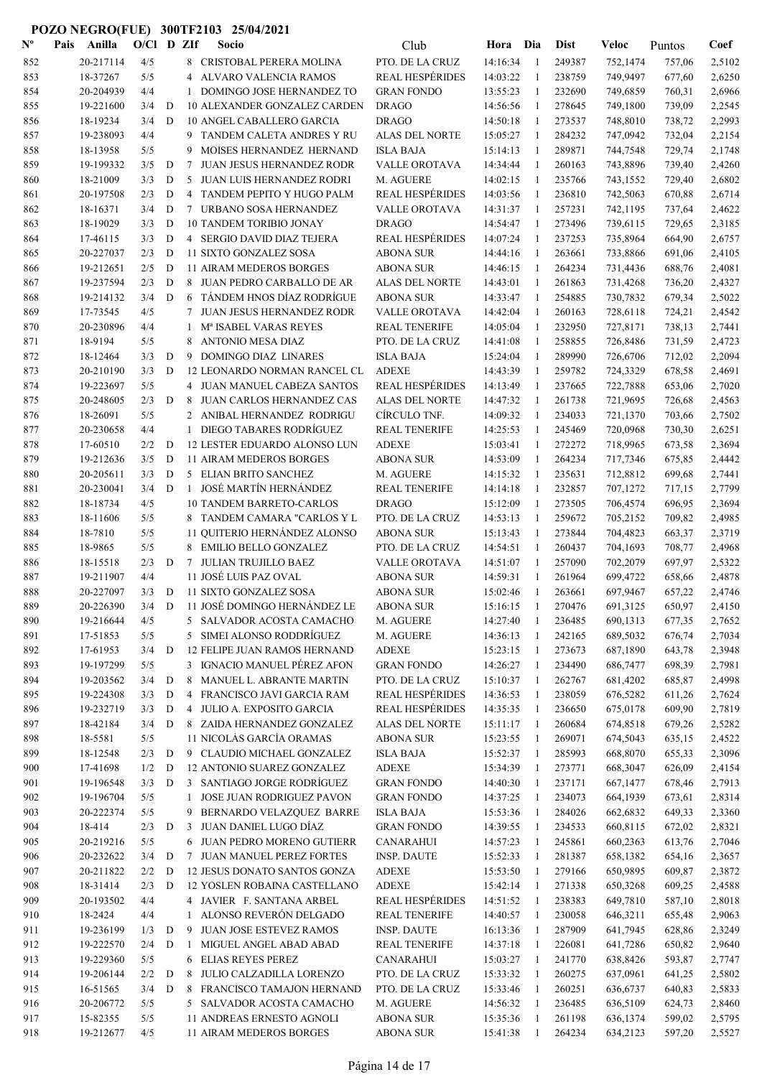| $\mathbf{N}^{\mathbf{o}}$ | Pais | Anilla                | O/Cl D ZIf |             |                | Socio                                                       | Club                                 | Hora Dia             |                | <b>Dist</b>      | Veloc                | Puntos           | Coef             |
|---------------------------|------|-----------------------|------------|-------------|----------------|-------------------------------------------------------------|--------------------------------------|----------------------|----------------|------------------|----------------------|------------------|------------------|
| 852                       |      | 20-217114             | 4/5        |             |                | 8 CRISTOBAL PERERA MOLINA                                   | PTO. DE LA CRUZ                      | 14:16:34             | -1             | 249387           | 752,1474             | 757,06           | 2,5102           |
| 853                       |      | 18-37267              | 5/5        |             | 4              | ALVARO VALENCIA RAMOS                                       | <b>REAL HESPÉRIDES</b>               | 14:03:22             | $\mathbf{1}$   | 238759           | 749,9497             | 677,60           | 2,6250           |
| 854                       |      | 20-204939             | 4/4        |             | 1              | DOMINGO JOSE HERNANDEZ TO                                   | <b>GRAN FONDO</b>                    | 13:55:23             | 1              | 232690           | 749,6859             | 760,31           | 2,6966           |
| 855                       |      | 19-221600             | 3/4        | D           |                | 10 ALEXANDER GONZALEZ CARDEN                                | <b>DRAGO</b>                         | 14:56:56             | 1              | 278645           | 749,1800             | 739,09           | 2,2545           |
| 856                       |      | 18-19234              | 3/4        | D           |                | 10 ANGEL CABALLERO GARCIA                                   | <b>DRAGO</b>                         | 14:50:18             | $\overline{1}$ | 273537           | 748,8010             | 738,72           | 2,2993           |
| 857                       |      | 19-238093             | 4/4        |             | 9              | TANDEM CALETA ANDRES Y RU                                   | ALAS DEL NORTE                       | 15:05:27             | -1             | 284232           | 747,0942             | 732,04           | 2,2154           |
| 858                       |      | 18-13958              | 5/5        |             | 9              | MOISES HERNANDEZ HERNAND                                    | <b>ISLA BAJA</b>                     | 15:14:13             | -1             | 289871           | 744,7548             | 729,74           | 2,1748           |
| 859                       |      | 19-199332             | 3/5        | D           | 7              | <b>JUAN JESUS HERNANDEZ RODR</b>                            | <b>VALLE OROTAVA</b>                 | 14:34:44             | $\mathbf{1}$   | 260163           | 743,8896             | 739,40           | 2,4260           |
| 860                       |      | 18-21009              | 3/3        | D           | 5              | JUAN LUIS HERNANDEZ RODRI                                   | M. AGUERE                            | 14:02:15             | -1             | 235766           | 743,1552             | 729,40           | 2,6802           |
| 861                       |      | 20-197508             | 2/3        | D           | 4              | TANDEM PEPITO Y HUGO PALM                                   | <b>REAL HESPÉRIDES</b>               | 14:03:56             | -1             | 236810           | 742,5063             | 670,88           | 2,6714           |
| 862                       |      | 18-16371              | 3/4        | D           | 7              | URBANO SOSA HERNANDEZ                                       | VALLE OROTAVA                        | 14:31:37             | 1              | 257231           | 742,1195             | 737,64           | 2,4622           |
| 863                       |      | 18-19029              | 3/3        | D           |                | <b>10 TANDEM TORIBIO JONAY</b>                              | <b>DRAGO</b>                         | 14:54:47             | 1              | 273496           | 739,6115             | 729,65           | 2,3185           |
| 864                       |      | 17-46115              | 3/3        | D           |                | 4 SERGIO DAVID DIAZ TEJERA                                  | REAL HESPÉRIDES                      | 14:07:24             | 1              | 237253           | 735,8964             | 664,90           | 2,6757           |
| 865                       |      | 20-227037             | 2/3        | D           |                | 11 SIXTO GONZALEZ SOSA                                      | <b>ABONA SUR</b>                     | 14:44:16             | 1              | 263661           | 733,8866             | 691,06           | 2,4105           |
| 866                       |      | 19-212651             | 2/5        | D           |                | <b>11 AIRAM MEDEROS BORGES</b>                              | ABONA SUR                            | 14:46:15             | 1              | 264234           | 731,4436             | 688,76           | 2,4081           |
| 867                       |      | 19-237594             | 2/3        | D           | 8              | JUAN PEDRO CARBALLO DE AR                                   | ALAS DEL NORTE                       | 14:43:01             | $\mathbf{1}$   | 261863           | 731,4268             | 736,20           | 2,4327           |
| 868                       |      | 19-214132             | 3/4        | D           | 6              | TÁNDEM HNOS DÍAZ RODRÍGUE                                   | <b>ABONA SUR</b>                     | 14:33:47             | -1             | 254885           | 730,7832             | 679,34           | 2,5022           |
| 869                       |      | 17-73545              | 4/5        |             | 7              | JUAN JESUS HERNANDEZ RODR                                   | <b>VALLE OROTAVA</b>                 | 14:42:04             | 1              | 260163           | 728,6118             | 724,21           | 2,4542           |
| 870                       |      | 20-230896             | 4/4        |             | 1              | Mª ISABEL VARAS REYES                                       | <b>REAL TENERIFE</b>                 | 14:05:04             | -1             | 232950           | 727,8171             | 738,13           | 2,7441           |
| 871                       |      | 18-9194               | 5/5        |             | 8              | <b>ANTONIO MESA DIAZ</b>                                    | PTO. DE LA CRUZ                      | 14:41:08             | $\mathbf{1}$   | 258855           | 726,8486             | 731,59           | 2,4723           |
| 872                       |      | 18-12464              | 3/3        | D           | 9              | DOMINGO DIAZ LINARES                                        | <b>ISLA BAJA</b>                     | 15:24:04             | 1              | 289990           | 726,6706             | 712,02           | 2,2094           |
| 873                       |      | 20-210190             | 3/3        | D           |                | 12 LEONARDO NORMAN RANCEL CL                                | <b>ADEXE</b>                         | 14:43:39             | 1              | 259782           | 724,3329             | 678,58           | 2,4691           |
| 874                       |      | 19-223697             | 5/5        |             |                | 4 JUAN MANUEL CABEZA SANTOS                                 | <b>REAL HESPÉRIDES</b>               | 14:13:49             | 1              | 237665           | 722,7888             | 653,06           | 2,7020           |
| 875                       |      | 20-248605             | 2/3        | D           | 8              | JUAN CARLOS HERNANDEZ CAS                                   | <b>ALAS DEL NORTE</b>                | 14:47:32             | 1              | 261738           | 721,9695             | 726,68           | 2,4563           |
| 876                       |      | 18-26091              | 5/5        |             |                | 2 ANIBAL HERNANDEZ RODRIGU                                  | CÍRCULO TNF.                         | 14:09:32             | 1              | 234033           | 721,1370             | 703,66           | 2,7502           |
| 877                       |      | 20-230658             | 4/4        |             |                | 1 DIEGO TABARES RODRÍGUEZ                                   | <b>REAL TENERIFE</b>                 | 14:25:53             | 1              | 245469           | 720,0968             | 730,30           | 2,6251           |
| 878                       |      | 17-60510              | 2/2        | D           |                | 12 LESTER EDUARDO ALONSO LUN                                | <b>ADEXE</b>                         | 15:03:41             | 1              | 272272           | 718,9965             | 673,58           | 2,3694           |
| 879                       |      | 19-212636             | 3/5        | D           |                | 11 AIRAM MEDEROS BORGES                                     | ABONA SUR                            | 14:53:09             | -1             | 264234           | 717,7346             | 675,85           | 2,4442           |
| 880                       |      | 20-205611             | 3/3        | D           |                | 5 ELIAN BRITO SANCHEZ                                       | M. AGUERE                            | 14:15:32             | $\overline{1}$ | 235631           | 712,8812             | 699,68           | 2,7441           |
| 881                       |      | 20-230041             | 3/4        | D           | $\mathbf{1}$   | JOSÉ MARTÍN HERNÁNDEZ                                       | <b>REAL TENERIFE</b>                 | 14:14:18             | -1             | 232857           | 707,1272             | 717,15           | 2,7799           |
| 882                       |      | 18-18734              | 4/5        |             |                | <b>10 TANDEM BARRETO-CARLOS</b>                             | <b>DRAGO</b>                         | 15:12:09             | -1             | 273505           | 706,4574             | 696,95           | 2,3694           |
| 883                       |      | 18-11606              | 5/5        |             |                | 8 TANDEM CAMARA "CARLOS Y L                                 | PTO. DE LA CRUZ                      | 14:53:13             | -1             | 259672           | 705,2152             | 709,82           | 2,4985           |
| 884                       |      | 18-7810               | 5/5        |             |                | 11 QUITERIO HERNÁNDEZ ALONSO                                | <b>ABONA SUR</b>                     | 15:13:43             | -1             | 273844           | 704,4823             | 663,37           | 2,3719           |
| 885                       |      | 18-9865               | 5/5        |             |                | 8 EMILIO BELLO GONZALEZ                                     | PTO. DE LA CRUZ                      | 14:54:51             | 1              | 260437           | 704,1693             | 708,77           | 2,4968           |
| 886                       |      | 18-15518              | 2/3        | D           | 7              | JULIAN TRUJILLO BAEZ                                        | VALLE OROTAVA                        | 14:51:07             | 1              | 257090           | 702,2079             | 697,97           | 2,5322           |
| 887                       |      | 19-211907             | 4/4        |             |                | 11 JOSÉ LUIS PAZ OVAL                                       | <b>ABONA SUR</b>                     | 14:59:31             | 1              | 261964           | 699,4722             | 658,66           | 2,4878           |
| 888                       |      | 20-227097             | 3/3        | D           |                | 11 SIXTO GONZALEZ SOSA                                      | <b>ABONA SUR</b>                     | 15:02:46             | 1              | 263661           | 697,9467             | 657,22           | 2,4746           |
| 889                       |      | 20-226390             | 3/4        | $\mathbf D$ |                | 11 JOSÉ DOMINGO HERNÁNDEZ LE                                | ABONA SUR                            | 15:16:15             |                | 270476           | 691,3125             | 650,97           | 2,4150           |
| 890                       |      | 19-216644             | 4/5        |             |                | 5 SALVADOR ACOSTA CAMACHO                                   | M. AGUERE                            | 14:27:40             | 1              | 236485           | 690,1313             | 677,35           | 2,7652           |
| 891                       |      | 17-51853              | 5/5        |             |                | 5 SIMEI ALONSO RODDRÍGUEZ                                   | M. AGUERE                            | 14:36:13             | 1              | 242165           | 689,5032             | 676,74           | 2,7034           |
| 892                       |      | 17-61953<br>19-197299 | 3/4        | D           |                | 12 FELIPE JUAN RAMOS HERNAND<br>3 IGNACIO MANUEL PÉREZ AFON | <b>ADEXE</b>                         | 15:23:15             | -1             | 273673<br>234490 | 687,1890             | 643,78           | 2,3948           |
| 893<br>894                |      | 19-203562             | 5/5<br>3/4 | D           | 8              | MANUEL L. ABRANTE MARTIN                                    | <b>GRAN FONDO</b><br>PTO. DE LA CRUZ | 14:26:27<br>15:10:37 | -1<br>-1       | 262767           | 686,7477<br>681,4202 | 698,39<br>685,87 | 2,7981<br>2,4998 |
| 895                       |      | 19-224308             | 3/3        | D           | $\overline{4}$ | FRANCISCO JAVI GARCIA RAM                                   | <b>REAL HESPÉRIDES</b>               | 14:36:53             | $\mathbf{1}$   | 238059           | 676,5282             | 611,26           | 2,7624           |
| 896                       |      | 19-232719             | 3/3        | D           |                | 4 JULIO A. EXPOSITO GARCIA                                  | <b>REAL HESPÉRIDES</b>               | 14:35:35             | -1             | 236650           | 675,0178             | 609,90           | 2,7819           |
| 897                       |      | 18-42184              | 3/4        | D           |                | 8 ZAIDA HERNANDEZ GONZALEZ                                  | ALAS DEL NORTE                       | 15:11:17             | 1              | 260684           | 674,8518             | 679,26           | 2,5282           |
| 898                       |      | 18-5581               | 5/5        |             |                | 11 NICOLÁS GARCÍA ORAMAS                                    | <b>ABONA SUR</b>                     | 15:23:55             | 1              | 269071           | 674,5043             | 635,15           | 2,4522           |
| 899                       |      | 18-12548              | 2/3        | $\mathbf D$ |                | 9 CLAUDIO MICHAEL GONZALEZ                                  | <b>ISLA BAJA</b>                     | 15:52:37             | 1              | 285993           | 668,8070             | 655,33           | 2,3096           |
| 900                       |      | 17-41698              | 1/2        | D           |                | 12 ANTONIO SUAREZ GONZALEZ                                  | ADEXE                                | 15:34:39             | 1              | 273771           | 668,3047             | 626,09           | 2,4154           |
| 901                       |      | 19-196548             | 3/3        | D           |                | 3 SANTIAGO JORGE RODRÍGUEZ                                  | <b>GRAN FONDO</b>                    | 14:40:30             | 1              | 237171           | 667,1477             | 678,46           | 2,7913           |
| 902                       |      | 19-196704             | 5/5        |             | $\mathbf{1}$   | JOSE JUAN RODRIGUEZ PAVON                                   | <b>GRAN FONDO</b>                    | 14:37:25             | 1              | 234073           | 664,1939             | 673,61           | 2,8314           |
| 903                       |      | 20-222374             | 5/5        |             | 9              | BERNARDO VELAZQUEZ BARRE                                    | <b>ISLA BAJA</b>                     | 15:53:36             | 1              | 284026           | 662,6832             | 649,33           | 2,3360           |
| 904                       |      | 18-414                | 2/3        | D           | 3              | JUAN DANIEL LUGO DÍAZ                                       | <b>GRAN FONDO</b>                    | 14:39:55             | 1              | 234533           | 660,8115             | 672,02           | 2,8321           |
| 905                       |      | 20-219216             | 5/5        |             |                | 6 JUAN PEDRO MORENO GUTIERR                                 | CANARAHUI                            | 14:57:23             | 1              | 245861           | 660,2363             | 613,76           | 2,7046           |
| 906                       |      | 20-232622             | 3/4        | D           |                | 7 JUAN MANUEL PEREZ FORTES                                  | INSP. DAUTE                          | 15:52:33             | -1             | 281387           | 658,1382             | 654,16           | 2,3657           |
| 907                       |      | 20-211822             | 2/2        | D           |                | 12 JESUS DONATO SANTOS GONZA                                | <b>ADEXE</b>                         | 15:53:50             | -1             | 279166           | 650,9895             | 609,87           | 2,3872           |
| 908                       |      | 18-31414              | 2/3        | D           |                | 12 YOSLEN ROBAINA CASTELLANO                                | <b>ADEXE</b>                         | 15:42:14             | -1             | 271338           | 650,3268             | 609,25           | 2,4588           |
| 909                       |      | 20-193502             | 4/4        |             |                | 4 JAVIER F. SANTANA ARBEL                                   | <b>REAL HESPÉRIDES</b>               | 14:51:52             | -1             | 238383           | 649,7810             | 587,10           | 2,8018           |
| 910                       |      | 18-2424               | 4/4        |             | 1              | ALONSO REVERÓN DELGADO                                      | <b>REAL TENERIFE</b>                 | 14:40:57             | 1              | 230058           | 646,3211             | 655,48           | 2,9063           |
| 911                       |      | 19-236199             | 1/3        | $\mathbf D$ | 9              | JUAN JOSE ESTEVEZ RAMOS                                     | <b>INSP. DAUTE</b>                   | 16:13:36             | 1              | 287909           | 641,7945             | 628,86           | 2,3249           |
| 912                       |      | 19-222570             | 2/4        | $\mathbf D$ | 1              | MIGUEL ANGEL ABAD ABAD                                      | <b>REAL TENERIFE</b>                 | 14:37:18             | -1             | 226081           | 641,7286             | 650,82           | 2,9640           |
| 913                       |      | 19-229360             | 5/5        |             |                | 6 ELIAS REYES PEREZ                                         | <b>CANARAHUI</b>                     | 15:03:27             | -1             | 241770           | 638,8426             | 593,87           | 2,7747           |
| 914                       |      | 19-206144             | 2/2        | D           |                | 8 JULIO CALZADILLA LORENZO                                  | PTO. DE LA CRUZ                      | 15:33:32             | -1             | 260275           | 637,0961             | 641,25           | 2,5802           |
| 915                       |      | 16-51565              | 3/4        | D           |                | 8 FRANCISCO TAMAJON HERNAND                                 | PTO. DE LA CRUZ                      | 15:33:46             | 1              | 260251           | 636,6737             | 640,83           | 2,5833           |
| 916                       |      | 20-206772             | 5/5        |             |                | 5 SALVADOR ACOSTA CAMACHO                                   | M. AGUERE                            | 14:56:32             | 1              | 236485           | 636,5109             | 624,73           | 2,8460           |
| 917                       |      | 15-82355              | 5/5        |             |                | 11 ANDREAS ERNESTO AGNOLI                                   | <b>ABONA SUR</b>                     | 15:35:36             | 1              | 261198           | 636,1374             | 599,02           | 2,5795           |
| 918                       |      | 19-212677             | 4/5        |             |                | 11 AIRAM MEDEROS BORGES                                     | <b>ABONA SUR</b>                     | 15:41:38             | -1             | 264234           | 634,2123             | 597,20           | 2,5527           |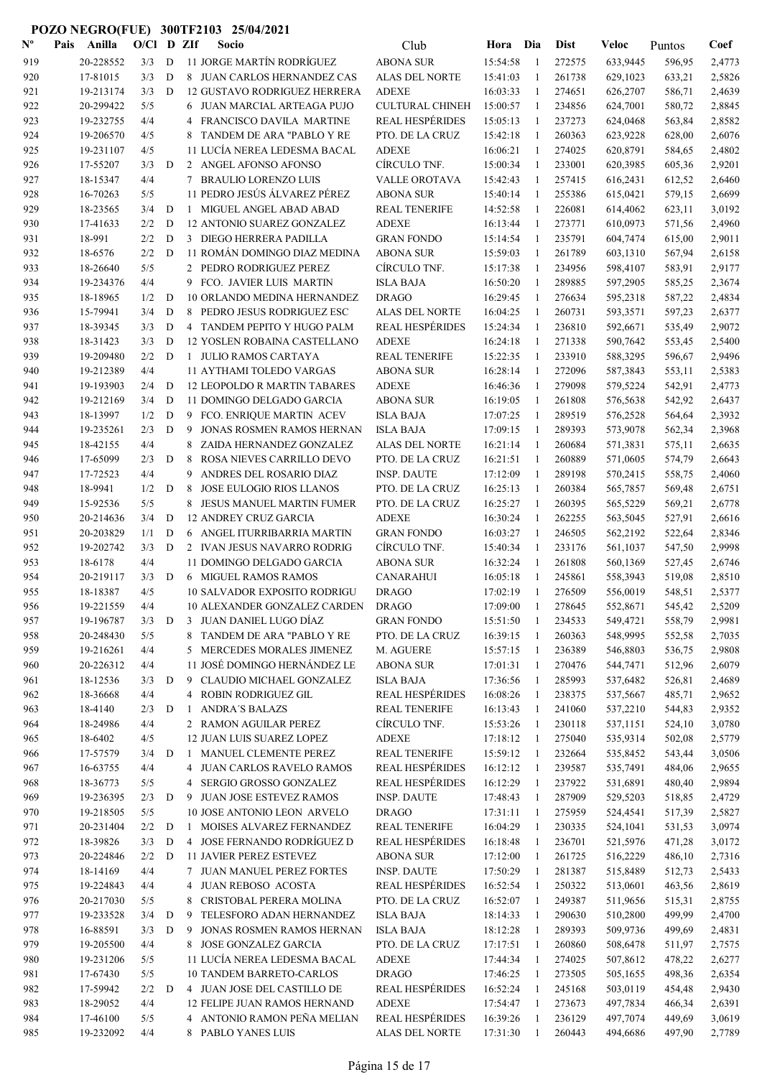| $\mathbf{N}^{\mathbf{o}}$ | Pais | Anilla                 | $O/C1$ D ZIf |             |        | Socio                                                  | Club                                  | Hora Dia             |              | <b>Dist</b>      | Veloc                | Puntos           | Coef             |
|---------------------------|------|------------------------|--------------|-------------|--------|--------------------------------------------------------|---------------------------------------|----------------------|--------------|------------------|----------------------|------------------|------------------|
| 919                       |      | 20-228552              | 3/3          | D           |        | 11 JORGE MARTÍN RODRÍGUEZ                              | <b>ABONA SUR</b>                      | 15:54:58             | -1           | 272575           | 633,9445             | 596,95           | 2,4773           |
| 920                       |      | 17-81015               | 3/3          | D           |        | 8 JUAN CARLOS HERNANDEZ CAS                            | ALAS DEL NORTE                        | 15:41:03             | 1            | 261738           | 629,1023             | 633,21           | 2,5826           |
| 921                       |      | 19-213174              | 3/3          | D           |        | <b>12 GUSTAVO RODRIGUEZ HERRERA</b>                    | <b>ADEXE</b>                          | 16:03:33             | 1            | 274651           | 626,2707             | 586,71           | 2,4639           |
| 922                       |      | 20-299422              | 5/5          |             |        | 6 JUAN MARCIAL ARTEAGA PUJO                            | <b>CULTURAL CHINEH</b>                | 15:00:57             | 1            | 234856           | 624,7001             | 580,72           | 2,8845           |
| 923                       |      | 19-232755              | 4/4          |             |        | FRANCISCO DAVILA MARTINE                               | <b>REAL HESPÉRIDES</b>                | 15:05:13             | 1            | 237273           | 624,0468             | 563,84           | 2,8582           |
| 924                       |      | 19-206570              | 4/5          |             |        | TANDEM DE ARA "PABLO Y RE                              | PTO. DE LA CRUZ                       | 15:42:18             | 1            | 260363           | 623,9228             | 628,00           | 2,6076           |
| 925                       |      | 19-231107              | 4/5          |             |        | 11 LUCÍA NEREA LEDESMA BACAL                           | <b>ADEXE</b>                          | 16:06:21             | -1           | 274025           | 620,8791             | 584,65           | 2,4802           |
| 926                       |      | 17-55207               | 3/3          | D           |        | 2 ANGEL AFONSO AFONSO                                  | CÍRCULO TNF.                          | 15:00:34             | -1           | 233001           | 620,3985             | 605,36           | 2,9201           |
| 927                       |      | 18-15347               | 4/4          |             | 7      | <b>BRAULIO LORENZO LUIS</b>                            | <b>VALLE OROTAVA</b>                  | 15:42:43             | 1            | 257415           | 616,2431             | 612,52           | 2,6460           |
| 928                       |      | 16-70263               | 5/5          |             |        | 11 PEDRO JESÚS ÁLVAREZ PÉREZ                           | ABONA SUR                             | 15:40:14             | -1           | 255386           | 615,0421             | 579,15           | 2,6699           |
| 929                       |      | 18-23565               | 3/4          | D           | 1      | MIGUEL ANGEL ABAD ABAD                                 | <b>REAL TENERIFE</b>                  | 14:52:58             | 1            | 226081           | 614,4062             | 623,11           | 3,0192           |
| 930                       |      | 17-41633               | 2/2          | D           |        | 12 ANTONIO SUAREZ GONZALEZ                             | <b>ADEXE</b>                          | 16:13:44             | 1            | 273771           | 610,0973             | 571,56           | 2,4960           |
| 931                       |      | 18-991                 | 2/2          | D           |        | 3 DIEGO HERRERA PADILLA                                | <b>GRAN FONDO</b>                     | 15:14:54             | 1            | 235791           | 604,7474             | 615,00           | 2,9011           |
| 932                       |      | 18-6576                | 2/2          | D           |        | 11 ROMÁN DOMINGO DIAZ MEDINA                           | <b>ABONA SUR</b>                      | 15:59:03             | 1            | 261789           | 603,1310             | 567,94           | 2,6158           |
| 933                       |      | 18-26640               | 5/5          |             |        | 2 PEDRO RODRIGUEZ PEREZ                                | CÍRCULO TNF.                          | 15:17:38             | 1            | 234956           | 598,4107             | 583,91           | 2,9177           |
| 934                       |      | 19-234376              | 4/4          |             |        | 9 FCO. JAVIER LUIS MARTIN                              | <b>ISLA BAJA</b>                      | 16:50:20             | 1            | 289885           | 597,2905             | 585,25           | 2,3674           |
| 935                       |      | 18-18965               | 1/2          | D           |        | 10 ORLANDO MEDINA HERNANDEZ                            | <b>DRAGO</b>                          | 16:29:45             | -1           | 276634           | 595,2318             | 587,22           | 2,4834           |
| 936                       |      | 15-79941               | 3/4          | D           | 8      | PEDRO JESUS RODRIGUEZ ESC                              | <b>ALAS DEL NORTE</b>                 | 16:04:25             | 1            | 260731           | 593,3571             | 597,23           | 2,6377           |
| 937                       |      | 18-39345               | 3/3          | D           |        | 4 TANDEM PEPITO Y HUGO PALM                            | <b>REAL HESPÉRIDES</b>                | 15:24:34             | -1           | 236810           | 592,6671             | 535,49           | 2,9072           |
| 938                       |      | 18-31423               | 3/3          | D           |        | 12 YOSLEN ROBAINA CASTELLANO                           | <b>ADEXE</b>                          | 16:24:18             | -1           | 271338           | 590,7642             | 553,45           | 2,5400           |
| 939                       |      | 19-209480              | 2/2          | D           |        | 1 JULIO RAMOS CARTAYA                                  | <b>REAL TENERIFE</b>                  | 15:22:35             | 1            | 233910           | 588,3295             | 596,67           | 2,9496           |
| 940                       |      | 19-212389              | 4/4          |             |        | 11 AYTHAMI TOLEDO VARGAS                               | ABONA SUR                             | 16:28:14             | -1           | 272096           | 587,3843             | 553,11           | 2,5383           |
| 941                       |      | 19-193903              | 2/4          | D           |        | 12 LEOPOLDO R MARTIN TABARES                           | <b>ADEXE</b>                          | 16:46:36             | -1           | 279098           | 579,5224             | 542,91           | 2,4773           |
| 942                       |      | 19-212169              | 3/4          | D           |        | 11 DOMINGO DELGADO GARCIA                              | <b>ABONA SUR</b>                      | 16:19:05             | 1            | 261808           | 576,5638             | 542,92           | 2,6437           |
| 943                       |      | 18-13997               | 1/2          | D           |        | 9 FCO. ENRIQUE MARTIN ACEV                             | <b>ISLA BAJA</b>                      | 17:07:25             | -1           | 289519           | 576,2528             | 564,64           | 2,3932           |
| 944                       |      | 19-235261              | 2/3          | D           | 9      | JONAS ROSMEN RAMOS HERNAN                              | <b>ISLA BAJA</b>                      | 17:09:15             | -1           | 289393           | 573,9078             | 562,34           | 2,3968           |
| 945                       |      | 18-42155               | 4/4          |             |        | 8 ZAIDA HERNANDEZ GONZALEZ                             | ALAS DEL NORTE                        | 16:21:14             | -1           | 260684           | 571,3831             | 575,11           | 2,6635           |
| 946                       |      | 17-65099<br>17-72523   | 2/3<br>4/4   | D           | 8<br>9 | ROSA NIEVES CARRILLO DEVO                              | PTO. DE LA CRUZ                       | 16:21:51             | 1<br>1       | 260889<br>289198 | 571,0605             | 574,79           | 2,6643           |
| 947<br>948                |      | 18-9941                | 1/2          | D           | 8      | ANDRES DEL ROSARIO DIAZ<br>JOSE EULOGIO RIOS LLANOS    | <b>INSP. DAUTE</b><br>PTO. DE LA CRUZ | 17:12:09<br>16:25:13 | 1            | 260384           | 570,2415<br>565,7857 | 558,75<br>569,48 | 2,4060<br>2,6751 |
| 949                       |      | 15-92536               | 5/5          |             | 8      | JESUS MANUEL MARTIN FUMER                              | PTO. DE LA CRUZ                       | 16:25:27             | -1           | 260395           | 565,5229             | 569,21           | 2,6778           |
| 950                       |      | 20-214636              | 3/4          | D           |        | <b>12 ANDREY CRUZ GARCIA</b>                           | <b>ADEXE</b>                          | 16:30:24             | -1           | 262255           | 563,5045             | 527,91           | 2,6616           |
| 951                       |      | 20-203829              | 1/1          | D           |        | 6 ANGEL ITURRIBARRIA MARTIN                            | <b>GRAN FONDO</b>                     | 16:03:27             | $\mathbf{1}$ | 246505           | 562,2192             | 522,64           | 2,8346           |
| 952                       |      | 19-202742              | 3/3          | D           |        | 2 IVAN JESUS NAVARRO RODRIG                            | CÍRCULO TNF.                          | 15:40:34             | -1           | 233176           | 561,1037             | 547,50           | 2,9998           |
| 953                       |      | 18-6178                | 4/4          |             |        | 11 DOMINGO DELGADO GARCIA                              | <b>ABONA SUR</b>                      | 16:32:24             | 1            | 261808           | 560,1369             | 527,45           | 2,6746           |
| 954                       |      | 20-219117              | 3/3          | D           |        | 6 MIGUEL RAMOS RAMOS                                   | <b>CANARAHUI</b>                      | 16:05:18             | 1            | 245861           | 558,3943             | 519,08           | 2,8510           |
| 955                       |      | 18-18387               | 4/5          |             |        | <b>10 SALVADOR EXPOSITO RODRIGU</b>                    | <b>DRAGO</b>                          | 17:02:19             | 1            | 276509           | 556,0019             | 548,51           | 2,5377           |
| 956                       |      | 19-221559              | 4/4          |             |        | <b>10 ALEXANDER GONZALEZ CARDEN</b>                    | <b>DRAGO</b>                          | 17:09:00             |              | 278645           | 552,8671             | 545,42           | 2,5209           |
| 957                       |      | 19-196787              | $3/3$ D      |             |        | 3 JUAN DANIEL LUGO DÍAZ                                | <b>GRAN FONDO</b>                     | 15:51:50             | -1           | 234533           | 549,4721             | 558,79           | 2,9981           |
| 958                       |      | 20-248430              | 5/5          |             |        | 8 TANDEM DE ARA "PABLO Y RE                            | PTO. DE LA CRUZ                       | 16:39:15             | 1            | 260363           | 548,9995             | 552,58           | 2,7035           |
| 959                       |      | 19-216261              | 4/4          |             |        | 5 MERCEDES MORALES JIMENEZ                             | M. AGUERE                             | 15:57:15             | -1           | 236389           | 546,8803             | 536,75           | 2,9808           |
| 960                       |      | 20-226312              | 4/4          |             |        | 11 JOSÉ DOMINGO HERNÁNDEZ LE                           | <b>ABONA SUR</b>                      | 17:01:31             | -1           | 270476           | 544,7471             | 512,96           | 2,6079           |
| 961                       |      | 18-12536               | 3/3          | D           |        | 9 CLAUDIO MICHAEL GONZALEZ                             | <b>ISLA BAJA</b>                      | 17:36:56             | -1           | 285993           | 537,6482             | 526,81           | 2,4689           |
| 962                       |      | 18-36668               | 4/4          |             |        | 4 ROBIN RODRIGUEZ GIL                                  | <b>REAL HESPÉRIDES</b>                | 16:08:26             | -1           | 238375           | 537,5667             | 485,71           | 2,9652           |
| 963                       |      | 18-4140                | 2/3          | D           | 1      | <b>ANDRA'S BALAZS</b>                                  | <b>REAL TENERIFE</b>                  | 16:13:43             | -1           | 241060           | 537,2210             | 544,83           | 2,9352           |
| 964                       |      | 18-24986               | 4/4          |             |        | 2 RAMON AGUILAR PEREZ                                  | CÍRCULO TNF.                          | 15:53:26             | -1           | 230118           | 537,1151             | 524,10           | 3,0780           |
| 965                       |      | 18-6402                | 4/5          |             |        | 12 JUAN LUIS SUAREZ LOPEZ                              | <b>ADEXE</b>                          | 17:18:12             | -1           | 275040           | 535,9314             | 502,08           | 2,5779           |
| 966                       |      | 17-57579               | 3/4          | D           | -1     | MANUEL CLEMENTE PEREZ                                  | <b>REAL TENERIFE</b>                  | 15:59:12             | 1            | 232664           | 535,8452             | 543,44           | 3,0506           |
| 967                       |      | 16-63755               | 4/4          |             |        | 4 JUAN CARLOS RAVELO RAMOS                             | <b>REAL HESPÉRIDES</b>                | 16:12:12             | -1           | 239587           | 535,7491             | 484,06           | 2,9655           |
| 968                       |      | 18-36773               | 5/5          |             |        | 4 SERGIO GROSSO GONZALEZ                               | <b>REAL HESPÉRIDES</b>                | 16:12:29             | 1            | 237922           | 531,6891             | 480,40           | 2,9894           |
| 969                       |      | 19-236395              | 2/3          | D           |        | 9 JUAN JOSE ESTEVEZ RAMOS                              | <b>INSP. DAUTE</b>                    | 17:48:43             | 1            | 287909           | 529,5203             | 518,85           | 2,4729           |
| 970                       |      | 19-218505              | 5/5          |             |        | 10 JOSE ANTONIO LEON ARVELO                            | DRAGO                                 | 17:31:11             | -1           | 275959           | 524,4541             | 517,39           | 2,5827           |
| 971                       |      | 20-231404              | 2/2          | D           | 1      | MOISES ALVAREZ FERNANDEZ                               | <b>REAL TENERIFE</b>                  | 16:04:29             | 1            | 230335           | 524,1041             | 531,53           | 3,0974           |
| 972                       |      | 18-39826               | 3/3          | D           |        | 4 JOSE FERNANDO RODRÍGUEZ D                            | <b>REAL HESPÉRIDES</b>                | 16:18:48             | 1            | 236701           | 521,5976             | 471,28           | 3,0172           |
| 973                       |      | 20-224846              | 2/2          | D           |        | <b>11 JAVIER PEREZ ESTEVEZ</b>                         | <b>ABONA SUR</b>                      | 17:12:00             | -1           | 261725           | 516,2229             | 486,10           | 2,7316           |
| 974                       |      | 18-14169               | 4/4          |             |        | 7 JUAN MANUEL PEREZ FORTES                             | <b>INSP. DAUTE</b>                    | 17:50:29             | -1           | 281387           | 515,8489             | 512,73           | 2,5433           |
| 975                       |      | 19-224843              | 4/4          |             |        | 4 JUAN REBOSO ACOSTA                                   | <b>REAL HESPÉRIDES</b>                | 16:52:54             | -1           | 250322           | 513,0601             | 463,56           | 2,8619           |
| 976                       |      | 20-217030              | 5/5          |             | 8      | CRISTOBAL PERERA MOLINA                                | PTO. DE LA CRUZ                       | 16:52:07             | -1           | 249387           | 511,9656             | 515,31           | 2,8755           |
| 977                       |      | 19-233528              | 3/4          | $\mathbf D$ | 9      | TELESFORO ADAN HERNANDEZ                               | <b>ISLA BAJA</b>                      | 18:14:33             | 1            | 290630           | 510,2800             | 499,99           | 2,4700           |
| 978                       |      | 16-88591               | 3/3          | D           | 9      | JONAS ROSMEN RAMOS HERNAN                              | <b>ISLA BAJA</b>                      | 18:12:28             | 1            | 289393           | 509,9736             | 499,69           | 2,4831           |
| 979<br>980                |      | 19-205500<br>19-231206 | 4/4<br>5/5   |             |        | 8 JOSE GONZALEZ GARCIA<br>11 LUCÍA NEREA LEDESMA BACAL | PTO. DE LA CRUZ                       | 17:17:51             | 1            | 260860<br>274025 | 508,6478             | 511,97           | 2,7575           |
| 981                       |      | 17-67430               | 5/5          |             |        | <b>10 TANDEM BARRETO-CARLOS</b>                        | ADEXE<br><b>DRAGO</b>                 | 17:44:34<br>17:46:25 | -1<br>-1     | 273505           | 507,8612<br>505,1655 | 478,22<br>498,36 | 2,6277<br>2,6354 |
| 982                       |      | 17-59942               | 2/2          | D           |        | 4 JUAN JOSE DEL CASTILLO DE                            | <b>REAL HESPÉRIDES</b>                | 16:52:24             | 1            | 245168           | 503,0119             | 454,48           | 2,9430           |
| 983                       |      | 18-29052               | 4/4          |             |        | <b>12 FELIPE JUAN RAMOS HERNAND</b>                    | <b>ADEXE</b>                          | 17:54:47             | -1           | 273673           | 497,7834             | 466,34           | 2,6391           |
| 984                       |      | 17-46100               | 5/5          |             |        | 4 ANTONIO RAMON PEÑA MELIAN                            | <b>REAL HESPÉRIDES</b>                | 16:39:26             | 1            | 236129           | 497,7074             | 449,69           | 3,0619           |
| 985                       |      | 19-232092              | 4/4          |             |        | 8 PABLO YANES LUIS                                     | ALAS DEL NORTE                        | 17:31:30             | 1            | 260443           | 494,6686             | 497,90           | 2,7789           |
|                           |      |                        |              |             |        |                                                        |                                       |                      |              |                  |                      |                  |                  |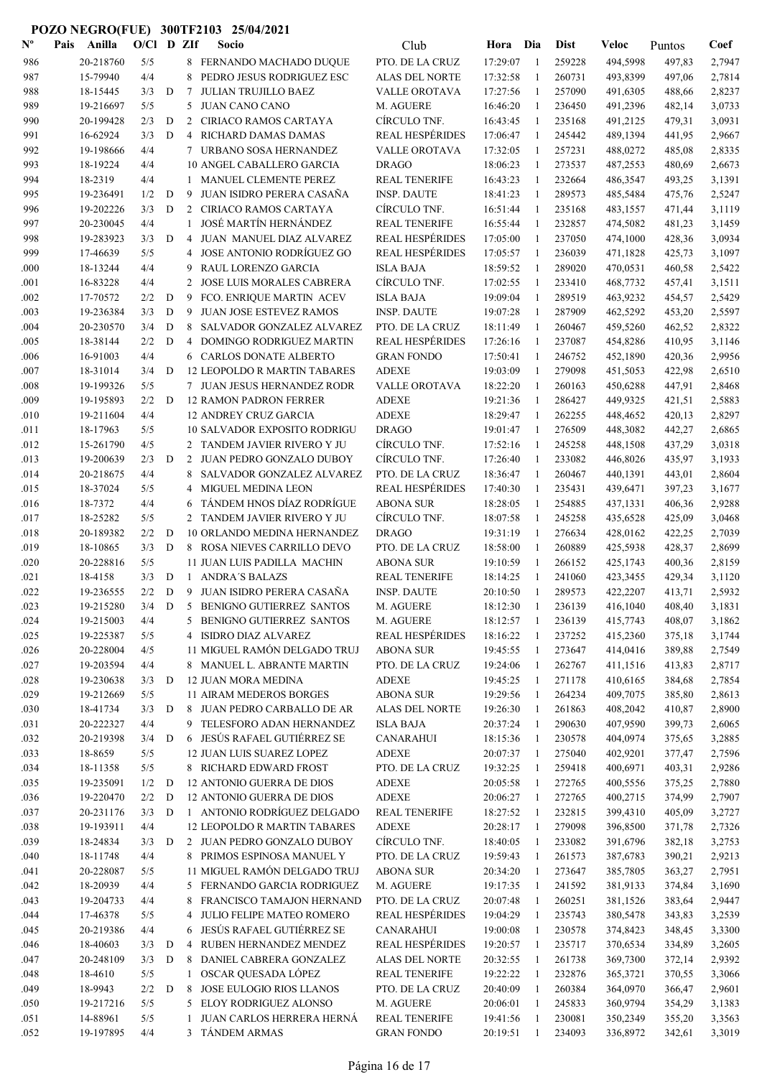| $\mathbf{N}^{\mathrm{o}}$ | Pais | Anilla    | $O/Cl$ D ZIf |              |                 | Socio                               | Club                   | Hora     | Dia            | Dist   | Veloc    | Puntos | Coef   |
|---------------------------|------|-----------|--------------|--------------|-----------------|-------------------------------------|------------------------|----------|----------------|--------|----------|--------|--------|
| 986                       |      | 20-218760 | 5/5          |              |                 | 8 FERNANDO MACHADO DUQUE            | PTO. DE LA CRUZ        | 17:29:07 | $\overline{1}$ | 259228 | 494,5998 | 497,83 | 2,7947 |
| 987                       |      | 15-79940  | 4/4          |              | 8               | PEDRO JESUS RODRIGUEZ ESC           | ALAS DEL NORTE         | 17:32:58 | -1             | 260731 | 493,8399 | 497,06 | 2,7814 |
| 988                       |      | 18-15445  | 3/3          | D            | 7               | <b>JULIAN TRUJILLO BAEZ</b>         | VALLE OROTAVA          | 17:27:56 | -1             | 257090 | 491,6305 | 488,66 | 2,8237 |
| 989                       |      | 19-216697 | 5/5          |              | 5               | <b>JUAN CANO CANO</b>               | M. AGUERE              | 16:46:20 | -1             | 236450 | 491,2396 | 482,14 | 3,0733 |
| 990                       |      | 20-199428 | 2/3          | D            | 2               | CIRIACO RAMOS CARTAYA               | CÍRCULO TNF.           | 16:43:45 | -1             | 235168 | 491,2125 | 479,31 | 3,0931 |
| 991                       |      | 16-62924  | 3/3          | D            | $\overline{4}$  | RICHARD DAMAS DAMAS                 | <b>REAL HESPÉRIDES</b> | 17:06:47 | -1             | 245442 | 489,1394 | 441,95 | 2,9667 |
| 992                       |      | 19-198666 | 4/4          |              | $7\phantom{.0}$ | URBANO SOSA HERNANDEZ               | VALLE OROTAVA          | 17:32:05 | -1             | 257231 | 488,0272 | 485,08 | 2,8335 |
| 993                       |      | 18-19224  | 4/4          |              |                 | 10 ANGEL CABALLERO GARCIA           | <b>DRAGO</b>           | 18:06:23 | -1             | 273537 | 487,2553 | 480,69 | 2,6673 |
| 994                       |      | 18-2319   | 4/4          |              |                 | 1 MANUEL CLEMENTE PEREZ             | <b>REAL TENERIFE</b>   | 16:43:23 | -1             | 232664 | 486,3547 | 493,25 | 3,1391 |
| 995                       |      | 19-236491 | 1/2          | D            | 9               | JUAN ISIDRO PERERA CASAÑA           | <b>INSP. DAUTE</b>     | 18:41:23 | -1             | 289573 | 485,5484 | 475,76 | 2,5247 |
| 996                       |      | 19-202226 | 3/3          | D            |                 | 2 CIRIACO RAMOS CARTAYA             | CÍRCULO TNF.           | 16:51:44 | -1             | 235168 | 483,1557 | 471,44 | 3,1119 |
| 997                       |      | 20-230045 | 4/4          |              | $\mathbf{1}$    | JOSÉ MARTÍN HERNÁNDEZ               | <b>REAL TENERIFE</b>   | 16:55:44 | 1              | 232857 | 474,5082 | 481,23 | 3,1459 |
| 998                       |      | 19-283923 | 3/3          | D            | 4               | JUAN MANUEL DIAZ ALVAREZ            | <b>REAL HESPÉRIDES</b> | 17:05:00 | -1             | 237050 | 474,1000 | 428,36 | 3,0934 |
| 999                       |      | 17-46639  | 5/5          |              | 4               | JOSE ANTONIO RODRÍGUEZ GO           | <b>REAL HESPÉRIDES</b> | 17:05:57 | $\mathbf{1}$   | 236039 | 471,1828 | 425,73 | 3,1097 |
| .000                      |      | 18-13244  | 4/4          |              | 9               | RAUL LORENZO GARCIA                 | <b>ISLA BAJA</b>       | 18:59:52 | $\mathbf{1}$   | 289020 | 470,0531 | 460,58 | 2,5422 |
| .001                      |      | 16-83228  | 4/4          |              | 2               | JOSE LUIS MORALES CABRERA           | CÍRCULO TNF.           | 17:02:55 | -1             | 233410 | 468,7732 | 457,41 | 3,1511 |
| .002                      |      | 17-70572  | 2/2          | D            | 9               | FCO. ENRIQUE MARTIN ACEV            | <b>ISLA BAJA</b>       | 19:09:04 | $\mathbf{1}$   | 289519 | 463,9232 | 454,57 | 2,5429 |
| .003                      |      | 19-236384 | 3/3          | D            | 9               | <b>JUAN JOSE ESTEVEZ RAMOS</b>      | <b>INSP. DAUTE</b>     | 19:07:28 | -1             | 287909 | 462,5292 | 453,20 | 2,5597 |
| .004                      |      | 20-230570 | 3/4          | D            | 8               | SALVADOR GONZALEZ ALVAREZ           | PTO. DE LA CRUZ        | 18:11:49 | -1             | 260467 | 459,5260 | 462,52 | 2,8322 |
| .005                      |      | 18-38144  | 2/2          | D            | 4               | DOMINGO RODRIGUEZ MARTIN            | <b>REAL HESPÉRIDES</b> | 17:26:16 | -1             | 237087 | 454,8286 | 410,95 | 3,1146 |
| .006                      |      | 16-91003  | 4/4          |              |                 | 6 CARLOS DONATE ALBERTO             | <b>GRAN FONDO</b>      | 17:50:41 | -1             | 246752 | 452,1890 | 420,36 | 2,9956 |
| .007                      |      | 18-31014  | 3/4          | D            |                 | <b>12 LEOPOLDO R MARTIN TABARES</b> | <b>ADEXE</b>           | 19:03:09 | -1             | 279098 | 451,5053 | 422,98 | 2,6510 |
| .008                      |      | 19-199326 | 5/5          |              |                 | 7 JUAN JESUS HERNANDEZ RODR         | VALLE OROTAVA          | 18:22:20 | -1             | 260163 | 450,6288 | 447,91 | 2,8468 |
| .009                      |      | 19-195893 | 2/2          | D            |                 | <b>12 RAMON PADRON FERRER</b>       | <b>ADEXE</b>           | 19:21:36 | -1             | 286427 | 449,9325 | 421,51 | 2,5883 |
| .010                      |      | 19-211604 | 4/4          |              |                 | <b>12 ANDREY CRUZ GARCIA</b>        | <b>ADEXE</b>           | 18:29:47 | $\mathbf{1}$   | 262255 | 448,4652 | 420,13 | 2,8297 |
| .011                      |      | 18-17963  | 5/5          |              |                 | <b>10 SALVADOR EXPOSITO RODRIGU</b> | <b>DRAGO</b>           | 19:01:47 | $\overline{1}$ | 276509 | 448,3082 | 442,27 | 2,6865 |
| .012                      |      | 15-261790 | 4/5          |              |                 | 2 TANDEM JAVIER RIVERO Y JU         | CÍRCULO TNF.           | 17:52:16 | -1             | 245258 | 448,1508 | 437,29 | 3,0318 |
| .013                      |      | 19-200639 | 2/3          | D            | 2               | JUAN PEDRO GONZALO DUBOY            | CÍRCULO TNF.           | 17:26:40 | -1             | 233082 | 446,8026 | 435,97 | 3,1933 |
| .014                      |      | 20-218675 | 4/4          |              | 8               | SALVADOR GONZALEZ ALVAREZ           | PTO. DE LA CRUZ        | 18:36:47 | -1             | 260467 | 440,1391 | 443,01 | 2,8604 |
| .015                      |      | 18-37024  | 5/5          |              | 4               | <b>MIGUEL MEDINA LEON</b>           | <b>REAL HESPÉRIDES</b> | 17:40:30 | -1             | 235431 | 439,6471 | 397,23 | 3,1677 |
| .016                      |      | 18-7372   | 4/4          |              | 6               | TÁNDEM HNOS DÍAZ RODRÍGUE           | <b>ABONA SUR</b>       | 18:28:05 | -1             | 254885 | 437,1331 | 406,36 | 2,9288 |
| .017                      |      | 18-25282  | 5/5          |              | $\overline{2}$  | TANDEM JAVIER RIVERO Y JU           | CÍRCULO TNF.           | 18:07:58 | -1             | 245258 | 435,6528 | 425,09 | 3,0468 |
| .018                      |      | 20-189382 | 2/2          | D            |                 | 10 ORLANDO MEDINA HERNANDEZ         | <b>DRAGO</b>           | 19:31:19 | -1             | 276634 | 428,0162 | 422,25 | 2,7039 |
| .019                      |      | 18-10865  | 3/3          | D            |                 | 8 ROSA NIEVES CARRILLO DEVO         | PTO. DE LA CRUZ        | 18:58:00 | -1             | 260889 | 425,5938 | 428,37 | 2,8699 |
| .020                      |      | 20-228816 | 5/5          |              |                 | 11 JUAN LUIS PADILLA MACHIN         | <b>ABONA SUR</b>       | 19:10:59 | -1             | 266152 | 425,1743 | 400,36 | 2,8159 |
| .021                      |      | 18-4158   | 3/3          | D            |                 | 1 ANDRA'S BALAZS                    | <b>REAL TENERIFE</b>   | 18:14:25 | -1             | 241060 | 423,3455 | 429,34 | 3,1120 |
| .022                      |      | 19-236555 | 2/2          | D            | 9               | JUAN ISIDRO PERERA CASAÑA           | <b>INSP. DAUTE</b>     | 20:10:50 | $\overline{1}$ | 289573 | 422,2207 | 413,71 | 2,5932 |
| .023                      |      | 19-215280 | 3/4          | D            | 5               | BENIGNO GUTIERREZ SANTOS            | M. AGUERE              | 18:12:30 | $\mathbf{1}$   | 236139 | 416,1040 | 408,40 | 3,1831 |
| .024                      |      | 19-215003 | 4/4          |              |                 | 5 BENIGNO GUTIERREZ SANTOS          | M. AGUERE              | 18:12:57 | -1             | 236139 | 415,7743 | 408,07 | 3,1862 |
| .025                      |      | 19-225387 | 5/5          |              | 4               | ISIDRO DIAZ ALVAREZ                 | <b>REAL HESPÉRIDES</b> | 18:16:22 | -1             | 237252 | 415,2360 | 375,18 | 3,1744 |
| .026                      |      | 20-228004 | 4/5          |              |                 | 11 MIGUEL RAMÓN DELGADO TRUJ        | <b>ABONA SUR</b>       | 19:45:55 | -1             | 273647 | 414,0416 | 389,88 | 2,7549 |
| .027                      |      | 19-203594 | 4/4          |              |                 | 8 MANUEL L. ABRANTE MARTIN          | PTO. DE LA CRUZ        | 19:24:06 | -1             | 262767 | 411,1516 | 413,83 | 2,8717 |
| .028                      |      | 19-230638 | 3/3          | D            |                 | <b>12 JUAN MORA MEDINA</b>          | <b>ADEXE</b>           | 19:45:25 | -1             | 271178 | 410,6165 | 384,68 | 2,7854 |
| .029                      |      | 19-212669 | 5/5          |              |                 | 11 AIRAM MEDEROS BORGES             | <b>ABONA SUR</b>       | 19:29:56 | -1             | 264234 | 409,7075 | 385,80 | 2,8613 |
| .030                      |      | 18-41734  | 3/3          | D            |                 | 8 JUAN PEDRO CARBALLO DE AR         | ALAS DEL NORTE         | 19:26:30 | -1             | 261863 | 408,2042 | 410,87 | 2,8900 |
| .031                      |      | 20-222327 | 4/4          |              |                 | 9 TELESFORO ADAN HERNANDEZ          | <b>ISLA BAJA</b>       | 20:37:24 | -1             | 290630 | 407,9590 | 399,73 | 2,6065 |
| .032                      |      | 20-219398 | 3/4          | $\mathbf{D}$ |                 | 6 JESÚS RAFAEL GUTIÉRREZ SE         | <b>CANARAHUI</b>       | 18:15:36 | -1             | 230578 | 404,0974 | 375,65 | 3,2885 |
| .033                      |      | 18-8659   | 5/5          |              |                 | 12 JUAN LUIS SUAREZ LOPEZ           | <b>ADEXE</b>           | 20:07:37 | -1             | 275040 | 402,9201 | 377,47 | 2,7596 |
| .034                      |      | 18-11358  | 5/5          |              |                 | 8 RICHARD EDWARD FROST              | PTO. DE LA CRUZ        | 19:32:25 | -1             | 259418 | 400,6971 | 403,31 | 2,9286 |
| .035                      |      | 19-235091 | 1/2          | D            |                 | 12 ANTONIO GUERRA DE DIOS           | <b>ADEXE</b>           | 20:05:58 | -1             | 272765 | 400,5556 | 375,25 | 2,7880 |
| .036                      |      | 19-220470 | 2/2          | D            |                 | 12 ANTONIO GUERRA DE DIOS           | <b>ADEXE</b>           | 20:06:27 | $\mathbf{1}$   | 272765 | 400,2715 | 374,99 | 2,7907 |
| .037                      |      | 20-231176 | 3/3          | D            |                 | 1 ANTONIO RODRÍGUEZ DELGADO         | <b>REAL TENERIFE</b>   | 18:27:52 | -1             | 232815 | 399,4310 | 405,09 | 3,2727 |
| .038                      |      | 19-193911 | 4/4          |              |                 | 12 LEOPOLDO R MARTIN TABARES        | <b>ADEXE</b>           | 20:28:17 | -1             | 279098 | 396,8500 | 371,78 | 2,7326 |
| .039                      |      | 18-24834  | 3/3          | D            |                 | 2 JUAN PEDRO GONZALO DUBOY          | CÍRCULO TNF.           | 18:40:05 | -1             | 233082 | 391,6796 | 382,18 | 3,2753 |
| .040                      |      | 18-11748  | 4/4          |              |                 | 8 PRIMOS ESPINOSA MANUEL Y          | PTO. DE LA CRUZ        | 19:59:43 | 1              | 261573 | 387,6783 | 390,21 | 2,9213 |
| .041                      |      | 20-228087 | 5/5          |              |                 | 11 MIGUEL RAMÓN DELGADO TRUJ        | <b>ABONA SUR</b>       | 20:34:20 | -1             | 273647 | 385,7805 | 363,27 | 2,7951 |
| .042                      |      | 18-20939  | 4/4          |              |                 | 5 FERNANDO GARCIA RODRIGUEZ         | M. AGUERE              | 19:17:35 | -1             | 241592 | 381,9133 | 374,84 | 3,1690 |
| .043                      |      | 19-204733 | 4/4          |              | 8               | FRANCISCO TAMAJON HERNAND           | PTO. DE LA CRUZ        | 20:07:48 | -1             | 260251 | 381,1526 | 383,64 | 2,9447 |
| .044                      |      | 17-46378  | 5/5          |              |                 | 4 JULIO FELIPE MATEO ROMERO         | <b>REAL HESPÉRIDES</b> | 19:04:29 | -1             | 235743 | 380,5478 | 343,83 | 3,2539 |
| .045                      |      | 20-219386 | 4/4          |              |                 | 6 JESÚS RAFAEL GUTIÉRREZ SE         | <b>CANARAHUI</b>       | 19:00:08 | -1             | 230578 | 374,8423 | 348,45 | 3,3300 |
| .046                      |      | 18-40603  | 3/3          | D            | $\overline{4}$  | RUBEN HERNANDEZ MENDEZ              | <b>REAL HESPÉRIDES</b> | 19:20:57 | -1             | 235717 | 370,6534 | 334,89 | 3,2605 |
| .047                      |      | 20-248109 | 3/3          | D            | 8               | DANIEL CABRERA GONZALEZ             | ALAS DEL NORTE         | 20:32:55 | -1             | 261738 | 369,7300 | 372,14 | 2,9392 |
| .048                      |      | 18-4610   | $5/5$        |              | 1               | OSCAR QUESADA LÓPEZ                 | <b>REAL TENERIFE</b>   | 19:22:22 | $\overline{1}$ | 232876 | 365,3721 | 370,55 | 3,3066 |
| .049                      |      | 18-9943   | 2/2          | D            | 8               | JOSE EULOGIO RIOS LLANOS            | PTO. DE LA CRUZ        | 20:40:09 | $\overline{1}$ | 260384 | 364,0970 | 366,47 | 2,9601 |
| .050                      |      | 19-217216 | 5/5          |              |                 | 5 ELOY RODRIGUEZ ALONSO             | M. AGUERE              | 20:06:01 | $\mathbf{1}$   | 245833 | 360,9794 | 354,29 | 3,1383 |
| .051                      |      | 14-88961  | 5/5          |              | $\mathbf{1}$    | JUAN CARLOS HERRERA HERNÁ           | <b>REAL TENERIFE</b>   | 19:41:56 | -1             | 230081 | 350,2349 | 355,20 | 3,3563 |
| .052                      |      | 19-197895 | 4/4          |              |                 | 3 TÁNDEM ARMAS                      | <b>GRAN FONDO</b>      | 20:19:51 | -1             | 234093 | 336,8972 | 342,61 | 3,3019 |